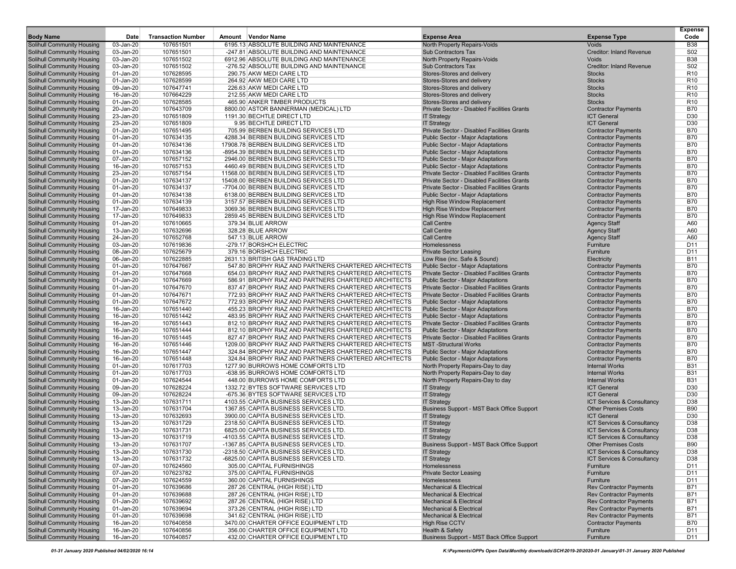|                                                                        |                        |                           |                                                                                                              |                                                                                      |                                                          | <b>Expense</b>                     |
|------------------------------------------------------------------------|------------------------|---------------------------|--------------------------------------------------------------------------------------------------------------|--------------------------------------------------------------------------------------|----------------------------------------------------------|------------------------------------|
| <b>Body Name</b>                                                       | Date                   | <b>Transaction Number</b> | Amount Vendor Name                                                                                           | <b>Expense Area</b>                                                                  | <b>Expense Type</b>                                      | Code                               |
| <b>Solihull Community Housing</b>                                      | 03-Jan-20              | 107651501                 | 6195.13 ABSOLUTE BUILDING AND MAINTENANCE                                                                    | North Property Repairs-Voids                                                         | Voids                                                    | <b>B38</b>                         |
| <b>Solihull Community Housing</b><br><b>Solihull Community Housing</b> | 03-Jan-20<br>03-Jan-20 | 107651501<br>107651502    | -247.81 ABSOLUTE BUILDING AND MAINTENANCE<br>6912.96 ABSOLUTE BUILDING AND MAINTENANCE                       | <b>Sub Contractors Tax</b><br>North Property Repairs-Voids                           | <b>Creditor: Inland Revenue</b><br><b>Voids</b>          | S02<br><b>B38</b>                  |
| <b>Solihull Community Housing</b>                                      | 03-Jan-20              | 107651502                 | -276.52 ABSOLUTE BUILDING AND MAINTENANCE                                                                    | <b>Sub Contractors Tax</b>                                                           | <b>Creditor: Inland Revenue</b>                          | S <sub>02</sub>                    |
| <b>Solihull Community Housing</b>                                      | 01-Jan-20              | 107628595                 | 290.75 AKW MEDI CARE LTD                                                                                     | Stores-Stores and delivery                                                           | <b>Stocks</b>                                            | R <sub>10</sub>                    |
| <b>Solihull Community Housing</b>                                      | 01-Jan-20              | 107628599                 | 264.92 AKW MEDI CARE LTD                                                                                     | Stores-Stores and delivery                                                           | <b>Stocks</b>                                            | R <sub>10</sub>                    |
| Solihull Community Housing                                             | 09-Jan-20              | 107647741                 | 226.63 AKW MEDI CARE LTD                                                                                     | Stores-Stores and delivery                                                           | <b>Stocks</b>                                            | R <sub>10</sub>                    |
| <b>Solihull Community Housing</b>                                      | 16-Jan-20              | 107664229                 | 212.55 AKW MEDI CARE LTD                                                                                     | Stores-Stores and delivery                                                           | <b>Stocks</b>                                            | R <sub>10</sub>                    |
| <b>Solihull Community Housing</b>                                      | 01-Jan-20              | 107628585                 | 465.90 ANKER TIMBER PRODUCTS                                                                                 | Stores-Stores and delivery                                                           | <b>Stocks</b>                                            | R <sub>10</sub>                    |
| Solihull Community Housing                                             | 20-Jan-20              | 107643709                 | 8800.00 ASTOR BANNERMAN (MEDICAL) LTD                                                                        | <b>Private Sector - Disabled Facilities Grants</b>                                   | <b>Contractor Payments</b>                               | <b>B70</b>                         |
| <b>Solihull Community Housing</b>                                      | 23-Jan-20              | 107651809                 | 1191.30 BECHTLE DIRECT LTD                                                                                   | <b>IT Strategy</b>                                                                   | <b>ICT General</b>                                       | D <sub>30</sub>                    |
| <b>Solihull Community Housing</b>                                      | 23-Jan-20              | 107651809                 | 9.95 BECHTLE DIRECT LTD                                                                                      | <b>IT Strategy</b>                                                                   | <b>ICT General</b>                                       | D <sub>30</sub>                    |
| <b>Solihull Community Housing</b>                                      | 01-Jan-20              | 107651495                 | 705.99 BERBEN BUILDING SERVICES LTD<br>4288.34 BERBEN BUILDING SERVICES LTD                                  | Private Sector - Disabled Facilities Grants                                          | <b>Contractor Payments</b>                               | <b>B70</b>                         |
| <b>Solihull Community Housing</b><br><b>Solihull Community Housing</b> | 01-Jan-20<br>01-Jan-20 | 107634135<br>107634136    | 17908.78 BERBEN BUILDING SERVICES LTD                                                                        | <b>Public Sector - Major Adaptations</b><br><b>Public Sector - Major Adaptations</b> | <b>Contractor Payments</b><br><b>Contractor Payments</b> | <b>B70</b><br><b>B70</b>           |
| <b>Solihull Community Housing</b>                                      | 01-Jan-20              | 107634136                 | -8954.39 BERBEN BUILDING SERVICES LTD                                                                        | <b>Public Sector - Major Adaptations</b>                                             | <b>Contractor Payments</b>                               | <b>B70</b>                         |
| <b>Solihull Community Housing</b>                                      | 07-Jan-20              | 107657152                 | 2946.00 BERBEN BUILDING SERVICES LTD                                                                         | <b>Public Sector - Major Adaptations</b>                                             | <b>Contractor Payments</b>                               | <b>B70</b>                         |
| <b>Solihull Community Housing</b>                                      | 16-Jan-20              | 107657153                 | 4460.49 BERBEN BUILDING SERVICES LTD                                                                         | <b>Public Sector - Major Adaptations</b>                                             | <b>Contractor Payments</b>                               | <b>B70</b>                         |
| <b>Solihull Community Housing</b>                                      | 23-Jan-20              | 107657154                 | 11568.00 BERBEN BUILDING SERVICES LTD                                                                        | <b>Private Sector - Disabled Facilities Grants</b>                                   | <b>Contractor Payments</b>                               | <b>B70</b>                         |
| <b>Solihull Community Housing</b>                                      | 01-Jan-20              | 107634137                 | 15408.00 BERBEN BUILDING SERVICES LTD                                                                        | Private Sector - Disabled Facilities Grants                                          | <b>Contractor Payments</b>                               | <b>B70</b>                         |
| <b>Solihull Community Housing</b>                                      | 01-Jan-20              | 107634137                 | -7704.00 BERBEN BUILDING SERVICES LTD                                                                        | <b>Private Sector - Disabled Facilities Grants</b>                                   | <b>Contractor Payments</b>                               | <b>B70</b>                         |
| <b>Solihull Community Housing</b>                                      | 01-Jan-20              | 107634138                 | 6138.00 BERBEN BUILDING SERVICES LTD                                                                         | <b>Public Sector - Major Adaptations</b>                                             | <b>Contractor Payments</b>                               | <b>B70</b>                         |
| <b>Solihull Community Housing</b>                                      | 01-Jan-20              | 107634139                 | 3157.57 BERBEN BUILDING SERVICES LTD                                                                         | <b>High Rise Window Replacement</b>                                                  | <b>Contractor Payments</b>                               | <b>B70</b>                         |
| <b>Solihull Community Housing</b>                                      | 17-Jan-20              | 107649833                 | 3069.36 BERBEN BUILDING SERVICES LTD                                                                         | High Rise Window Replacement                                                         | <b>Contractor Payments</b>                               | <b>B70</b>                         |
| <b>Solihull Community Housing</b>                                      | 17-Jan-20              | 107649833                 | 2859.45 BERBEN BUILDING SERVICES LTD                                                                         | High Rise Window Replacement                                                         | <b>Contractor Payments</b>                               | <b>B70</b>                         |
| <b>Solihull Community Housing</b><br><b>Solihull Community Housing</b> | 01-Jan-20<br>13-Jan-20 | 107610665<br>107632696    | 379.34 BLUE ARROW<br>328.28 BLUE ARROW                                                                       | <b>Call Centre</b><br><b>Call Centre</b>                                             | <b>Agency Staff</b><br><b>Agency Staff</b>               | A60<br>A60                         |
| <b>Solihull Community Housing</b>                                      | 24-Jan-20              | 107652768                 | 547.13 BLUE ARROW                                                                                            | <b>Call Centre</b>                                                                   | <b>Agency Staff</b>                                      | A60                                |
| <b>Solihull Community Housing</b>                                      | 03-Jan-20              | 107619836                 | -279.17 BORSHCH ELECTRIC                                                                                     | Homelessness                                                                         | Furniture                                                | D <sub>11</sub>                    |
| <b>Solihull Community Housing</b>                                      | 08-Jan-20              | 107625679                 | 379.16 BORSHCH ELECTRIC                                                                                      | <b>Private Sector Leasing</b>                                                        | Furniture                                                | D <sub>11</sub>                    |
| <b>Solihull Community Housing</b>                                      | 06-Jan-20              | 107622885                 | 2631.13 BRITISH GAS TRADING LTD                                                                              | Low Rise (inc. Safe & Sound)                                                         | Electricity                                              | <b>B11</b>                         |
| Solihull Community Housing                                             | 01-Jan-20              | 107647667                 | 547.80 BROPHY RIAZ AND PARTNERS CHARTERED ARCHITECTS                                                         | <b>Public Sector - Major Adaptations</b>                                             | <b>Contractor Payments</b>                               | <b>B70</b>                         |
| <b>Solihull Community Housing</b>                                      | 01-Jan-20              | 107647668                 | 654.03 BROPHY RIAZ AND PARTNERS CHARTERED ARCHITECTS                                                         | <b>Private Sector - Disabled Facilities Grants</b>                                   | <b>Contractor Payments</b>                               | <b>B70</b>                         |
| <b>Solihull Community Housing</b>                                      | 01-Jan-20              | 107647669                 | 586.91 BROPHY RIAZ AND PARTNERS CHARTERED ARCHITECTS                                                         | <b>Public Sector - Major Adaptations</b>                                             | <b>Contractor Payments</b>                               | <b>B70</b>                         |
| <b>Solihull Community Housing</b>                                      | 01-Jan-20              | 107647670                 | 837.47 BROPHY RIAZ AND PARTNERS CHARTERED ARCHITECTS                                                         | <b>Private Sector - Disabled Facilities Grants</b>                                   | <b>Contractor Payments</b>                               | <b>B70</b>                         |
| <b>Solihull Community Housing</b>                                      | 01-Jan-20              | 107647671                 | 772.93 BROPHY RIAZ AND PARTNERS CHARTERED ARCHITECTS                                                         | <b>Private Sector - Disabled Facilities Grants</b>                                   | <b>Contractor Payments</b>                               | <b>B70</b>                         |
| <b>Solihull Community Housing</b>                                      | 01-Jan-20<br>16-Jan-20 | 107647672<br>107651440    | 772.93 BROPHY RIAZ AND PARTNERS CHARTERED ARCHITECTS<br>455.23 BROPHY RIAZ AND PARTNERS CHARTERED ARCHITECTS | <b>Public Sector - Major Adaptations</b>                                             | <b>Contractor Payments</b>                               | <b>B70</b><br><b>B70</b>           |
| <b>Solihull Community Housing</b><br><b>Solihull Community Housing</b> | 16-Jan-20              | 107651442                 | 483.95 BROPHY RIAZ AND PARTNERS CHARTERED ARCHITECTS                                                         | <b>Public Sector - Major Adaptations</b><br><b>Public Sector - Major Adaptations</b> | <b>Contractor Payments</b><br><b>Contractor Payments</b> | <b>B70</b>                         |
| <b>Solihull Community Housing</b>                                      | 16-Jan-20              | 107651443                 | 812.10 BROPHY RIAZ AND PARTNERS CHARTERED ARCHITECTS                                                         | <b>Private Sector - Disabled Facilities Grants</b>                                   | <b>Contractor Payments</b>                               | <b>B70</b>                         |
| <b>Solihull Community Housing</b>                                      | 16-Jan-20              | 107651444                 | 812.10 BROPHY RIAZ AND PARTNERS CHARTERED ARCHITECTS                                                         | <b>Public Sector - Major Adaptations</b>                                             | <b>Contractor Payments</b>                               | <b>B70</b>                         |
| <b>Solihull Community Housing</b>                                      | 16-Jan-20              | 107651445                 | 827.47 BROPHY RIAZ AND PARTNERS CHARTERED ARCHITECTS                                                         | <b>Private Sector - Disabled Facilities Grants</b>                                   | <b>Contractor Payments</b>                               | <b>B70</b>                         |
| <b>Solihull Community Housing</b>                                      | 16-Jan-20              | 107651446                 | 1209.00 BROPHY RIAZ AND PARTNERS CHARTERED ARCHITECTS                                                        | <b>MST-Structural Works</b>                                                          | <b>Contractor Payments</b>                               | <b>B70</b>                         |
| <b>Solihull Community Housing</b>                                      | 16-Jan-20              | 107651447                 | 324.84 BROPHY RIAZ AND PARTNERS CHARTERED ARCHITECTS                                                         | <b>Public Sector - Major Adaptations</b>                                             | <b>Contractor Payments</b>                               | <b>B70</b>                         |
| <b>Solihull Community Housing</b>                                      | 16-Jan-20              | 107651448                 | 324.84 BROPHY RIAZ AND PARTNERS CHARTERED ARCHITECTS                                                         | <b>Public Sector - Major Adaptations</b>                                             | <b>Contractor Payments</b>                               | <b>B70</b>                         |
| <b>Solihull Community Housing</b>                                      | 01-Jan-20              | 107617703                 | 1277.90 BURROWS HOME COMFORTS LTD                                                                            | North Property Repairs-Day to day                                                    | <b>Internal Works</b>                                    | <b>B31</b>                         |
| <b>Solihull Community Housing</b>                                      | 01-Jan-20              | 107617703                 | -638.95 BURROWS HOME COMFORTS LTD                                                                            | North Property Repairs-Day to day                                                    | <b>Internal Works</b>                                    | <b>B31</b>                         |
| <b>Solihull Community Housing</b>                                      | 01-Jan-20              | 107624544<br>107628224    | 448.00 BURROWS HOME COMFORTS LTD                                                                             | North Property Repairs-Day to day                                                    | <b>Internal Works</b>                                    | <b>B31</b><br>D30                  |
| <b>Solihull Community Housing</b><br><b>Solihull Community Housing</b> | 09-Jan-20<br>09-Jan-20 | 107628224                 | 1332.72 BYTES SOFTWARE SERVICES LTD<br>-675.36 BYTES SOFTWARE SERVICES LTD                                   | <b>IT Strategy</b><br><b>IT Strategy</b>                                             | <b>ICT General</b><br><b>ICT</b> General                 | D <sub>30</sub>                    |
| <b>Solihull Community Housing</b>                                      | 13-Jan-20              | 107631711                 | 4103.55 CAPITA BUSINESS SERVICES LTD                                                                         | <b>IT Strategy</b>                                                                   | ICT Services & Consultancy                               | D38                                |
| <b>Solihull Community Housing</b>                                      | 13-Jan-20              | 107631704                 | 1367.85 CAPITA BUSINESS SERVICES LTD                                                                         | Business Support - MST Back Office Support                                           | <b>Other Premises Costs</b>                              | <b>B90</b>                         |
| <b>Solihull Community Housing</b>                                      | 13-Jan-20              | 107632693                 | 3900.00 CAPITA BUSINESS SERVICES LTD.                                                                        | <b>IT Strategy</b>                                                                   | <b>ICT General</b>                                       | D <sub>30</sub>                    |
| <b>Solihull Community Housing</b>                                      | 13-Jan-20              | 107631729                 | 2318.50 CAPITA BUSINESS SERVICES LTD                                                                         | <b>IT Strategy</b>                                                                   | ICT Services & Consultancy                               | D38                                |
| <b>Solihull Community Housing</b>                                      | 13-Jan-20              | 107631731                 | 6825.00 CAPITA BUSINESS SERVICES LTD.                                                                        | <b>IT Strategy</b>                                                                   | ICT Services & Consultancy                               | D38                                |
| <b>Solihull Community Housing</b>                                      | 13-Jan-20              | 107631719                 | -4103.55 CAPITA BUSINESS SERVICES LTD.                                                                       | <b>IT Strategy</b>                                                                   | <b>ICT Services &amp; Consultancy</b>                    | D38                                |
| Solihull Community Housing                                             | 13-Jan-20              | 107631707                 | -1367.85 CAPITA BUSINESS SERVICES LTD.                                                                       | Business Support - MST Back Office Support                                           | <b>Other Premises Costs</b>                              | <b>B90</b>                         |
| <b>Solihull Community Housing</b>                                      | 13-Jan-20              | 107631730                 | -2318.50 CAPITA BUSINESS SERVICES LTD.                                                                       | <b>IT Strategy</b>                                                                   | <b>ICT Services &amp; Consultancy</b>                    | D38                                |
| <b>Solihull Community Housing</b>                                      | 13-Jan-20              | 107631732                 | -6825.00 CAPITA BUSINESS SERVICES LTD.                                                                       | <b>IT Strategy</b>                                                                   | <b>ICT Services &amp; Consultancy</b>                    | D38                                |
| <b>Solihull Community Housing</b><br><b>Solihull Community Housing</b> | 07-Jan-20<br>07-Jan-20 | 107624560<br>107623782    | 305.00 CAPITAL FURNISHINGS<br>375.00 CAPITAL FURNISHINGS                                                     | Homelessness<br><b>Private Sector Leasing</b>                                        | Furniture<br>Furniture                                   | D <sub>11</sub><br>D <sub>11</sub> |
| <b>Solihull Community Housing</b>                                      | 07-Jan-20              | 107624559                 | 360.00 CAPITAL FURNISHINGS                                                                                   | Homelessness                                                                         | Furniture                                                | D <sub>11</sub>                    |
| <b>Solihull Community Housing</b>                                      | 01-Jan-20              | 107639686                 | 287.26 CENTRAL (HIGH RISE) LTD                                                                               | <b>Mechanical &amp; Electrical</b>                                                   | <b>Rev Contractor Payments</b>                           | <b>B71</b>                         |
| <b>Solihull Community Housing</b>                                      | 01-Jan-20              | 107639688                 | 287.26 CENTRAL (HIGH RISE) LTD                                                                               | <b>Mechanical &amp; Electrical</b>                                                   | <b>Rev Contractor Payments</b>                           | <b>B71</b>                         |
| <b>Solihull Community Housing</b>                                      | 01-Jan-20              | 107639692                 | 287.26 CENTRAL (HIGH RISE) LTD                                                                               | <b>Mechanical &amp; Electrical</b>                                                   | <b>Rev Contractor Payments</b>                           | <b>B71</b>                         |
| <b>Solihull Community Housing</b>                                      | 01-Jan-20              | 107639694                 | 373.26 CENTRAL (HIGH RISE) LTD                                                                               | <b>Mechanical &amp; Electrical</b>                                                   | <b>Rev Contractor Payments</b>                           | <b>B71</b>                         |
| Solihull Community Housing                                             | 01-Jan-20              | 107639698                 | 341.62 CENTRAL (HIGH RISE) LTD                                                                               | <b>Mechanical &amp; Electrical</b>                                                   | <b>Rev Contractor Payments</b>                           | B71                                |
| <b>Solihull Community Housing</b>                                      | 16-Jan-20              | 107640858                 | 3470.00 CHARTER OFFICE EQUIPMENT LTD                                                                         | <b>High Rise CCTV</b>                                                                | <b>Contractor Payments</b>                               | <b>B70</b>                         |
| <b>Solihull Community Housing</b>                                      | 16-Jan-20              | 107640856                 | 356.00 CHARTER OFFICE EQUIPMENT LTD                                                                          | Health & Safety                                                                      | Furniture                                                | D <sub>11</sub>                    |
| <b>Solihull Community Housing</b>                                      | 16-Jan-20              | 107640857                 | 432.00 CHARTER OFFICE EQUIPMENT LTD                                                                          | Business Support - MST Back Office Support                                           | Furniture                                                | D <sub>11</sub>                    |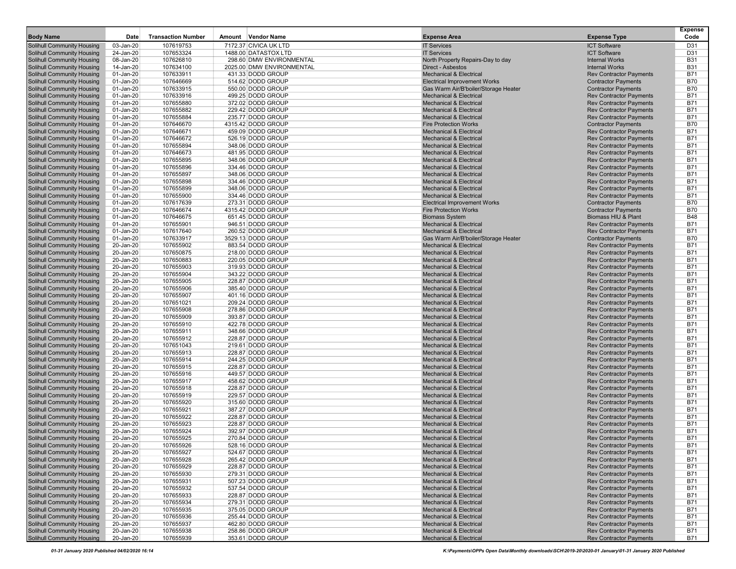| <b>Body Name</b>                                                       | Date                   | <b>Transaction Number</b> | Amount Vendor Name                     | <b>Expense Area</b>                                                        | <b>Expense Type</b>                                              | <b>Expense</b><br>Code   |
|------------------------------------------------------------------------|------------------------|---------------------------|----------------------------------------|----------------------------------------------------------------------------|------------------------------------------------------------------|--------------------------|
| <b>Solihull Community Housing</b>                                      | 03-Jan-20              | 107619753                 | 7172.37 CIVICA UK LTD                  | <b>IT Services</b>                                                         | <b>ICT Software</b>                                              | D31                      |
| <b>Solihull Community Housing</b>                                      | 24-Jan-20              | 107653324                 | 1488.00 DATASTOX LTD                   | <b>IT Services</b>                                                         | <b>ICT Software</b>                                              | D31                      |
| Solihull Community Housing                                             | 08-Jan-20              | 107626810                 | 298.60 DMW ENVIRONMENTAL               | North Property Repairs-Day to day                                          | <b>Internal Works</b>                                            | <b>B31</b>               |
| <b>Solihull Community Housing</b>                                      | 14-Jan-20              | 107634100                 | 2025.00 DMW ENVIRONMENTAL              | Direct - Asbestos                                                          | <b>Internal Works</b>                                            | <b>B31</b>               |
| <b>Solihull Community Housing</b>                                      | 01-Jan-20              | 107633911                 | 431.33 DODD GROUP                      | <b>Mechanical &amp; Electrical</b>                                         | <b>Rev Contractor Payments</b>                                   | <b>B71</b>               |
| <b>Solihull Community Housing</b>                                      | 01-Jan-20              | 107646669                 | 514.62 DODD GROUP                      | <b>Electrical Improvement Works</b>                                        | <b>Contractor Payments</b>                                       | <b>B70</b>               |
| <b>Solihull Community Housing</b><br><b>Solihull Community Housing</b> | 01-Jan-20<br>01-Jan-20 | 107633915<br>107633916    | 550.00 DODD GROUP<br>499.25 DODD GROUP | Gas Warm Air/B'boiler/Storage Heater<br><b>Mechanical &amp; Electrical</b> | <b>Contractor Payments</b><br><b>Rev Contractor Payments</b>     | <b>B70</b><br><b>B71</b> |
| <b>Solihull Community Housing</b>                                      | 01-Jan-20              | 107655880                 | 372.02 DODD GROUP                      | <b>Mechanical &amp; Electrical</b>                                         | <b>Rev Contractor Payments</b>                                   | <b>B71</b>               |
| <b>Solihull Community Housing</b>                                      | 01-Jan-20              | 107655882                 | 229.42 DODD GROUP                      | <b>Mechanical &amp; Electrical</b>                                         | <b>Rev Contractor Payments</b>                                   | <b>B71</b>               |
| <b>Solihull Community Housing</b>                                      | 01-Jan-20              | 107655884                 | 235.77 DODD GROUP                      | <b>Mechanical &amp; Electrical</b>                                         | <b>Rev Contractor Payments</b>                                   | <b>B71</b>               |
| Solihull Community Housing                                             | 01-Jan-20              | 107646670                 | 4315.42 DODD GROUP                     | <b>Fire Protection Works</b>                                               | <b>Contractor Payments</b>                                       | <b>B70</b>               |
| <b>Solihull Community Housing</b>                                      | 01-Jan-20              | 107646671                 | 459.09 DODD GROUP                      | <b>Mechanical &amp; Electrical</b>                                         | <b>Rev Contractor Payments</b>                                   | <b>B71</b>               |
| <b>Solihull Community Housing</b><br><b>Solihull Community Housing</b> | 01-Jan-20<br>01-Jan-20 | 107646672<br>107655894    | 526.19 DODD GROUP<br>348.06 DODD GROUP | <b>Mechanical &amp; Electrical</b><br><b>Mechanical &amp; Electrical</b>   | <b>Rev Contractor Payments</b><br><b>Rev Contractor Payments</b> | <b>B71</b><br><b>B71</b> |
| <b>Solihull Community Housing</b>                                      | 01-Jan-20              | 107646673                 | 481.95 DODD GROUP                      | <b>Mechanical &amp; Electrical</b>                                         | <b>Rev Contractor Payments</b>                                   | <b>B71</b>               |
| <b>Solihull Community Housing</b>                                      | 01-Jan-20              | 107655895                 | 348.06 DODD GROUP                      | <b>Mechanical &amp; Electrical</b>                                         | <b>Rev Contractor Payments</b>                                   | <b>B71</b>               |
| <b>Solihull Community Housing</b>                                      | 01-Jan-20              | 107655896                 | 334.46 DODD GROUP                      | <b>Mechanical &amp; Electrical</b>                                         | <b>Rev Contractor Payments</b>                                   | <b>B71</b>               |
| <b>Solihull Community Housing</b>                                      | 01-Jan-20              | 107655897                 | 348.06 DODD GROUP                      | <b>Mechanical &amp; Electrical</b>                                         | <b>Rev Contractor Payments</b>                                   | <b>B71</b>               |
| <b>Solihull Community Housing</b>                                      | 01-Jan-20              | 107655898                 | 334.46 DODD GROUP                      | <b>Mechanical &amp; Electrical</b>                                         | <b>Rev Contractor Payments</b>                                   | <b>B71</b>               |
| <b>Solihull Community Housing</b>                                      | 01-Jan-20              | 107655899                 | 348.06 DODD GROUP                      | <b>Mechanical &amp; Electrical</b>                                         | <b>Rev Contractor Payments</b>                                   | <b>B71</b>               |
| <b>Solihull Community Housing</b><br><b>Solihull Community Housing</b> | 01-Jan-20<br>01-Jan-20 | 107655900<br>107617639    | 334.46 DODD GROUP<br>273.31 DODD GROUP | <b>Mechanical &amp; Electrical</b><br><b>Electrical Improvement Works</b>  | <b>Rev Contractor Payments</b><br><b>Contractor Payments</b>     | <b>B71</b><br><b>B70</b> |
| <b>Solihull Community Housing</b>                                      | 01-Jan-20              | 107646674                 | 4315.42 DODD GROUP                     | <b>Fire Protection Works</b>                                               | <b>Contractor Payments</b>                                       | <b>B70</b>               |
| <b>Solihull Community Housing</b>                                      | 01-Jan-20              | 107646675                 | 651.45 DODD GROUP                      | <b>Biomass System</b>                                                      | Biomass HIU & Plant                                              | <b>B48</b>               |
| <b>Solihull Community Housing</b>                                      | 01-Jan-20              | 107655901                 | 946.51 DODD GROUP                      | <b>Mechanical &amp; Electrical</b>                                         | <b>Rev Contractor Payments</b>                                   | <b>B71</b>               |
| <b>Solihull Community Housing</b>                                      | 01-Jan-20              | 107617640                 | 260.52 DODD GROUP                      | <b>Mechanical &amp; Electrical</b>                                         | <b>Rev Contractor Payments</b>                                   | <b>B71</b>               |
| <b>Solihull Community Housing</b>                                      | 01-Jan-20              | 107633917                 | 3529.13 DODD GROUP                     | Gas Warm Air/B'boiler/Storage Heater                                       | <b>Contractor Payments</b>                                       | <b>B70</b>               |
| <b>Solihull Community Housing</b>                                      | 20-Jan-20              | 107655902                 | 883.54 DODD GROUP                      | <b>Mechanical &amp; Electrical</b>                                         | <b>Rev Contractor Payments</b>                                   | <b>B71</b>               |
| <b>Solihull Community Housing</b><br><b>Solihull Community Housing</b> | 20-Jan-20<br>20-Jan-20 | 107650875<br>107650883    | 218.00 DODD GROUP<br>220.05 DODD GROUP | <b>Mechanical &amp; Electrical</b><br><b>Mechanical &amp; Electrical</b>   | <b>Rev Contractor Payments</b><br><b>Rev Contractor Payments</b> | <b>B71</b><br><b>B71</b> |
| <b>Solihull Community Housing</b>                                      | 20-Jan-20              | 107655903                 | 319.93 DODD GROUP                      | <b>Mechanical &amp; Electrical</b>                                         | <b>Rev Contractor Payments</b>                                   | <b>B71</b>               |
| <b>Solihull Community Housing</b>                                      | 20-Jan-20              | 107655904                 | 343.22 DODD GROUP                      | <b>Mechanical &amp; Electrical</b>                                         | <b>Rev Contractor Payments</b>                                   | <b>B71</b>               |
| <b>Solihull Community Housing</b>                                      | 20-Jan-20              | 107655905                 | 228.87 DODD GROUP                      | <b>Mechanical &amp; Electrical</b>                                         | <b>Rev Contractor Payments</b>                                   | <b>B71</b>               |
| <b>Solihull Community Housing</b>                                      | 20-Jan-20              | 107655906                 | 385.40 DODD GROUP                      | <b>Mechanical &amp; Electrical</b>                                         | <b>Rev Contractor Payments</b>                                   | <b>B71</b>               |
| <b>Solihull Community Housing</b>                                      | 20-Jan-20              | 107655907                 | 401.16 DODD GROUP                      | <b>Mechanical &amp; Electrical</b>                                         | <b>Rev Contractor Payments</b>                                   | <b>B71</b>               |
| Solihull Community Housing<br><b>Solihull Community Housing</b>        | 20-Jan-20<br>20-Jan-20 | 107651021<br>107655908    | 209.24 DODD GROUP<br>278.86 DODD GROUP | <b>Mechanical &amp; Electrical</b><br><b>Mechanical &amp; Electrical</b>   | <b>Rev Contractor Payments</b><br><b>Rev Contractor Payments</b> | <b>B71</b><br><b>B71</b> |
| <b>Solihull Community Housing</b>                                      | 20-Jan-20              | 107655909                 | 393.87 DODD GROUP                      | <b>Mechanical &amp; Electrical</b>                                         | <b>Rev Contractor Payments</b>                                   | <b>B71</b>               |
| <b>Solihull Community Housing</b>                                      | 20-Jan-20              | 107655910                 | 422.78 DODD GROUP                      | <b>Mechanical &amp; Electrical</b>                                         | <b>Rev Contractor Payments</b>                                   | <b>B71</b>               |
| <b>Solihull Community Housing</b>                                      | 20-Jan-20              | 107655911                 | 348.66 DODD GROUP                      | <b>Mechanical &amp; Electrical</b>                                         | <b>Rev Contractor Payments</b>                                   | <b>B71</b>               |
| <b>Solihull Community Housing</b>                                      | 20-Jan-20              | 107655912                 | 228.87 DODD GROUP                      | <b>Mechanical &amp; Electrical</b>                                         | <b>Rev Contractor Payments</b>                                   | <b>B71</b>               |
| <b>Solihull Community Housing</b>                                      | 20-Jan-20              | 107651043                 | 219.61 DODD GROUP                      | <b>Mechanical &amp; Electrical</b>                                         | <b>Rev Contractor Payments</b>                                   | <b>B71</b>               |
| <b>Solihull Community Housing</b><br><b>Solihull Community Housing</b> | 20-Jan-20<br>20-Jan-20 | 107655913<br>107655914    | 228.87 DODD GROUP<br>244.25 DODD GROUP | <b>Mechanical &amp; Electrical</b><br><b>Mechanical &amp; Electrical</b>   | <b>Rev Contractor Payments</b><br><b>Rev Contractor Payments</b> | <b>B71</b><br><b>B71</b> |
| <b>Solihull Community Housing</b>                                      | 20-Jan-20              | 107655915                 | 228.87 DODD GROUP                      | <b>Mechanical &amp; Electrical</b>                                         | <b>Rev Contractor Payments</b>                                   | <b>B71</b>               |
| <b>Solihull Community Housing</b>                                      | 20-Jan-20              | 107655916                 | 449.57 DODD GROUP                      | <b>Mechanical &amp; Electrical</b>                                         | <b>Rev Contractor Payments</b>                                   | <b>B71</b>               |
| <b>Solihull Community Housing</b>                                      | 20-Jan-20              | 107655917                 | 458.62 DODD GROUP                      | <b>Mechanical &amp; Electrical</b>                                         | <b>Rev Contractor Payments</b>                                   | <b>B71</b>               |
| <b>Solihull Community Housing</b>                                      | 20-Jan-20              | 107655918                 | 228.87 DODD GROUP                      | <b>Mechanical &amp; Electrical</b>                                         | <b>Rev Contractor Payments</b>                                   | <b>B71</b>               |
| <b>Solihull Community Housing</b>                                      | 20-Jan-20              | 107655919                 | 229.57 DODD GROUP                      | <b>Mechanical &amp; Electrical</b>                                         | <b>Rev Contractor Payments</b>                                   | <b>B71</b>               |
| <b>Solihull Community Housing</b><br><b>Solihull Community Housing</b> | 20-Jan-20<br>20-Jan-20 | 107655920<br>107655921    | 315.60 DODD GROUP<br>387.27 DODD GROUP | <b>Mechanical &amp; Electrical</b><br><b>Mechanical &amp; Electrical</b>   | <b>Rev Contractor Payments</b><br><b>Rev Contractor Payments</b> | <b>B71</b><br><b>B71</b> |
| <b>Solihull Community Housing</b>                                      | 20-Jan-20              | 107655922                 | 228.87 DODD GROUP                      | <b>Mechanical &amp; Electrical</b>                                         | <b>Rev Contractor Payments</b>                                   | <b>B71</b>               |
| <b>Solihull Community Housing</b>                                      | 20-Jan-20              | 107655923                 | 228.87 DODD GROUP                      | <b>Mechanical &amp; Electrical</b>                                         | <b>Rev Contractor Payments</b>                                   | <b>B71</b>               |
| <b>Solihull Community Housing</b>                                      | 20-Jan-20              | 107655924                 | 392.97 DODD GROUP                      | <b>Mechanical &amp; Electrical</b>                                         | <b>Rev Contractor Payments</b>                                   | <b>B71</b>               |
| <b>Solihull Community Housing</b>                                      | 20-Jan-20              | 107655925                 | 270.84 DODD GROUP                      | <b>Mechanical &amp; Electrical</b>                                         | <b>Rev Contractor Payments</b>                                   | <b>B71</b>               |
| <b>Solihull Community Housing</b>                                      | 20-Jan-20              | 107655926                 | 528.16 DODD GROUP                      | <b>Mechanical &amp; Electrical</b>                                         | <b>Rev Contractor Payments</b>                                   | B71                      |
| <b>Solihull Community Housing</b>                                      | 20-Jan-20              | 107655927                 | 524.67 DODD GROUP                      | <b>Mechanical &amp; Electrical</b>                                         | <b>Rev Contractor Payments</b>                                   | <b>B71</b>               |
| <b>Solihull Community Housing</b><br><b>Solihull Community Housing</b> | 20-Jan-20<br>20-Jan-20 | 107655928<br>107655929    | 265.42 DODD GROUP<br>228.87 DODD GROUP | <b>Mechanical &amp; Electrical</b><br><b>Mechanical &amp; Electrical</b>   | <b>Rev Contractor Payments</b><br><b>Rev Contractor Payments</b> | B71<br><b>B71</b>        |
| <b>Solihull Community Housing</b>                                      | 20-Jan-20              | 107655930                 | 279.31 DODD GROUP                      | <b>Mechanical &amp; Electrical</b>                                         | <b>Rev Contractor Payments</b>                                   | <b>B71</b>               |
| <b>Solihull Community Housing</b>                                      | 20-Jan-20              | 107655931                 | 507.23 DODD GROUP                      | <b>Mechanical &amp; Electrical</b>                                         | <b>Rev Contractor Payments</b>                                   | <b>B71</b>               |
| Solihull Community Housing                                             | 20-Jan-20              | 107655932                 | 537.54 DODD GROUP                      | <b>Mechanical &amp; Electrical</b>                                         | <b>Rev Contractor Payments</b>                                   | B71                      |
| <b>Solihull Community Housing</b>                                      | 20-Jan-20              | 107655933                 | 228.87 DODD GROUP                      | <b>Mechanical &amp; Electrical</b>                                         | <b>Rev Contractor Payments</b>                                   | <b>B71</b>               |
| <b>Solihull Community Housing</b>                                      | 20-Jan-20              | 107655934                 | 279.31 DODD GROUP                      | <b>Mechanical &amp; Electrical</b>                                         | <b>Rev Contractor Payments</b>                                   | <b>B71</b>               |
| <b>Solihull Community Housing</b><br><b>Solihull Community Housing</b> | 20-Jan-20<br>20-Jan-20 | 107655935<br>107655936    | 375.05 DODD GROUP<br>255.44 DODD GROUP | <b>Mechanical &amp; Electrical</b><br><b>Mechanical &amp; Electrical</b>   | <b>Rev Contractor Payments</b><br><b>Rev Contractor Payments</b> | <b>B71</b><br><b>B71</b> |
| Solihull Community Housing                                             | 20-Jan-20              | 107655937                 | 462.80 DODD GROUP                      | <b>Mechanical &amp; Electrical</b>                                         | <b>Rev Contractor Payments</b>                                   | <b>B71</b>               |
| <b>Solihull Community Housing</b>                                      | 20-Jan-20              | 107655938                 | 258.86 DODD GROUP                      | <b>Mechanical &amp; Electrical</b>                                         | <b>Rev Contractor Payments</b>                                   | <b>B71</b>               |
| <b>Solihull Community Housing</b>                                      | 20-Jan-20              | 107655939                 | 353.61 DODD GROUP                      | <b>Mechanical &amp; Electrical</b>                                         | <b>Rev Contractor Payments</b>                                   | B71                      |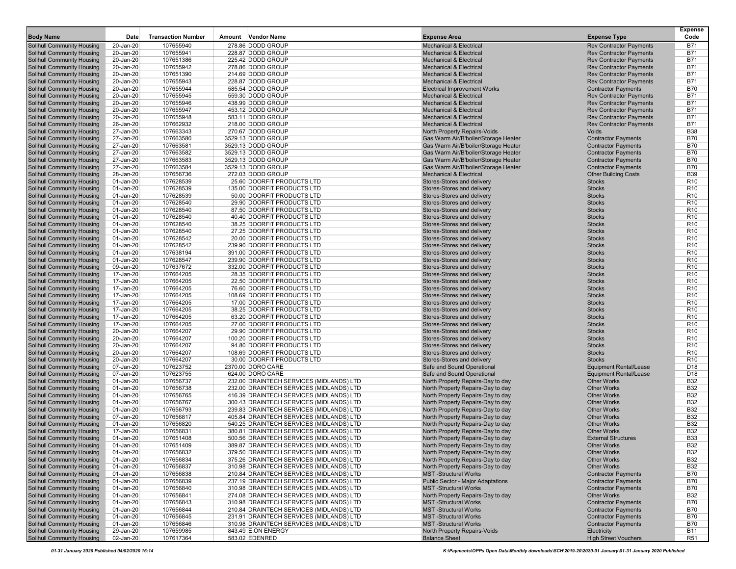| <b>Body Name</b>                                                | Date                   | <b>Transaction Number</b> | Amount Vendor Name                                                                   | <b>Expense Area</b>                                                      | <b>Expense Type</b>                                              | <b>Expense</b><br>Code             |
|-----------------------------------------------------------------|------------------------|---------------------------|--------------------------------------------------------------------------------------|--------------------------------------------------------------------------|------------------------------------------------------------------|------------------------------------|
| <b>Solihull Community Housing</b>                               | 20-Jan-20              | 107655940                 | 278.86 DODD GROUP                                                                    | <b>Mechanical &amp; Electrical</b>                                       | <b>Rev Contractor Payments</b>                                   | <b>B71</b>                         |
| <b>Solihull Community Housing</b>                               | 20-Jan-20              | 107655941                 | 228.87 DODD GROUP                                                                    | <b>Mechanical &amp; Electrical</b>                                       | <b>Rev Contractor Payments</b>                                   | B71                                |
| Solihull Community Housing                                      | 20-Jan-20              | 107651386                 | 225.42 DODD GROUP                                                                    | <b>Mechanical &amp; Electrical</b>                                       | <b>Rev Contractor Payments</b>                                   | <b>B71</b>                         |
| <b>Solihull Community Housing</b>                               | 20-Jan-20              | 107655942                 | 278.86 DODD GROUP                                                                    | <b>Mechanical &amp; Electrical</b>                                       | <b>Rev Contractor Payments</b>                                   | B71                                |
| Solihull Community Housing                                      | 20-Jan-20              | 107651390                 | 214.69 DODD GROUP                                                                    | <b>Mechanical &amp; Electrical</b>                                       | <b>Rev Contractor Payments</b>                                   | <b>B71</b>                         |
| <b>Solihull Community Housing</b>                               | 20-Jan-20              | 107655943                 | 228.87 DODD GROUP                                                                    | <b>Mechanical &amp; Electrical</b>                                       | <b>Rev Contractor Payments</b>                                   | <b>B71</b>                         |
| Solihull Community Housing                                      | 20-Jan-20              | 107655944                 | 585.54 DODD GROUP                                                                    | <b>Electrical Improvement Works</b>                                      | <b>Contractor Payments</b>                                       | <b>B70</b>                         |
| Solihull Community Housing                                      | 20-Jan-20              | 107655945                 | 559.30 DODD GROUP                                                                    | <b>Mechanical &amp; Electrical</b>                                       | <b>Rev Contractor Payments</b>                                   | <b>B71</b><br>B71                  |
| Solihull Community Housing<br>Solihull Community Housing        | 20-Jan-20<br>20-Jan-20 | 107655946<br>107655947    | 438.99 DODD GROUP<br>453.12 DODD GROUP                                               | <b>Mechanical &amp; Electrical</b><br><b>Mechanical &amp; Electrical</b> | <b>Rev Contractor Payments</b><br><b>Rev Contractor Payments</b> | <b>B71</b>                         |
| <b>Solihull Community Housing</b>                               | 20-Jan-20              | 107655948                 | 583.11 DODD GROUP                                                                    | <b>Mechanical &amp; Electrical</b>                                       | <b>Rev Contractor Payments</b>                                   | <b>B71</b>                         |
| Solihull Community Housing                                      | 26-Jan-20              | 107662932                 | 218.00 DODD GROUP                                                                    | <b>Mechanical &amp; Electrical</b>                                       | <b>Rev Contractor Payments</b>                                   | <b>B71</b>                         |
| <b>Solihull Community Housing</b>                               | 27-Jan-20              | 107663343                 | 270.67 DODD GROUP                                                                    | <b>North Property Repairs-Voids</b>                                      | <b>Voids</b>                                                     | <b>B38</b>                         |
| Solihull Community Housing                                      | 27-Jan-20              | 107663580                 | 3529.13 DODD GROUP                                                                   | Gas Warm Air/B'boiler/Storage Heater                                     | <b>Contractor Payments</b>                                       | <b>B70</b>                         |
| Solihull Community Housing                                      | 27-Jan-20              | 107663581                 | 3529.13 DODD GROUP                                                                   | Gas Warm Air/B'boiler/Storage Heater                                     | <b>Contractor Payments</b>                                       | <b>B70</b>                         |
| Solihull Community Housing                                      | 27-Jan-20              | 107663582                 | 3529.13 DODD GROUP                                                                   | Gas Warm Air/B'boiler/Storage Heater                                     | <b>Contractor Payments</b>                                       | <b>B70</b>                         |
| Solihull Community Housing                                      | 27-Jan-20              | 107663583                 | 3529.13 DODD GROUP                                                                   | Gas Warm Air/B'boiler/Storage Heater                                     | <b>Contractor Payments</b>                                       | <b>B70</b>                         |
| Solihull Community Housing                                      | 27-Jan-20              | 107663584                 | 3529.13 DODD GROUP                                                                   | Gas Warm Air/B'boiler/Storage Heater                                     | <b>Contractor Payments</b>                                       | <b>B70</b>                         |
| Solihull Community Housing                                      | 28-Jan-20              | 107656736                 | 272.03 DODD GROUP                                                                    | <b>Mechanical &amp; Electrical</b>                                       | <b>Other Building Costs</b>                                      | <b>B39</b>                         |
| <b>Solihull Community Housing</b>                               | 01-Jan-20              | 107628539                 | 25.60 DOORFIT PRODUCTS LTD                                                           | Stores-Stores and delivery                                               | <b>Stocks</b>                                                    | R <sub>10</sub>                    |
| Solihull Community Housing                                      | 01-Jan-20              | 107628539                 | 135.00 DOORFIT PRODUCTS LTD                                                          | Stores-Stores and delivery                                               | <b>Stocks</b>                                                    | R <sub>10</sub>                    |
| Solihull Community Housing<br><b>Solihull Community Housing</b> | 01-Jan-20<br>01-Jan-20 | 107628539<br>107628540    | 50.00 DOORFIT PRODUCTS LTD<br>29.90 DOORFIT PRODUCTS LTD                             | Stores-Stores and delivery<br>Stores-Stores and delivery                 | <b>Stocks</b><br><b>Stocks</b>                                   | R <sub>10</sub><br>R <sub>10</sub> |
| Solihull Community Housing                                      | 01-Jan-20              | 107628540                 | 87.50 DOORFIT PRODUCTS LTD                                                           | Stores-Stores and delivery                                               | <b>Stocks</b>                                                    | R <sub>10</sub>                    |
| Solihull Community Housing                                      | 01-Jan-20              | 107628540                 | 40.40 DOORFIT PRODUCTS LTD                                                           | Stores-Stores and delivery                                               | <b>Stocks</b>                                                    | R <sub>10</sub>                    |
| Solihull Community Housing                                      | 01-Jan-20              | 107628540                 | 38.25 DOORFIT PRODUCTS LTD                                                           | Stores-Stores and delivery                                               | <b>Stocks</b>                                                    | R <sub>10</sub>                    |
| Solihull Community Housing                                      | 01-Jan-20              | 107628540                 | 27.25 DOORFIT PRODUCTS LTD                                                           | Stores-Stores and delivery                                               | <b>Stocks</b>                                                    | R <sub>10</sub>                    |
| Solihull Community Housing                                      | 01-Jan-20              | 107628542                 | 20.00 DOORFIT PRODUCTS LTD                                                           | Stores-Stores and delivery                                               | <b>Stocks</b>                                                    | R <sub>10</sub>                    |
| <b>Solihull Community Housing</b>                               | 01-Jan-20              | 107628542                 | 239.90 DOORFIT PRODUCTS LTD                                                          | Stores-Stores and delivery                                               | <b>Stocks</b>                                                    | R <sub>10</sub>                    |
| Solihull Community Housing                                      | 01-Jan-20              | 107638194                 | 391.00 DOORFIT PRODUCTS LTD                                                          | Stores-Stores and delivery                                               | <b>Stocks</b>                                                    | R <sub>10</sub>                    |
| Solihull Community Housing                                      | 01-Jan-20              | 107628547                 | 239.90 DOORFIT PRODUCTS LTD                                                          | Stores-Stores and delivery                                               | <b>Stocks</b>                                                    | R <sub>10</sub>                    |
| Solihull Community Housing                                      | 09-Jan-20              | 107637672                 | 332.00 DOORFIT PRODUCTS LTD                                                          | Stores-Stores and delivery                                               | <b>Stocks</b>                                                    | R <sub>10</sub>                    |
| Solihull Community Housing                                      | 17-Jan-20              | 107664205                 | 28.35 DOORFIT PRODUCTS LTD                                                           | Stores-Stores and delivery                                               | <b>Stocks</b><br><b>Stocks</b>                                   | R <sub>10</sub><br>R <sub>10</sub> |
| Solihull Community Housing<br>Solihull Community Housing        | 17-Jan-20<br>17-Jan-20 | 107664205<br>107664205    | 22.50 DOORFIT PRODUCTS LTD<br>76.60 DOORFIT PRODUCTS LTD                             | Stores-Stores and delivery<br>Stores-Stores and delivery                 | <b>Stocks</b>                                                    | R <sub>10</sub>                    |
| <b>Solihull Community Housing</b>                               | 17-Jan-20              | 107664205                 | 108.69 DOORFIT PRODUCTS LTD                                                          | Stores-Stores and delivery                                               | <b>Stocks</b>                                                    | R <sub>10</sub>                    |
| Solihull Community Housing                                      | 17-Jan-20              | 107664205                 | 17.00 DOORFIT PRODUCTS LTD                                                           | Stores-Stores and delivery                                               | <b>Stocks</b>                                                    | R <sub>10</sub>                    |
| <b>Solihull Community Housing</b>                               | 17-Jan-20              | 107664205                 | 38.25 DOORFIT PRODUCTS LTD                                                           | Stores-Stores and delivery                                               | <b>Stocks</b>                                                    | R <sub>10</sub>                    |
| Solihull Community Housing                                      | 17-Jan-20              | 107664205                 | 63.20 DOORFIT PRODUCTS LTD                                                           | Stores-Stores and delivery                                               | <b>Stocks</b>                                                    | R <sub>10</sub>                    |
| Solihull Community Housing                                      | 17-Jan-20              | 107664205                 | 27.00 DOORFIT PRODUCTS LTD                                                           | Stores-Stores and delivery                                               | <b>Stocks</b>                                                    | R <sub>10</sub>                    |
| Solihull Community Housing                                      | 20-Jan-20              | 107664207                 | 29.90 DOORFIT PRODUCTS LTD                                                           | Stores-Stores and delivery                                               | <b>Stocks</b>                                                    | R <sub>10</sub>                    |
| Solihull Community Housing                                      | 20-Jan-20              | 107664207                 | 100.20 DOORFIT PRODUCTS LTD                                                          | Stores-Stores and delivery                                               | <b>Stocks</b>                                                    | R <sub>10</sub>                    |
| Solihull Community Housing                                      | 20-Jan-20              | 107664207                 | 94.80 DOORFIT PRODUCTS LTD                                                           | Stores-Stores and delivery                                               | <b>Stocks</b>                                                    | R <sub>10</sub>                    |
| Solihull Community Housing                                      | 20-Jan-20              | 107664207                 | 108.69 DOORFIT PRODUCTS LTD                                                          | Stores-Stores and delivery                                               | <b>Stocks</b>                                                    | R <sub>10</sub>                    |
| <b>Solihull Community Housing</b><br>Solihull Community Housing | 20-Jan-20<br>07-Jan-20 | 107664207<br>107623752    | 30.00 DOORFIT PRODUCTS LTD<br>2370.00 DORO CARE                                      | Stores-Stores and delivery<br>Safe and Sound Operational                 | <b>Stocks</b><br><b>Equipment Rental/Lease</b>                   | R <sub>10</sub><br>D <sub>18</sub> |
| Solihull Community Housing                                      | 07-Jan-20              | 107623755                 | 624.00 DORO CARE                                                                     | Safe and Sound Operational                                               | <b>Equipment Rental/Lease</b>                                    | D <sub>18</sub>                    |
| <b>Solihull Community Housing</b>                               | 01-Jan-20              | 107656737                 | 232.00 DRAINTECH SERVICES (MIDLANDS) LTD                                             | North Property Repairs-Day to day                                        | <b>Other Works</b>                                               | <b>B32</b>                         |
| Solihull Community Housing                                      | 01-Jan-20              | 107656738                 | 232.00 DRAINTECH SERVICES (MIDLANDS) LTD                                             | North Property Repairs-Day to day                                        | <b>Other Works</b>                                               | <b>B32</b>                         |
| Solihull Community Housing                                      | 01-Jan-20              | 107656765                 | 416.39 DRAINTECH SERVICES (MIDLANDS) LTD                                             | North Property Repairs-Day to day                                        | <b>Other Works</b>                                               | <b>B32</b>                         |
| Solihull Community Housing                                      | 01-Jan-20              | 107656767                 | 300.43 DRAINTECH SERVICES (MIDLANDS) LTD                                             | North Property Repairs-Day to day                                        | <b>Other Works</b>                                               | <b>B32</b>                         |
| <b>Solihull Community Housing</b>                               | 01-Jan-20              | 107656793                 | 239.83 DRAINTECH SERVICES (MIDLANDS) LTD                                             | North Property Repairs-Day to day                                        | <b>Other Works</b>                                               | <b>B32</b>                         |
| Solihull Community Housing                                      | 07-Jan-20              | 107656817                 | 405.84 DRAINTECH SERVICES (MIDLANDS) LTD                                             | North Property Repairs-Day to day                                        | <b>Other Works</b>                                               | <b>B32</b>                         |
| <b>Solihull Community Housing</b>                               | 01-Jan-20              | 107656820                 | 540.25 DRAINTECH SERVICES (MIDLANDS) LTD                                             | North Property Repairs-Day to day                                        | <b>Other Works</b>                                               | <b>B32</b>                         |
| Solihull Community Housing                                      | 17-Jan-20              | 107656831                 | 380.81 DRAINTECH SERVICES (MIDLANDS) LTD                                             | North Property Repairs-Day to day                                        | <b>Other Works</b>                                               | <b>B32</b>                         |
| <b>Solihull Community Housing</b>                               | 01-Jan-20              | 107651408                 | 500.56 DRAINTECH SERVICES (MIDLANDS) LTD                                             | North Property Repairs-Day to day                                        | <b>External Structures</b>                                       | <b>B33</b>                         |
| <b>Solihull Community Housing</b><br>Solihull Community Housing | 01-Jan-20<br>01-Jan-20 | 107651409<br>107656832    | 389.87 DRAINTECH SERVICES (MIDLANDS) LTD<br>379.50 DRAINTECH SERVICES (MIDLANDS) LTD | North Property Repairs-Day to day<br>North Property Repairs-Day to day   | <b>Other Works</b><br><b>Other Works</b>                         | B32<br><b>B32</b>                  |
| Solihull Community Housing                                      | 01-Jan-20              | 107656834                 | 375.26 DRAINTECH SERVICES (MIDLANDS) LTD                                             | North Property Repairs-Day to day                                        | <b>Other Works</b>                                               | <b>B32</b>                         |
| <b>Solihull Community Housing</b>                               | 01-Jan-20              | 107656837                 | 310.98 DRAINTECH SERVICES (MIDLANDS) LTD                                             | North Property Repairs-Day to day                                        | <b>Other Works</b>                                               | <b>B32</b>                         |
| Solihull Community Housing                                      | 01-Jan-20              | 107656838                 | 210.84 DRAINTECH SERVICES (MIDLANDS) LTD                                             | <b>MST-Structural Works</b>                                              | <b>Contractor Payments</b>                                       | <b>B70</b>                         |
| Solihull Community Housing                                      | 01-Jan-20              | 107656839                 | 237.19 DRAINTECH SERVICES (MIDLANDS) LTD                                             | Public Sector - Major Adaptations                                        | <b>Contractor Payments</b>                                       | <b>B70</b>                         |
| Solihull Community Housing                                      | 01-Jan-20              | 107656840                 | 310.98 DRAINTECH SERVICES (MIDLANDS) LTD                                             | <b>MST-Structural Works</b>                                              | <b>Contractor Payments</b>                                       | <b>B70</b>                         |
| Solihull Community Housing                                      | 01-Jan-20              | 107656841                 | 274.08 DRAINTECH SERVICES (MIDLANDS) LTD                                             | North Property Repairs-Day to day                                        | <b>Other Works</b>                                               | <b>B32</b>                         |
| Solihull Community Housing                                      | 01-Jan-20              | 107656843                 | 310.98 DRAINTECH SERVICES (MIDLANDS) LTD                                             | <b>MST-Structural Works</b>                                              | <b>Contractor Payments</b>                                       | <b>B70</b>                         |
| Solihull Community Housing                                      | 01-Jan-20              | 107656844                 | 210.84 DRAINTECH SERVICES (MIDLANDS) LTD                                             | <b>MST-Structural Works</b>                                              | <b>Contractor Payments</b>                                       | <b>B70</b>                         |
| Solihull Community Housing                                      | 01-Jan-20              | 107656845                 | 231.91 DRAINTECH SERVICES (MIDLANDS) LTD                                             | <b>MST-Structural Works</b>                                              | <b>Contractor Payments</b>                                       | <b>B70</b>                         |
| Solihull Community Housing<br>Solihull Community Housing        | 01-Jan-20              | 107656846                 | 310.98 DRAINTECH SERVICES (MIDLANDS) LTD                                             | <b>MST-Structural Works</b>                                              | <b>Contractor Payments</b>                                       | <b>B70</b>                         |
| Solihull Community Housing                                      | 29-Jan-20<br>02-Jan-20 | 107659985<br>107617364    | 843.49 E.ON ENERGY<br>583.02 EDENRED                                                 | North Property Repairs-Voids<br><b>Balance Sheet</b>                     | Electricity<br><b>High Street Vouchers</b>                       | <b>B11</b><br>R <sub>51</sub>      |
|                                                                 |                        |                           |                                                                                      |                                                                          |                                                                  |                                    |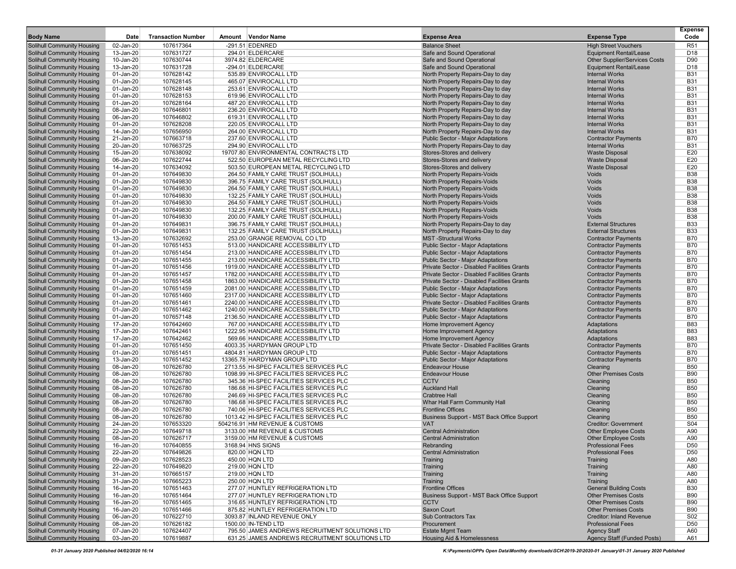| <b>Body Name</b>                                                       | Date                   | <b>Transaction Number</b> | Amount Vendor Name                                                               | <b>Expense Area</b>                                                                  | <b>Expense Type</b>                                      | <b>Expense</b><br>Code   |
|------------------------------------------------------------------------|------------------------|---------------------------|----------------------------------------------------------------------------------|--------------------------------------------------------------------------------------|----------------------------------------------------------|--------------------------|
| <b>Solihull Community Housing</b>                                      | 02-Jan-20              | 107617364                 | $-291.51$ EDENRED                                                                | <b>Balance Sheet</b>                                                                 | <b>High Street Vouchers</b>                              | R <sub>51</sub>          |
| <b>Solihull Community Housing</b>                                      | 13-Jan-20              | 107631727                 | 294.01 ELDERCARE                                                                 | Safe and Sound Operational                                                           | <b>Equipment Rental/Lease</b>                            | D <sub>18</sub>          |
| Solihull Community Housing                                             | 10-Jan-20              | 107630744                 | 3974.82 ELDERCARE                                                                | Safe and Sound Operational                                                           | <b>Other Supplier/Services Costs</b>                     | D90                      |
| <b>Solihull Community Housing</b>                                      | 13-Jan-20              | 107631728                 | -294.01 ELDERCARE                                                                | Safe and Sound Operational                                                           | <b>Equipment Rental/Lease</b>                            | D <sub>18</sub>          |
| Solihull Community Housing                                             | 01-Jan-20              | 107628142                 | 535.89 ENVIROCALL LTD                                                            | North Property Repairs-Day to day                                                    | <b>Internal Works</b>                                    | <b>B31</b>               |
| Solihull Community Housing                                             | 01-Jan-20              | 107628145                 | 465.07 ENVIROCALL LTD                                                            | North Property Repairs-Day to day                                                    | <b>Internal Works</b>                                    | <b>B31</b>               |
| <b>Solihull Community Housing</b><br><b>Solihull Community Housing</b> | 01-Jan-20<br>01-Jan-20 | 107628148<br>107628153    | 253.61 ENVIROCALL LTD<br>619.96 ENVIROCALL LTD                                   | North Property Repairs-Day to day<br>North Property Repairs-Day to day               | <b>Internal Works</b><br><b>Internal Works</b>           | <b>B31</b><br><b>B31</b> |
| Solihull Community Housing                                             | 01-Jan-20              | 107628164                 | 487.20 ENVIROCALL LTD                                                            | North Property Repairs-Day to day                                                    | <b>Internal Works</b>                                    | <b>B31</b>               |
| Solihull Community Housing                                             | 08-Jan-20              | 107646801                 | 236.20 ENVIROCALL LTD                                                            | North Property Repairs-Day to day                                                    | <b>Internal Works</b>                                    | <b>B31</b>               |
| <b>Solihull Community Housing</b>                                      | 06-Jan-20              | 107646802                 | 619.31 ENVIROCALL LTD                                                            | North Property Repairs-Day to day                                                    | <b>Internal Works</b>                                    | <b>B31</b>               |
| Solihull Community Housing                                             | 01-Jan-20              | 107628208                 | 220.05 ENVIROCALL LTD                                                            | North Property Repairs-Day to day                                                    | <b>Internal Works</b>                                    | <b>B31</b>               |
| Solihull Community Housing                                             | 14-Jan-20              | 107656950                 | 264.00 ENVIROCALL LTD                                                            | North Property Repairs-Day to day                                                    | <b>Internal Works</b>                                    | <b>B31</b>               |
| <b>Solihull Community Housing</b>                                      | 21-Jan-20              | 107663718                 | 237.60 ENVIROCALL LTD                                                            | Public Sector - Major Adaptations                                                    | <b>Contractor Payments</b>                               | <b>B70</b>               |
| <b>Solihull Community Housing</b>                                      | 20-Jan-20              | 107663725                 | 294.90 ENVIROCALL LTD                                                            | North Property Repairs-Day to day                                                    | <b>Internal Works</b>                                    | <b>B31</b>               |
| Solihull Community Housing                                             | 15-Jan-20              | 107638092                 | 19707.80 ENVIRONMENTAL CONTRACTS LTD                                             | Stores-Stores and delivery                                                           | <b>Waste Disposal</b>                                    | E20                      |
| Solihull Community Housing                                             | 06-Jan-20              | 107622744<br>107634092    | 522.50 EUROPEAN METAL RECYCLING LTD                                              | Stores-Stores and delivery                                                           | <b>Waste Disposal</b>                                    | E20<br>E20               |
| <b>Solihull Community Housing</b><br>Solihull Community Housing        | 14-Jan-20<br>01-Jan-20 | 107649830                 | 503.50 EUROPEAN METAL RECYCLING LTD<br>264.50 FAMILY CARE TRUST (SOLIHULL)       | Stores-Stores and delivery<br>North Property Repairs-Voids                           | <b>Waste Disposal</b><br>Voids                           | <b>B38</b>               |
| Solihull Community Housing                                             | 01-Jan-20              | 107649830                 | 396.75 FAMILY CARE TRUST (SOLIHULL)                                              | North Property Repairs-Voids                                                         | Voids                                                    | <b>B38</b>               |
| Solihull Community Housing                                             | 01-Jan-20              | 107649830                 | 264.50 FAMILY CARE TRUST (SOLIHULL)                                              | <b>North Property Repairs-Voids</b>                                                  | Voids                                                    | <b>B38</b>               |
| Solihull Community Housing                                             | 01-Jan-20              | 107649830                 | 132.25 FAMILY CARE TRUST (SOLIHULL)                                              | North Property Repairs-Voids                                                         | Voids                                                    | <b>B38</b>               |
| <b>Solihull Community Housing</b>                                      | 01-Jan-20              | 107649830                 | 264.50 FAMILY CARE TRUST (SOLIHULL)                                              | North Property Repairs-Voids                                                         | Voids                                                    | <b>B38</b>               |
| Solihull Community Housing                                             | 01-Jan-20              | 107649830                 | 132.25 FAMILY CARE TRUST (SOLIHULL)                                              | North Property Repairs-Voids                                                         | Voids                                                    | <b>B38</b>               |
| <b>Solihull Community Housing</b>                                      | 01-Jan-20              | 107649830                 | 200.00 FAMILY CARE TRUST (SOLIHULL)                                              | North Property Repairs-Voids                                                         | Voids                                                    | <b>B38</b>               |
| Solihull Community Housing                                             | 01-Jan-20              | 107649831                 | 396.75 FAMILY CARE TRUST (SOLIHULL)                                              | North Property Repairs-Day to day                                                    | <b>External Structures</b>                               | <b>B33</b>               |
| Solihull Community Housing                                             | 01-Jan-20              | 107649831                 | 132.25 FAMILY CARE TRUST (SOLIHULL)                                              | North Property Repairs-Day to day                                                    | <b>External Structures</b>                               | <b>B33</b>               |
| Solihull Community Housing                                             | 13-Jan-20              | 107632692                 | 253.00 GRANGE REMOVAL CO LTD<br>513.00 HANDICARE ACCESSIBILITY LTD               | <b>MST-Structural Works</b>                                                          | <b>Contractor Payments</b>                               | <b>B70</b><br><b>B70</b> |
| <b>Solihull Community Housing</b><br><b>Solihull Community Housing</b> | 01-Jan-20<br>01-Jan-20 | 107651453<br>107651454    | 213.00 HANDICARE ACCESSIBILITY LTD                                               | <b>Public Sector - Major Adaptations</b><br><b>Public Sector - Major Adaptations</b> | <b>Contractor Payments</b><br><b>Contractor Payments</b> | <b>B70</b>               |
| Solihull Community Housing                                             | 01-Jan-20              | 107651455                 | 213.00 HANDICARE ACCESSIBILITY LTD                                               | <b>Public Sector - Major Adaptations</b>                                             | <b>Contractor Payments</b>                               | <b>B70</b>               |
| <b>Solihull Community Housing</b>                                      | 01-Jan-20              | 107651456                 | 1919.00 HANDICARE ACCESSIBILITY LTD                                              | <b>Private Sector - Disabled Facilities Grants</b>                                   | <b>Contractor Payments</b>                               | <b>B70</b>               |
| <b>Solihull Community Housing</b>                                      | 01-Jan-20              | 107651457                 | 1782.00 HANDICARE ACCESSIBILITY LTD                                              | <b>Private Sector - Disabled Facilities Grants</b>                                   | <b>Contractor Payments</b>                               | <b>B70</b>               |
| <b>Solihull Community Housing</b>                                      | 01-Jan-20              | 107651458                 | 1863.00 HANDICARE ACCESSIBILITY LTD                                              | Private Sector - Disabled Facilities Grants                                          | <b>Contractor Payments</b>                               | <b>B70</b>               |
| Solihull Community Housing                                             | 01-Jan-20              | 107651459                 | 2081.00 HANDICARE ACCESSIBILITY LTD                                              | <b>Public Sector - Major Adaptations</b>                                             | <b>Contractor Payments</b>                               | <b>B70</b>               |
| <b>Solihull Community Housing</b>                                      | 01-Jan-20              | 107651460                 | 2317.00 HANDICARE ACCESSIBILITY LTD                                              | <b>Public Sector - Major Adaptations</b>                                             | <b>Contractor Payments</b>                               | <b>B70</b>               |
| Solihull Community Housing                                             | 01-Jan-20              | 107651461                 | 2240.00 HANDICARE ACCESSIBILITY LTD                                              | <b>Private Sector - Disabled Facilities Grants</b>                                   | <b>Contractor Payments</b>                               | <b>B70</b>               |
| Solihull Community Housing                                             | 01-Jan-20              | 107651462                 | 1240.00 HANDICARE ACCESSIBILITY LTD                                              | <b>Public Sector - Major Adaptations</b>                                             | <b>Contractor Payments</b>                               | <b>B70</b>               |
| Solihull Community Housing<br><b>Solihull Community Housing</b>        | 01-Jan-20<br>17-Jan-20 | 107657148<br>107642460    | 2136.50 HANDICARE ACCESSIBILITY LTD<br>767.00 HANDICARE ACCESSIBILITY LTD        | <b>Public Sector - Major Adaptations</b><br>Home Improvement Agency                  | <b>Contractor Payments</b><br>Adaptations                | <b>B70</b><br><b>B83</b> |
| <b>Solihull Community Housing</b>                                      | 17-Jan-20              | 107642461                 | 1222.95 HANDICARE ACCESSIBILITY LTD                                              | Home Improvement Agency                                                              | Adaptations                                              | <b>B83</b>               |
| Solihull Community Housing                                             | 17-Jan-20              | 107642462                 | 569.66 HANDICARE ACCESSIBILITY LTD                                               | Home Improvement Agency                                                              | Adaptations                                              | <b>B83</b>               |
| <b>Solihull Community Housing</b>                                      | 01-Jan-20              | 107651450                 | 4003.35 HARDYMAN GROUP LTD                                                       | Private Sector - Disabled Facilities Grants                                          | <b>Contractor Payments</b>                               | <b>B70</b>               |
| Solihull Community Housing                                             | 01-Jan-20              | 107651451                 | 4804.81 HARDYMAN GROUP LTD                                                       | <b>Public Sector - Major Adaptations</b>                                             | <b>Contractor Payments</b>                               | <b>B70</b>               |
| Solihull Community Housing                                             | 13-Jan-20              | 107651452                 | 13365.78 HARDYMAN GROUP LTD                                                      | <b>Public Sector - Major Adaptations</b>                                             | <b>Contractor Payments</b>                               | <b>B70</b>               |
| Solihull Community Housing                                             | 08-Jan-20              | 107626780                 | 2713.55 HI-SPEC FACILITIES SERVICES PLC                                          | <b>Endeavour House</b>                                                               | Cleaning                                                 | <b>B50</b>               |
| Solihull Community Housing                                             | 08-Jan-20              | 107626780                 | 1098.99 HI-SPEC FACILITIES SERVICES PLC                                          | <b>Endeavour House</b>                                                               | <b>Other Premises Costs</b>                              | <b>B90</b>               |
| <b>Solihull Community Housing</b>                                      | 08-Jan-20              | 107626780                 | 345.36 HI-SPEC FACILITIES SERVICES PLC                                           | <b>CCTV</b>                                                                          | Cleaning                                                 | <b>B50</b>               |
| Solihull Community Housing<br><b>Solihull Community Housing</b>        | 08-Jan-20              | 107626780                 | 186.68 HI-SPEC FACILITIES SERVICES PLC<br>246.69 HI-SPEC FACILITIES SERVICES PLC | <b>Auckland Hall</b>                                                                 | Cleaning                                                 | <b>B50</b><br><b>B50</b> |
| Solihull Community Housing                                             | 08-Jan-20<br>08-Jan-20 | 107626780<br>107626780    | 186.68 HI-SPEC FACILITIES SERVICES PLC                                           | <b>Crabtree Hall</b><br>Whar Hall Farm Community Hall                                | Cleaning<br>Cleaning                                     | <b>B50</b>               |
| Solihull Community Housing                                             | 08-Jan-20              | 107626780                 | 740.06 HI-SPEC FACILITIES SERVICES PLC                                           | <b>Frontline Offices</b>                                                             | Cleaning                                                 | <b>B50</b>               |
| Solihull Community Housing                                             | 08-Jan-20              | 107626780                 | 1013.42 HI-SPEC FACILITIES SERVICES PLC                                          | <b>Business Support - MST Back Office Support</b>                                    | Cleaning                                                 | <b>B50</b>               |
| <b>Solihull Community Housing</b>                                      | 24-Jan-20              | 107653320                 | 504216.91 HM REVENUE & CUSTOMS                                                   | <b>VAT</b>                                                                           | <b>Creditor: Government</b>                              | S04                      |
| <b>Solihull Community Housing</b>                                      | 22-Jan-20              | 107649718                 | 3133.00 HM REVENUE & CUSTOMS                                                     | <b>Central Administration</b>                                                        | <b>Other Employee Costs</b>                              | A90                      |
| <b>Solihull Community Housing</b>                                      | 08-Jan-20              | 107626717                 | 3159.00 HM REVENUE & CUSTOMS                                                     | <b>Central Administration</b>                                                        | <b>Other Employee Costs</b>                              | A90                      |
| Solihull Community Housing                                             | 16-Jan-20              | 107640855                 | 3168.94 HNS SIGNS                                                                | Rebranding                                                                           | <b>Professional Fees</b>                                 | D <sub>50</sub>          |
| Solihull Community Housing                                             | 22-Jan-20              | 107649826                 | 820.00 HQN LTD                                                                   | <b>Central Administration</b>                                                        | <b>Professional Fees</b>                                 | D <sub>50</sub>          |
| <b>Solihull Community Housing</b>                                      | 09-Jan-20              | 107628523                 | 450.00 HQN LTD                                                                   | Training                                                                             | Training                                                 | A80                      |
| <b>Solihull Community Housing</b><br>Solihull Community Housing        | 22-Jan-20<br>31-Jan-20 | 107649820<br>107665157    | 219.00 HQN LTD<br>219.00 HQN LTD                                                 | Training<br>Training                                                                 | Training<br>Training                                     | A80<br>A80               |
| <b>Solihull Community Housing</b>                                      | 31-Jan-20              | 107665223                 | 250.00 HQN LTD                                                                   | Training                                                                             | Training                                                 | A80                      |
| Solihull Community Housing                                             | 16-Jan-20              | 107651463                 | 277.07 HUNTLEY REFRIGERATION LTD                                                 | <b>Frontline Offices</b>                                                             | <b>General Building Costs</b>                            | <b>B30</b>               |
| Solihull Community Housing                                             | 16-Jan-20              | 107651464                 | 277.07 HUNTLEY REFRIGERATION LTD                                                 | Business Support - MST Back Office Support                                           | <b>Other Premises Costs</b>                              | <b>B90</b>               |
| Solihull Community Housing                                             | 16-Jan-20              | 107651465                 | 316.65 HUNTLEY REFRIGERATION LTD                                                 | <b>CCTV</b>                                                                          | <b>Other Premises Costs</b>                              | <b>B90</b>               |
| Solihull Community Housing                                             | 16-Jan-20              | 107651466                 | 875.82 HUNTLEY REFRIGERATION LTD                                                 | <b>Saxon Court</b>                                                                   | <b>Other Premises Costs</b>                              | <b>B90</b>               |
| Solihull Community Housing                                             | 06-Jan-20              | 107622710                 | 3093.87 INLAND REVENUE ONLY                                                      | Sub Contractors Tax                                                                  | Creditor: Inland Revenue                                 | S02                      |
| <b>Solihull Community Housing</b>                                      | 08-Jan-20              | 107626182                 | 1500.00 IN-TEND LTD                                                              | Procurement                                                                          | <b>Professional Fees</b>                                 | D <sub>50</sub>          |
| Solihull Community Housing                                             | 07-Jan-20              | 107624407                 | 795.50 JAMES ANDREWS RECRUITMENT SOLUTIONS LTD                                   | <b>Estate Mgmt Team</b>                                                              | <b>Agency Staff</b>                                      | A60                      |
| <b>Solihull Community Housing</b>                                      | 03-Jan-20              | 107619887                 | 631.25 JAMES ANDREWS RECRUITMENT SOLUTIONS LTD                                   | <b>Housing Aid &amp; Homelessness</b>                                                | Agency Staff (Funded Posts)                              | A61                      |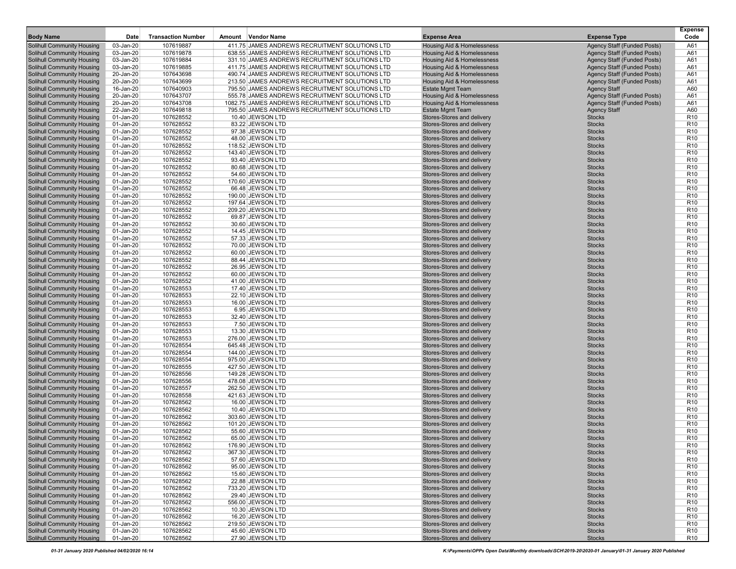| <b>Body Name</b>                                                       | Date                   | <b>Transaction Number</b> | Amount | <b>Vendor Name</b>                                                                               | <b>Expense Area</b>                                              | <b>Expense Type</b>                                       | <b>Expense</b><br>Code             |
|------------------------------------------------------------------------|------------------------|---------------------------|--------|--------------------------------------------------------------------------------------------------|------------------------------------------------------------------|-----------------------------------------------------------|------------------------------------|
| <b>Solihull Community Housing</b>                                      | 03-Jan-20              | 107619887                 |        | 411.75 JAMES ANDREWS RECRUITMENT SOLUTIONS LTD                                                   | <b>Housing Aid &amp; Homelessness</b>                            | Agency Staff (Funded Posts)                               | A61                                |
| <b>Solihull Community Housing</b>                                      | 03-Jan-20              | 107619878                 |        | 638.55 JAMES ANDREWS RECRUITMENT SOLUTIONS LTD                                                   | <b>Housing Aid &amp; Homelessness</b>                            | Agency Staff (Funded Posts)                               | A61                                |
| <b>Solihull Community Housing</b>                                      | 03-Jan-20              | 107619884                 |        | 331.10 JAMES ANDREWS RECRUITMENT SOLUTIONS LTD                                                   | <b>Housing Aid &amp; Homelessness</b>                            | <b>Agency Staff (Funded Posts)</b>                        | A61                                |
| <b>Solihull Community Housing</b>                                      | 03-Jan-20              | 107619885                 |        | 411.75 JAMES ANDREWS RECRUITMENT SOLUTIONS LTD                                                   | Housing Aid & Homelessness                                       | Agency Staff (Funded Posts)                               | A61                                |
| <b>Solihull Community Housing</b>                                      | 20-Jan-20              | 107643698                 |        | 490.74 JAMES ANDREWS RECRUITMENT SOLUTIONS LTD                                                   | <b>Housing Aid &amp; Homelessness</b>                            | Agency Staff (Funded Posts)                               | A61                                |
| <b>Solihull Community Housing</b><br><b>Solihull Community Housing</b> | 20-Jan-20<br>16-Jan-20 | 107643699<br>107640903    |        | 213.50 JAMES ANDREWS RECRUITMENT SOLUTIONS LTD<br>795.50 JAMES ANDREWS RECRUITMENT SOLUTIONS LTD | <b>Housing Aid &amp; Homelessness</b><br><b>Estate Mgmt Team</b> | <b>Agency Staff (Funded Posts)</b><br><b>Agency Staff</b> | A61<br>A60                         |
| <b>Solihull Community Housing</b>                                      | 20-Jan-20              | 107643707                 |        | 555.78 JAMES ANDREWS RECRUITMENT SOLUTIONS LTD                                                   | <b>Housing Aid &amp; Homelessness</b>                            | Agency Staff (Funded Posts)                               | A61                                |
| <b>Solihull Community Housing</b>                                      | 20-Jan-20              | 107643708                 |        | 1082.75 JAMES ANDREWS RECRUITMENT SOLUTIONS LTD                                                  | <b>Housing Aid &amp; Homelessness</b>                            | Agency Staff (Funded Posts)                               | A61                                |
| <b>Solihull Community Housing</b>                                      | 22-Jan-20              | 107649818                 |        | 795.50 JAMES ANDREWS RECRUITMENT SOLUTIONS LTD                                                   | <b>Estate Mgmt Team</b>                                          | <b>Agency Staff</b>                                       | A60                                |
| <b>Solihull Community Housing</b>                                      | 01-Jan-20              | 107628552                 |        | 10.40 JEWSON LTD                                                                                 | Stores-Stores and delivery                                       | <b>Stocks</b>                                             | R <sub>10</sub>                    |
| <b>Solihull Community Housing</b>                                      | 01-Jan-20              | 107628552                 |        | 83.22 JEWSON LTD                                                                                 | Stores-Stores and delivery                                       | <b>Stocks</b>                                             | R <sub>10</sub>                    |
| <b>Solihull Community Housing</b>                                      | 01-Jan-20              | 107628552                 |        | 97.38 JEWSON LTD                                                                                 | Stores-Stores and delivery                                       | <b>Stocks</b>                                             | R <sub>10</sub>                    |
| <b>Solihull Community Housing</b>                                      | 01-Jan-20              | 107628552                 |        | 48.00 JEWSON LTD                                                                                 | Stores-Stores and delivery                                       | <b>Stocks</b>                                             | R <sub>10</sub>                    |
| <b>Solihull Community Housing</b>                                      | 01-Jan-20              | 107628552                 |        | 118.52 JEWSON LTD                                                                                | Stores-Stores and delivery                                       | <b>Stocks</b>                                             | R <sub>10</sub>                    |
| <b>Solihull Community Housing</b>                                      | 01-Jan-20              | 107628552                 |        | 143.40 JEWSON LTD                                                                                | Stores-Stores and delivery                                       | <b>Stocks</b>                                             | R <sub>10</sub>                    |
| <b>Solihull Community Housing</b><br><b>Solihull Community Housing</b> | 01-Jan-20<br>01-Jan-20 | 107628552<br>107628552    |        | 93.40 JEWSON LTD<br>80.68 JEWSON LTD                                                             | Stores-Stores and delivery<br>Stores-Stores and delivery         | <b>Stocks</b><br><b>Stocks</b>                            | R <sub>10</sub><br>R <sub>10</sub> |
| <b>Solihull Community Housing</b>                                      | 01-Jan-20              | 107628552                 |        | 54.60 JEWSON LTD                                                                                 | Stores-Stores and delivery                                       | <b>Stocks</b>                                             | R <sub>10</sub>                    |
| Solihull Community Housing                                             | 01-Jan-20              | 107628552                 |        | 170.60 JEWSON LTD                                                                                | Stores-Stores and delivery                                       | <b>Stocks</b>                                             | R <sub>10</sub>                    |
| <b>Solihull Community Housing</b>                                      | 01-Jan-20              | 107628552                 |        | 66.48 JEWSON LTD                                                                                 | Stores-Stores and delivery                                       | <b>Stocks</b>                                             | R <sub>10</sub>                    |
| <b>Solihull Community Housing</b>                                      | 01-Jan-20              | 107628552                 |        | 190.00 JEWSON LTD                                                                                | Stores-Stores and delivery                                       | <b>Stocks</b>                                             | R <sub>10</sub>                    |
| <b>Solihull Community Housing</b>                                      | 01-Jan-20              | 107628552                 |        | 197.64 JEWSON LTD                                                                                | Stores-Stores and delivery                                       | <b>Stocks</b>                                             | R <sub>10</sub>                    |
| <b>Solihull Community Housing</b>                                      | 01-Jan-20              | 107628552                 |        | 209.20 JEWSON LTD                                                                                | Stores-Stores and delivery                                       | <b>Stocks</b>                                             | R <sub>10</sub>                    |
| <b>Solihull Community Housing</b>                                      | 01-Jan-20              | 107628552                 |        | 69.87 JEWSON LTD                                                                                 | Stores-Stores and delivery                                       | <b>Stocks</b>                                             | R <sub>10</sub>                    |
| <b>Solihull Community Housing</b>                                      | 01-Jan-20              | 107628552                 |        | 30.60 JEWSON LTD                                                                                 | Stores-Stores and delivery                                       | <b>Stocks</b>                                             | R <sub>10</sub>                    |
| <b>Solihull Community Housing</b>                                      | 01-Jan-20              | 107628552                 |        | 14.45 JEWSON LTD                                                                                 | Stores-Stores and delivery                                       | <b>Stocks</b>                                             | R <sub>10</sub>                    |
| <b>Solihull Community Housing</b>                                      | 01-Jan-20              | 107628552                 |        | 57.33 JEWSON LTD                                                                                 | Stores-Stores and delivery                                       | <b>Stocks</b>                                             | R <sub>10</sub>                    |
| <b>Solihull Community Housing</b><br><b>Solihull Community Housing</b> | 01-Jan-20<br>01-Jan-20 | 107628552<br>107628552    |        | 70.00 JEWSON LTD<br>60.00 JEWSON LTD                                                             | Stores-Stores and delivery<br>Stores-Stores and delivery         | <b>Stocks</b><br><b>Stocks</b>                            | R <sub>10</sub><br>R <sub>10</sub> |
| <b>Solihull Community Housing</b>                                      | 01-Jan-20              | 107628552                 |        | 88.44 JEWSON LTD                                                                                 | Stores-Stores and delivery                                       | <b>Stocks</b>                                             | R <sub>10</sub>                    |
| <b>Solihull Community Housing</b>                                      | 01-Jan-20              | 107628552                 |        | 26.95 JEWSON LTD                                                                                 | Stores-Stores and delivery                                       | <b>Stocks</b>                                             | R <sub>10</sub>                    |
| <b>Solihull Community Housing</b>                                      | 01-Jan-20              | 107628552                 |        | 60.00 JEWSON LTD                                                                                 | Stores-Stores and delivery                                       | <b>Stocks</b>                                             | R <sub>10</sub>                    |
| <b>Solihull Community Housing</b>                                      | 01-Jan-20              | 107628552                 |        | 41.00 JEWSON LTD                                                                                 | Stores-Stores and delivery                                       | <b>Stocks</b>                                             | R <sub>10</sub>                    |
| Solihull Community Housing                                             | 01-Jan-20              | 107628553                 |        | 17.40 JEWSON LTD                                                                                 | Stores-Stores and delivery                                       | <b>Stocks</b>                                             | R <sub>10</sub>                    |
| <b>Solihull Community Housing</b>                                      | 01-Jan-20              | 107628553                 |        | 22.10 JEWSON LTD                                                                                 | Stores-Stores and delivery                                       | <b>Stocks</b>                                             | R <sub>10</sub>                    |
| <b>Solihull Community Housing</b>                                      | 01-Jan-20              | 107628553                 |        | 16.00 JEWSON LTD                                                                                 | Stores-Stores and delivery                                       | <b>Stocks</b>                                             | R <sub>10</sub>                    |
| <b>Solihull Community Housing</b>                                      | 01-Jan-20              | 107628553                 |        | 6.95 JEWSON LTD                                                                                  | Stores-Stores and delivery                                       | <b>Stocks</b>                                             | R <sub>10</sub>                    |
| <b>Solihull Community Housing</b><br><b>Solihull Community Housing</b> | 01-Jan-20<br>01-Jan-20 | 107628553<br>107628553    |        | 32.40 JEWSON LTD<br>7.50 JEWSON LTD                                                              | Stores-Stores and delivery<br>Stores-Stores and delivery         | <b>Stocks</b><br><b>Stocks</b>                            | R <sub>10</sub><br>R <sub>10</sub> |
| <b>Solihull Community Housing</b>                                      | 01-Jan-20              | 107628553                 |        | 13.30 JEWSON LTD                                                                                 | Stores-Stores and delivery                                       | <b>Stocks</b>                                             | R <sub>10</sub>                    |
| <b>Solihull Community Housing</b>                                      | 01-Jan-20              | 107628553                 |        | 276.00 JEWSON LTD                                                                                | Stores-Stores and delivery                                       | <b>Stocks</b>                                             | R <sub>10</sub>                    |
| <b>Solihull Community Housing</b>                                      | 01-Jan-20              | 107628554                 |        | 645.48 JEWSON LTD                                                                                | Stores-Stores and delivery                                       | <b>Stocks</b>                                             | R <sub>10</sub>                    |
| <b>Solihull Community Housing</b>                                      | 01-Jan-20              | 107628554                 |        | 144.00 JEWSON LTD                                                                                | Stores-Stores and delivery                                       | <b>Stocks</b>                                             | R <sub>10</sub>                    |
| Solihull Community Housing                                             | 01-Jan-20              | 107628554                 |        | 975.00 JEWSON LTD                                                                                | Stores-Stores and delivery                                       | <b>Stocks</b>                                             | R <sub>10</sub>                    |
| <b>Solihull Community Housing</b>                                      | 01-Jan-20              | 107628555                 |        | 427.50 JEWSON LTD                                                                                | Stores-Stores and delivery                                       | <b>Stocks</b>                                             | R <sub>10</sub>                    |
| <b>Solihull Community Housing</b>                                      | 01-Jan-20              | 107628556                 |        | 149.28 JEWSON LTD                                                                                | Stores-Stores and delivery                                       | <b>Stocks</b>                                             | R <sub>10</sub>                    |
| <b>Solihull Community Housing</b>                                      | 01-Jan-20              | 107628556                 |        | 478.08 JEWSON LTD                                                                                | Stores-Stores and delivery                                       | <b>Stocks</b>                                             | R <sub>10</sub>                    |
| <b>Solihull Community Housing</b><br><b>Solihull Community Housing</b> | 01-Jan-20<br>01-Jan-20 | 107628557<br>107628558    |        | 262.50 JEWSON LTD<br>421.63 JEWSON LTD                                                           | Stores-Stores and delivery<br><b>Stores-Stores and delivery</b>  | <b>Stocks</b><br><b>Stocks</b>                            | R <sub>10</sub><br>R <sub>10</sub> |
| <b>Solihull Community Housing</b>                                      | 01-Jan-20              | 107628562                 |        | 16.00 JEWSON LTD                                                                                 | Stores-Stores and delivery                                       | <b>Stocks</b>                                             | R <sub>10</sub>                    |
| <b>Solihull Community Housing</b>                                      | 01-Jan-20              | 107628562                 |        | 10.40 JEWSON LTD                                                                                 | Stores-Stores and delivery                                       | <b>Stocks</b>                                             | R <sub>10</sub>                    |
| <b>Solihull Community Housing</b>                                      | 01-Jan-20              | 107628562                 |        | 303.60 JEWSON LTD                                                                                | Stores-Stores and delivery                                       | <b>Stocks</b>                                             | R <sub>10</sub>                    |
| <b>Solihull Community Housing</b>                                      | 01-Jan-20              | 107628562                 |        | 101.20 JEWSON LTD                                                                                | Stores-Stores and delivery                                       | <b>Stocks</b>                                             | R <sub>10</sub>                    |
| <b>Solihull Community Housing</b>                                      | 01-Jan-20              | 107628562                 |        | 55.60 JEWSON LTD                                                                                 | Stores-Stores and delivery                                       | <b>Stocks</b>                                             | R <sub>10</sub>                    |
| <b>Solihull Community Housing</b>                                      | 01-Jan-20              | 107628562                 |        | 65.00 JEWSON LTD                                                                                 | Stores-Stores and delivery                                       | <b>Stocks</b>                                             | R <sub>10</sub>                    |
| <b>Solihull Community Housing</b>                                      | 01-Jan-20              | 107628562                 |        | 176.90 JEWSON LTD                                                                                | Stores-Stores and delivery                                       | <b>Stocks</b>                                             | R <sub>10</sub>                    |
| <b>Solihull Community Housing</b>                                      | 01-Jan-20              | 107628562                 |        | 367.30 JEWSON LTD                                                                                | Stores-Stores and delivery                                       | <b>Stocks</b>                                             | R <sub>10</sub>                    |
| <b>Solihull Community Housing</b><br><b>Solihull Community Housing</b> | 01-Jan-20              | 107628562                 |        | 57.60 JEWSON LTD<br>95.00 JEWSON LTD                                                             | Stores-Stores and delivery<br>Stores-Stores and delivery         | <b>Stocks</b>                                             | R <sub>10</sub>                    |
| <b>Solihull Community Housing</b>                                      | 01-Jan-20<br>01-Jan-20 | 107628562<br>107628562    |        | 15.60 JEWSON LTD                                                                                 | Stores-Stores and delivery                                       | <b>Stocks</b><br><b>Stocks</b>                            | R <sub>10</sub><br>R <sub>10</sub> |
| <b>Solihull Community Housing</b>                                      | 01-Jan-20              | 107628562                 |        | 22.88 JEWSON LTD                                                                                 | Stores-Stores and delivery                                       | <b>Stocks</b>                                             | R <sub>10</sub>                    |
| <b>Solihull Community Housing</b>                                      | 01-Jan-20              | 107628562                 |        | 733.20 JEWSON LTD                                                                                | Stores-Stores and delivery                                       | <b>Stocks</b>                                             | R <sub>10</sub>                    |
| <b>Solihull Community Housing</b>                                      | 01-Jan-20              | 107628562                 |        | 29.40 JEWSON LTD                                                                                 | Stores-Stores and delivery                                       | <b>Stocks</b>                                             | R <sub>10</sub>                    |
| <b>Solihull Community Housing</b>                                      | 01-Jan-20              | 107628562                 |        | 556.00 JEWSON LTD                                                                                | Stores-Stores and delivery                                       | <b>Stocks</b>                                             | R <sub>10</sub>                    |
| <b>Solihull Community Housing</b>                                      | 01-Jan-20              | 107628562                 |        | 10.30 JEWSON LTD                                                                                 | Stores-Stores and delivery                                       | <b>Stocks</b>                                             | R <sub>10</sub>                    |
| <b>Solihull Community Housing</b>                                      | 01-Jan-20              | 107628562                 |        | 16.20 JEWSON LTD                                                                                 | Stores-Stores and delivery                                       | <b>Stocks</b>                                             | R <sub>10</sub>                    |
| Solihull Community Housing                                             | 01-Jan-20              | 107628562                 |        | 219.50 JEWSON LTD                                                                                | Stores-Stores and delivery                                       | <b>Stocks</b>                                             | R <sub>10</sub>                    |
| <b>Solihull Community Housing</b>                                      | 01-Jan-20              | 107628562                 |        | 45.60 JEWSON LTD                                                                                 | Stores-Stores and delivery                                       | <b>Stocks</b>                                             | R <sub>10</sub>                    |
| <b>Solihull Community Housing</b>                                      | 01-Jan-20              | 107628562                 |        | 27.90 JEWSON LTD                                                                                 | Stores-Stores and delivery                                       | <b>Stocks</b>                                             | R <sub>10</sub>                    |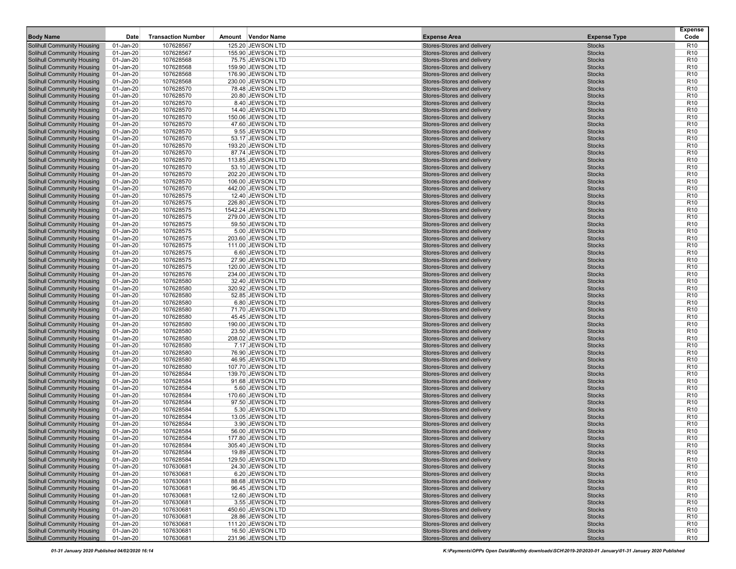| <b>Body Name</b>                                                       | Date                   | <b>Transaction Number</b> | Amount Vendor Name                     | <b>Expense Area</b>                                      | <b>Expense Type</b>            | <b>Expense</b><br>Code             |
|------------------------------------------------------------------------|------------------------|---------------------------|----------------------------------------|----------------------------------------------------------|--------------------------------|------------------------------------|
| <b>Solihull Community Housing</b>                                      | 01-Jan-20              | 107628567                 | 125.20 JEWSON LTD                      | Stores-Stores and delivery                               | <b>Stocks</b>                  | R <sub>10</sub>                    |
| <b>Solihull Community Housing</b>                                      | 01-Jan-20              | 107628567                 | 155.90 JEWSON LTD                      | Stores-Stores and delivery                               | <b>Stocks</b>                  | R <sub>10</sub>                    |
| <b>Solihull Community Housing</b>                                      | 01-Jan-20              | 107628568                 | 75.75 JEWSON LTD                       | Stores-Stores and delivery                               | <b>Stocks</b>                  | R <sub>10</sub>                    |
| <b>Solihull Community Housing</b>                                      | 01-Jan-20              | 107628568                 | 159.90 JEWSON LTD                      | Stores-Stores and delivery                               | <b>Stocks</b>                  | R <sub>10</sub>                    |
| <b>Solihull Community Housing</b>                                      | 01-Jan-20              | 107628568                 | 176.90 JEWSON LTD                      | Stores-Stores and delivery                               | <b>Stocks</b>                  | R <sub>10</sub>                    |
| <b>Solihull Community Housing</b>                                      | 01-Jan-20              | 107628568                 | 230.00 JEWSON LTD                      | Stores-Stores and delivery                               | <b>Stocks</b>                  | R <sub>10</sub>                    |
| <b>Solihull Community Housing</b>                                      | 01-Jan-20              | 107628570                 | 78.48 JEWSON LTD                       | Stores-Stores and delivery                               | <b>Stocks</b>                  | R <sub>10</sub>                    |
| <b>Solihull Community Housing</b>                                      | 01-Jan-20              | 107628570                 | 20.80 JEWSON LTD                       | Stores-Stores and delivery                               | <b>Stocks</b>                  | R <sub>10</sub>                    |
| <b>Solihull Community Housing</b>                                      | 01-Jan-20              | 107628570                 | 8.40 JEWSON LTD                        | Stores-Stores and delivery                               | <b>Stocks</b>                  | R <sub>10</sub>                    |
| <b>Solihull Community Housing</b><br><b>Solihull Community Housing</b> | 01-Jan-20<br>01-Jan-20 | 107628570<br>107628570    | 14.40 JEWSON LTD<br>150.06 JEWSON LTD  | Stores-Stores and delivery<br>Stores-Stores and delivery | <b>Stocks</b><br><b>Stocks</b> | R <sub>10</sub><br>R <sub>10</sub> |
| <b>Solihull Community Housing</b>                                      | 01-Jan-20              | 107628570                 | 47.60 JEWSON LTD                       | Stores-Stores and delivery                               | <b>Stocks</b>                  | R <sub>10</sub>                    |
| <b>Solihull Community Housing</b>                                      | 01-Jan-20              | 107628570                 | 9.55 JEWSON LTD                        | Stores-Stores and delivery                               | <b>Stocks</b>                  | R <sub>10</sub>                    |
| <b>Solihull Community Housing</b>                                      | 01-Jan-20              | 107628570                 | 53.17 JEWSON LTD                       | Stores-Stores and delivery                               | <b>Stocks</b>                  | R <sub>10</sub>                    |
| <b>Solihull Community Housing</b>                                      | 01-Jan-20              | 107628570                 | 193.20 JEWSON LTD                      | Stores-Stores and delivery                               | <b>Stocks</b>                  | R <sub>10</sub>                    |
| <b>Solihull Community Housing</b>                                      | 01-Jan-20              | 107628570                 | 87.74 JEWSON LTD                       | Stores-Stores and delivery                               | <b>Stocks</b>                  | R <sub>10</sub>                    |
| <b>Solihull Community Housing</b>                                      | 01-Jan-20              | 107628570                 | 113.85 JEWSON LTD                      | Stores-Stores and delivery                               | <b>Stocks</b>                  | R <sub>10</sub>                    |
| <b>Solihull Community Housing</b>                                      | 01-Jan-20              | 107628570                 | 53.10 JEWSON LTD                       | Stores-Stores and delivery                               | <b>Stocks</b>                  | R <sub>10</sub>                    |
| <b>Solihull Community Housing</b>                                      | 01-Jan-20              | 107628570                 | 202.20 JEWSON LTD                      | Stores-Stores and delivery                               | <b>Stocks</b>                  | R <sub>10</sub>                    |
| <b>Solihull Community Housing</b>                                      | 01-Jan-20              | 107628570                 | 106.00 JEWSON LTD                      | Stores-Stores and delivery                               | <b>Stocks</b>                  | R <sub>10</sub>                    |
| <b>Solihull Community Housing</b>                                      | 01-Jan-20              | 107628570                 | 442.00 JEWSON LTD                      | Stores-Stores and delivery                               | <b>Stocks</b>                  | R <sub>10</sub>                    |
| <b>Solihull Community Housing</b><br><b>Solihull Community Housing</b> | 01-Jan-20<br>01-Jan-20 | 107628575<br>107628575    | 12.40 JEWSON LTD<br>226.80 JEWSON LTD  | Stores-Stores and delivery<br>Stores-Stores and delivery | <b>Stocks</b><br><b>Stocks</b> | R <sub>10</sub><br>R <sub>10</sub> |
| <b>Solihull Community Housing</b>                                      | 01-Jan-20              | 107628575                 | 1542.24 JEWSON LTD                     | Stores-Stores and delivery                               | <b>Stocks</b>                  | R <sub>10</sub>                    |
| <b>Solihull Community Housing</b>                                      | 01-Jan-20              | 107628575                 | 279.00 JEWSON LTD                      | Stores-Stores and delivery                               | <b>Stocks</b>                  | R <sub>10</sub>                    |
| <b>Solihull Community Housing</b>                                      | 01-Jan-20              | 107628575                 | 59.50 JEWSON LTD                       | Stores-Stores and delivery                               | <b>Stocks</b>                  | R <sub>10</sub>                    |
| <b>Solihull Community Housing</b>                                      | 01-Jan-20              | 107628575                 | 5.00 JEWSON LTD                        | Stores-Stores and delivery                               | <b>Stocks</b>                  | R <sub>10</sub>                    |
| <b>Solihull Community Housing</b>                                      | 01-Jan-20              | 107628575                 | 203.60 JEWSON LTD                      | Stores-Stores and delivery                               | <b>Stocks</b>                  | R <sub>10</sub>                    |
| <b>Solihull Community Housing</b>                                      | 01-Jan-20              | 107628575                 | 111.00 JEWSON LTD                      | Stores-Stores and delivery                               | <b>Stocks</b>                  | R <sub>10</sub>                    |
| <b>Solihull Community Housing</b>                                      | 01-Jan-20              | 107628575                 | 6.60 JEWSON LTD                        | Stores-Stores and delivery                               | <b>Stocks</b>                  | R <sub>10</sub>                    |
| <b>Solihull Community Housing</b>                                      | 01-Jan-20              | 107628575                 | 27.90 JEWSON LTD                       | Stores-Stores and delivery                               | <b>Stocks</b>                  | R <sub>10</sub>                    |
| <b>Solihull Community Housing</b>                                      | 01-Jan-20              | 107628575                 | 120.00 JEWSON LTD                      | Stores-Stores and delivery                               | <b>Stocks</b>                  | R <sub>10</sub>                    |
| <b>Solihull Community Housing</b>                                      | 01-Jan-20              | 107628576<br>107628580    | 234.00 JEWSON LTD<br>32.40 JEWSON LTD  | Stores-Stores and delivery<br>Stores-Stores and delivery | <b>Stocks</b><br><b>Stocks</b> | R <sub>10</sub><br>R <sub>10</sub> |
| <b>Solihull Community Housing</b><br><b>Solihull Community Housing</b> | 01-Jan-20<br>01-Jan-20 | 107628580                 | 320.92 JEWSON LTD                      | Stores-Stores and delivery                               | <b>Stocks</b>                  | R <sub>10</sub>                    |
| <b>Solihull Community Housing</b>                                      | 01-Jan-20              | 107628580                 | 52.85 JEWSON LTD                       | Stores-Stores and delivery                               | <b>Stocks</b>                  | R <sub>10</sub>                    |
| <b>Solihull Community Housing</b>                                      | 01-Jan-20              | 107628580                 | 6.80 JEWSON LTD                        | Stores-Stores and delivery                               | <b>Stocks</b>                  | R <sub>10</sub>                    |
| <b>Solihull Community Housing</b>                                      | 01-Jan-20              | 107628580                 | 71.70 JEWSON LTD                       | Stores-Stores and delivery                               | <b>Stocks</b>                  | R <sub>10</sub>                    |
| <b>Solihull Community Housing</b>                                      | 01-Jan-20              | 107628580                 | 45.45 JEWSON LTD                       | Stores-Stores and delivery                               | <b>Stocks</b>                  | R <sub>10</sub>                    |
| <b>Solihull Community Housing</b>                                      | 01-Jan-20              | 107628580                 | 190.00 JEWSON LTD                      | Stores-Stores and delivery                               | <b>Stocks</b>                  | R <sub>10</sub>                    |
| <b>Solihull Community Housing</b>                                      | 01-Jan-20              | 107628580                 | 23.50 JEWSON LTD                       | Stores-Stores and delivery                               | <b>Stocks</b>                  | R <sub>10</sub>                    |
| <b>Solihull Community Housing</b>                                      | 01-Jan-20              | 107628580                 | 208.02 JEWSON LTD                      | Stores-Stores and delivery                               | <b>Stocks</b>                  | R <sub>10</sub>                    |
| <b>Solihull Community Housing</b>                                      | 01-Jan-20              | 107628580                 | 7.17 JEWSON LTD                        | Stores-Stores and delivery                               | <b>Stocks</b>                  | R <sub>10</sub>                    |
| <b>Solihull Community Housing</b><br><b>Solihull Community Housing</b> | 01-Jan-20<br>01-Jan-20 | 107628580<br>107628580    | 76.90 JEWSON LTD<br>46.95 JEWSON LTD   | Stores-Stores and delivery<br>Stores-Stores and delivery | <b>Stocks</b><br><b>Stocks</b> | R <sub>10</sub><br>R <sub>10</sub> |
| <b>Solihull Community Housing</b>                                      | 01-Jan-20              | 107628580                 | 107.70 JEWSON LTD                      | Stores-Stores and delivery                               | <b>Stocks</b>                  | R <sub>10</sub>                    |
| <b>Solihull Community Housing</b>                                      | 01-Jan-20              | 107628584                 | 139.70 JEWSON LTD                      | Stores-Stores and delivery                               | <b>Stocks</b>                  | R <sub>10</sub>                    |
| <b>Solihull Community Housing</b>                                      | 01-Jan-20              | 107628584                 | 91.68 JEWSON LTD                       | Stores-Stores and delivery                               | <b>Stocks</b>                  | R <sub>10</sub>                    |
| <b>Solihull Community Housing</b>                                      | 01-Jan-20              | 107628584                 | 5.60 JEWSON LTD                        | Stores-Stores and delivery                               | <b>Stocks</b>                  | R <sub>10</sub>                    |
| <b>Solihull Community Housing</b>                                      | 01-Jan-20              | 107628584                 | 170.60 JEWSON LTD                      | Stores-Stores and delivery                               | <b>Stocks</b>                  | R <sub>10</sub>                    |
| <b>Solihull Community Housing</b>                                      | 01-Jan-20              | 107628584                 | 97.50 JEWSON LTD                       | Stores-Stores and delivery                               | <b>Stocks</b>                  | R <sub>10</sub>                    |
| <b>Solihull Community Housing</b>                                      | 01-Jan-20              | 107628584                 | 5.30 JEWSON LTD                        | Stores-Stores and delivery                               | <b>Stocks</b>                  | R <sub>10</sub>                    |
| <b>Solihull Community Housing</b>                                      | 01-Jan-20              | 107628584                 | 13.05 JEWSON LTD                       | Stores-Stores and delivery                               | <b>Stocks</b>                  | R <sub>10</sub>                    |
| <b>Solihull Community Housing</b>                                      | 01-Jan-20              | 107628584                 | 3.90 JEWSON LTD                        | Stores-Stores and delivery                               | <b>Stocks</b>                  | R <sub>10</sub>                    |
| <b>Solihull Community Housing</b>                                      | 01-Jan-20              | 107628584                 | 56.00 JEWSON LTD                       | Stores-Stores and delivery<br>Stores-Stores and delivery | <b>Stocks</b>                  | R <sub>10</sub><br>R <sub>10</sub> |
| <b>Solihull Community Housing</b><br><b>Solihull Community Housing</b> | 01-Jan-20<br>01-Jan-20 | 107628584<br>107628584    | 177.80 JEWSON LTD<br>305.40 JEWSON LTD | Stores-Stores and delivery                               | <b>Stocks</b><br><b>Stocks</b> | R <sub>10</sub>                    |
| <b>Solihull Community Housing</b>                                      | 01-Jan-20              | 107628584                 | 19.89 JEWSON LTD                       | Stores-Stores and delivery                               | <b>Stocks</b>                  | R <sub>10</sub>                    |
| <b>Solihull Community Housing</b>                                      | 01-Jan-20              | 107628584                 | 129.50 JEWSON LTD                      | Stores-Stores and delivery                               | <b>Stocks</b>                  | R <sub>10</sub>                    |
| <b>Solihull Community Housing</b>                                      | 01-Jan-20              | 107630681                 | 24.30 JEWSON LTD                       | Stores-Stores and delivery                               | <b>Stocks</b>                  | R <sub>10</sub>                    |
| <b>Solihull Community Housing</b>                                      | 01-Jan-20              | 107630681                 | 6.20 JEWSON LTD                        | Stores-Stores and delivery                               | <b>Stocks</b>                  | R <sub>10</sub>                    |
| <b>Solihull Community Housing</b>                                      | 01-Jan-20              | 107630681                 | 88.68 JEWSON LTD                       | Stores-Stores and delivery                               | <b>Stocks</b>                  | R <sub>10</sub>                    |
| <b>Solihull Community Housing</b>                                      | 01-Jan-20              | 107630681                 | 96.45 JEWSON LTD                       | Stores-Stores and delivery                               | <b>Stocks</b>                  | R <sub>10</sub>                    |
| <b>Solihull Community Housing</b>                                      | 01-Jan-20              | 107630681                 | 12.60 JEWSON LTD                       | Stores-Stores and delivery                               | <b>Stocks</b>                  | R <sub>10</sub>                    |
| <b>Solihull Community Housing</b>                                      | 01-Jan-20              | 107630681                 | 3.55 JEWSON LTD                        | Stores-Stores and delivery                               | <b>Stocks</b>                  | R <sub>10</sub>                    |
| <b>Solihull Community Housing</b>                                      | 01-Jan-20              | 107630681                 | 450.60 JEWSON LTD                      | Stores-Stores and delivery                               | <b>Stocks</b>                  | R <sub>10</sub>                    |
| <b>Solihull Community Housing</b>                                      | 01-Jan-20              | 107630681                 | 28.86 JEWSON LTD                       | Stores-Stores and delivery                               | <b>Stocks</b>                  | R <sub>10</sub>                    |
| <b>Solihull Community Housing</b><br><b>Solihull Community Housing</b> | 01-Jan-20<br>01-Jan-20 | 107630681<br>107630681    | 111.20 JEWSON LTD<br>16.50 JEWSON LTD  | Stores-Stores and delivery<br>Stores-Stores and delivery | <b>Stocks</b><br><b>Stocks</b> | R <sub>10</sub><br>R <sub>10</sub> |
| <b>Solihull Community Housing</b>                                      | 01-Jan-20              | 107630681                 | 231.96 JEWSON LTD                      | Stores-Stores and delivery                               | <b>Stocks</b>                  | R <sub>10</sub>                    |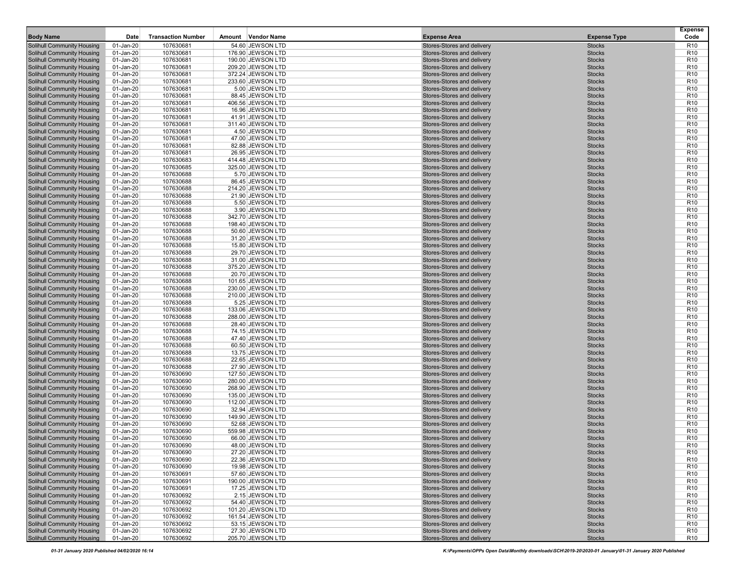| <b>Body Name</b>                                                       | Date                   | <b>Transaction Number</b> | Amount Vendor Name                     | <b>Expense Area</b>                                      | <b>Expense Type</b>            | <b>Expense</b><br>Code             |
|------------------------------------------------------------------------|------------------------|---------------------------|----------------------------------------|----------------------------------------------------------|--------------------------------|------------------------------------|
| <b>Solihull Community Housing</b>                                      | 01-Jan-20              | 107630681                 | 54.60 JEWSON LTD                       | Stores-Stores and delivery                               | <b>Stocks</b>                  | R <sub>10</sub>                    |
| <b>Solihull Community Housing</b>                                      | 01-Jan-20              | 107630681                 | 176.90 JEWSON LTD                      | Stores-Stores and delivery                               | <b>Stocks</b>                  | R <sub>10</sub>                    |
| <b>Solihull Community Housing</b>                                      | 01-Jan-20              | 107630681                 | 190.00 JEWSON LTD                      | Stores-Stores and delivery                               | <b>Stocks</b>                  | R <sub>10</sub>                    |
| <b>Solihull Community Housing</b>                                      | 01-Jan-20              | 107630681                 | 209.20 JEWSON LTD                      | Stores-Stores and delivery                               | <b>Stocks</b>                  | R <sub>10</sub>                    |
| <b>Solihull Community Housing</b>                                      | 01-Jan-20              | 107630681                 | 372.24 JEWSON LTD                      | Stores-Stores and delivery                               | <b>Stocks</b>                  | R <sub>10</sub>                    |
| <b>Solihull Community Housing</b>                                      | 01-Jan-20              | 107630681                 | 233.60 JEWSON LTD                      | Stores-Stores and delivery                               | <b>Stocks</b>                  | R <sub>10</sub>                    |
| <b>Solihull Community Housing</b>                                      | 01-Jan-20              | 107630681                 | 5.00 JEWSON LTD                        | Stores-Stores and delivery                               | <b>Stocks</b>                  | R <sub>10</sub>                    |
| <b>Solihull Community Housing</b>                                      | 01-Jan-20              | 107630681                 | 88.45 JEWSON LTD                       | Stores-Stores and delivery                               | <b>Stocks</b>                  | R <sub>10</sub>                    |
| <b>Solihull Community Housing</b>                                      | 01-Jan-20              | 107630681                 | 406.56 JEWSON LTD                      | Stores-Stores and delivery                               | <b>Stocks</b>                  | R <sub>10</sub>                    |
| <b>Solihull Community Housing</b><br><b>Solihull Community Housing</b> | 01-Jan-20<br>01-Jan-20 | 107630681<br>107630681    | 16.96 JEWSON LTD<br>41.91 JEWSON LTD   | Stores-Stores and delivery<br>Stores-Stores and delivery | <b>Stocks</b><br><b>Stocks</b> | R <sub>10</sub><br>R <sub>10</sub> |
| <b>Solihull Community Housing</b>                                      | 01-Jan-20              | 107630681                 | 311.40 JEWSON LTD                      | Stores-Stores and delivery                               | <b>Stocks</b>                  | R <sub>10</sub>                    |
| <b>Solihull Community Housing</b>                                      | 01-Jan-20              | 107630681                 | 4.50 JEWSON LTD                        | Stores-Stores and delivery                               | <b>Stocks</b>                  | R <sub>10</sub>                    |
| <b>Solihull Community Housing</b>                                      | 01-Jan-20              | 107630681                 | 47.00 JEWSON LTD                       | Stores-Stores and delivery                               | <b>Stocks</b>                  | R <sub>10</sub>                    |
| <b>Solihull Community Housing</b>                                      | 01-Jan-20              | 107630681                 | 82.88 JEWSON LTD                       | Stores-Stores and delivery                               | <b>Stocks</b>                  | R <sub>10</sub>                    |
| <b>Solihull Community Housing</b>                                      | 01-Jan-20              | 107630681                 | 26.95 JEWSON LTD                       | Stores-Stores and delivery                               | <b>Stocks</b>                  | R <sub>10</sub>                    |
| <b>Solihull Community Housing</b>                                      | 01-Jan-20              | 107630683                 | 414.48 JEWSON LTD                      | Stores-Stores and delivery                               | <b>Stocks</b>                  | R <sub>10</sub>                    |
| <b>Solihull Community Housing</b>                                      | 01-Jan-20              | 107630685                 | 325.00 JEWSON LTD                      | Stores-Stores and delivery                               | <b>Stocks</b>                  | R <sub>10</sub>                    |
| <b>Solihull Community Housing</b>                                      | 01-Jan-20              | 107630688                 | 5.70 JEWSON LTD                        | Stores-Stores and delivery                               | <b>Stocks</b>                  | R <sub>10</sub>                    |
| <b>Solihull Community Housing</b>                                      | 01-Jan-20              | 107630688                 | 86.45 JEWSON LTD                       | Stores-Stores and delivery                               | <b>Stocks</b>                  | R <sub>10</sub>                    |
| <b>Solihull Community Housing</b>                                      | 01-Jan-20              | 107630688                 | 214.20 JEWSON LTD                      | Stores-Stores and delivery                               | <b>Stocks</b>                  | R <sub>10</sub>                    |
| <b>Solihull Community Housing</b><br><b>Solihull Community Housing</b> | 01-Jan-20<br>01-Jan-20 | 107630688<br>107630688    | 21.90 JEWSON LTD<br>5.50 JEWSON LTD    | Stores-Stores and delivery<br>Stores-Stores and delivery | <b>Stocks</b><br><b>Stocks</b> | R <sub>10</sub><br>R <sub>10</sub> |
| <b>Solihull Community Housing</b>                                      | 01-Jan-20              | 107630688                 | 3.90 JEWSON LTD                        | Stores-Stores and delivery                               | <b>Stocks</b>                  | R <sub>10</sub>                    |
| <b>Solihull Community Housing</b>                                      | 01-Jan-20              | 107630688                 | 342.70 JEWSON LTD                      | Stores-Stores and delivery                               | <b>Stocks</b>                  | R <sub>10</sub>                    |
| <b>Solihull Community Housing</b>                                      | 01-Jan-20              | 107630688                 | 198.40 JEWSON LTD                      | Stores-Stores and delivery                               | <b>Stocks</b>                  | R <sub>10</sub>                    |
| <b>Solihull Community Housing</b>                                      | 01-Jan-20              | 107630688                 | 50.60 JEWSON LTD                       | Stores-Stores and delivery                               | <b>Stocks</b>                  | R <sub>10</sub>                    |
| <b>Solihull Community Housing</b>                                      | 01-Jan-20              | 107630688                 | 31.20 JEWSON LTD                       | Stores-Stores and delivery                               | <b>Stocks</b>                  | R <sub>10</sub>                    |
| <b>Solihull Community Housing</b>                                      | 01-Jan-20              | 107630688                 | 15.80 JEWSON LTD                       | Stores-Stores and delivery                               | <b>Stocks</b>                  | R <sub>10</sub>                    |
| <b>Solihull Community Housing</b>                                      | 01-Jan-20              | 107630688                 | 29.70 JEWSON LTD                       | Stores-Stores and delivery                               | <b>Stocks</b>                  | R <sub>10</sub>                    |
| <b>Solihull Community Housing</b>                                      | 01-Jan-20              | 107630688                 | 31.00 JEWSON LTD                       | Stores-Stores and delivery                               | <b>Stocks</b>                  | R <sub>10</sub>                    |
| <b>Solihull Community Housing</b>                                      | 01-Jan-20              | 107630688                 | 375.20 JEWSON LTD                      | Stores-Stores and delivery                               | <b>Stocks</b>                  | R <sub>10</sub>                    |
| <b>Solihull Community Housing</b>                                      | 01-Jan-20              | 107630688<br>107630688    | 20.70 JEWSON LTD                       | Stores-Stores and delivery<br>Stores-Stores and delivery | <b>Stocks</b><br><b>Stocks</b> | R <sub>10</sub><br>R <sub>10</sub> |
| <b>Solihull Community Housing</b><br><b>Solihull Community Housing</b> | 01-Jan-20<br>01-Jan-20 | 107630688                 | 101.65 JEWSON LTD<br>230.00 JEWSON LTD | Stores-Stores and delivery                               | <b>Stocks</b>                  | R <sub>10</sub>                    |
| <b>Solihull Community Housing</b>                                      | 01-Jan-20              | 107630688                 | 210.00 JEWSON LTD                      | Stores-Stores and delivery                               | <b>Stocks</b>                  | R <sub>10</sub>                    |
| <b>Solihull Community Housing</b>                                      | 01-Jan-20              | 107630688                 | 5.25 JEWSON LTD                        | Stores-Stores and delivery                               | <b>Stocks</b>                  | R <sub>10</sub>                    |
| <b>Solihull Community Housing</b>                                      | 01-Jan-20              | 107630688                 | 133.06 JEWSON LTD                      | Stores-Stores and delivery                               | <b>Stocks</b>                  | R <sub>10</sub>                    |
| <b>Solihull Community Housing</b>                                      | 01-Jan-20              | 107630688                 | 288.00 JEWSON LTD                      | Stores-Stores and delivery                               | <b>Stocks</b>                  | R <sub>10</sub>                    |
| <b>Solihull Community Housing</b>                                      | 01-Jan-20              | 107630688                 | 28.40 JEWSON LTD                       | Stores-Stores and delivery                               | <b>Stocks</b>                  | R <sub>10</sub>                    |
| <b>Solihull Community Housing</b>                                      | 01-Jan-20              | 107630688                 | 74.15 JEWSON LTD                       | Stores-Stores and delivery                               | <b>Stocks</b>                  | R <sub>10</sub>                    |
| <b>Solihull Community Housing</b>                                      | 01-Jan-20              | 107630688                 | 47.40 JEWSON LTD                       | Stores-Stores and delivery                               | <b>Stocks</b>                  | R <sub>10</sub>                    |
| <b>Solihull Community Housing</b>                                      | 01-Jan-20              | 107630688                 | 60.50 JEWSON LTD                       | Stores-Stores and delivery                               | <b>Stocks</b>                  | R <sub>10</sub>                    |
| <b>Solihull Community Housing</b><br><b>Solihull Community Housing</b> | 01-Jan-20<br>01-Jan-20 | 107630688<br>107630688    | 13.75 JEWSON LTD<br>22.65 JEWSON LTD   | Stores-Stores and delivery<br>Stores-Stores and delivery | <b>Stocks</b><br><b>Stocks</b> | R <sub>10</sub><br>R <sub>10</sub> |
| <b>Solihull Community Housing</b>                                      | 01-Jan-20              | 107630688                 | 27.90 JEWSON LTD                       | Stores-Stores and delivery                               | <b>Stocks</b>                  | R <sub>10</sub>                    |
| <b>Solihull Community Housing</b>                                      | 01-Jan-20              | 107630690                 | 127.50 JEWSON LTD                      | Stores-Stores and delivery                               | <b>Stocks</b>                  | R <sub>10</sub>                    |
| <b>Solihull Community Housing</b>                                      | 01-Jan-20              | 107630690                 | 280.00 JEWSON LTD                      | Stores-Stores and delivery                               | <b>Stocks</b>                  | R <sub>10</sub>                    |
| <b>Solihull Community Housing</b>                                      | 01-Jan-20              | 107630690                 | 268.90 JEWSON LTD                      | Stores-Stores and delivery                               | <b>Stocks</b>                  | R <sub>10</sub>                    |
| <b>Solihull Community Housing</b>                                      | 01-Jan-20              | 107630690                 | 135.00 JEWSON LTD                      | Stores-Stores and delivery                               | <b>Stocks</b>                  | R <sub>10</sub>                    |
| <b>Solihull Community Housing</b>                                      | 01-Jan-20              | 107630690                 | 112.00 JEWSON LTD                      | Stores-Stores and delivery                               | <b>Stocks</b>                  | R <sub>10</sub>                    |
| <b>Solihull Community Housing</b>                                      | 01-Jan-20              | 107630690                 | 32.94 JEWSON LTD                       | Stores-Stores and delivery                               | <b>Stocks</b>                  | R <sub>10</sub>                    |
| <b>Solihull Community Housing</b>                                      | 01-Jan-20              | 107630690                 | 149.90 JEWSON LTD                      | Stores-Stores and delivery                               | <b>Stocks</b>                  | R <sub>10</sub>                    |
| <b>Solihull Community Housing</b>                                      | 01-Jan-20              | 107630690                 | 52.68 JEWSON LTD                       | Stores-Stores and delivery                               | <b>Stocks</b>                  | R <sub>10</sub>                    |
| <b>Solihull Community Housing</b><br><b>Solihull Community Housing</b> | 01-Jan-20              | 107630690<br>107630690    | 559.98 JEWSON LTD<br>66.00 JEWSON LTD  | Stores-Stores and delivery<br>Stores-Stores and delivery | <b>Stocks</b><br><b>Stocks</b> | R <sub>10</sub><br>R <sub>10</sub> |
| <b>Solihull Community Housing</b>                                      | 01-Jan-20<br>01-Jan-20 | 107630690                 | 48.00 JEWSON LTD                       | Stores-Stores and delivery                               | <b>Stocks</b>                  | R <sub>10</sub>                    |
| <b>Solihull Community Housing</b>                                      | 01-Jan-20              | 107630690                 | 27.20 JEWSON LTD                       | Stores-Stores and delivery                               | <b>Stocks</b>                  | R <sub>10</sub>                    |
| <b>Solihull Community Housing</b>                                      | 01-Jan-20              | 107630690                 | 22.36 JEWSON LTD                       | Stores-Stores and delivery                               | <b>Stocks</b>                  | R <sub>10</sub>                    |
| <b>Solihull Community Housing</b>                                      | 01-Jan-20              | 107630690                 | 19.98 JEWSON LTD                       | Stores-Stores and delivery                               | <b>Stocks</b>                  | R <sub>10</sub>                    |
| <b>Solihull Community Housing</b>                                      | 01-Jan-20              | 107630691                 | 57.60 JEWSON LTD                       | Stores-Stores and delivery                               | <b>Stocks</b>                  | R <sub>10</sub>                    |
| <b>Solihull Community Housing</b>                                      | 01-Jan-20              | 107630691                 | 190.00 JEWSON LTD                      | Stores-Stores and delivery                               | <b>Stocks</b>                  | R <sub>10</sub>                    |
| <b>Solihull Community Housing</b>                                      | 01-Jan-20              | 107630691                 | 17.25 JEWSON LTD                       | Stores-Stores and delivery                               | <b>Stocks</b>                  | R <sub>10</sub>                    |
| <b>Solihull Community Housing</b>                                      | 01-Jan-20              | 107630692                 | 2.15 JEWSON LTD                        | Stores-Stores and delivery                               | <b>Stocks</b>                  | R <sub>10</sub>                    |
| <b>Solihull Community Housing</b>                                      | 01-Jan-20              | 107630692                 | 54.40 JEWSON LTD                       | Stores-Stores and delivery                               | <b>Stocks</b>                  | R <sub>10</sub>                    |
| <b>Solihull Community Housing</b>                                      | 01-Jan-20              | 107630692                 | 101.20 JEWSON LTD                      | Stores-Stores and delivery                               | <b>Stocks</b>                  | R <sub>10</sub>                    |
| <b>Solihull Community Housing</b><br><b>Solihull Community Housing</b> | 01-Jan-20              | 107630692<br>107630692    | 161.54 JEWSON LTD<br>53.15 JEWSON LTD  | Stores-Stores and delivery<br>Stores-Stores and delivery | <b>Stocks</b><br><b>Stocks</b> | R <sub>10</sub><br>R <sub>10</sub> |
| <b>Solihull Community Housing</b>                                      | 01-Jan-20<br>01-Jan-20 | 107630692                 | 27.30 JEWSON LTD                       | Stores-Stores and delivery                               | <b>Stocks</b>                  | R <sub>10</sub>                    |
| <b>Solihull Community Housing</b>                                      | 01-Jan-20              | 107630692                 | 205.70 JEWSON LTD                      | Stores-Stores and delivery                               | <b>Stocks</b>                  | R <sub>10</sub>                    |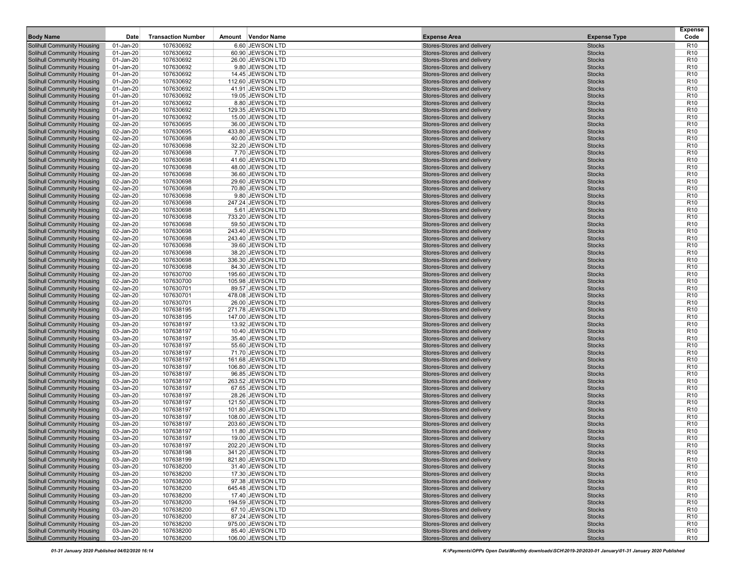| <b>Body Name</b>                                                       | Date                   | <b>Transaction Number</b> | Amount Vendor Name                    | <b>Expense Area</b>                                      | <b>Expense Type</b>            | <b>Expense</b><br>Code             |
|------------------------------------------------------------------------|------------------------|---------------------------|---------------------------------------|----------------------------------------------------------|--------------------------------|------------------------------------|
| <b>Solihull Community Housing</b>                                      | 01-Jan-20              | 107630692                 | 6.60 JEWSON LTD                       | Stores-Stores and delivery                               | <b>Stocks</b>                  | R <sub>10</sub>                    |
| <b>Solihull Community Housing</b>                                      | 01-Jan-20              | 107630692                 | 60.90 JEWSON LTD                      | Stores-Stores and delivery                               | <b>Stocks</b>                  | R <sub>10</sub>                    |
| <b>Solihull Community Housing</b>                                      | 01-Jan-20              | 107630692                 | 26.00 JEWSON LTD                      | Stores-Stores and delivery                               | <b>Stocks</b>                  | R <sub>10</sub>                    |
| <b>Solihull Community Housing</b>                                      | 01-Jan-20              | 107630692                 | 9.80 JEWSON LTD                       | Stores-Stores and delivery                               | <b>Stocks</b>                  | R <sub>10</sub>                    |
| <b>Solihull Community Housing</b>                                      | 01-Jan-20              | 107630692                 | 14.45 JEWSON LTD                      | Stores-Stores and delivery                               | <b>Stocks</b>                  | R <sub>10</sub>                    |
| <b>Solihull Community Housing</b>                                      | 01-Jan-20              | 107630692                 | 112.60 JEWSON LTD                     | Stores-Stores and delivery                               | <b>Stocks</b>                  | R <sub>10</sub>                    |
| <b>Solihull Community Housing</b>                                      | 01-Jan-20              | 107630692                 | 41.91 JEWSON LTD                      | Stores-Stores and delivery                               | <b>Stocks</b>                  | R <sub>10</sub>                    |
| <b>Solihull Community Housing</b>                                      | 01-Jan-20              | 107630692                 | 19.05 JEWSON LTD                      | Stores-Stores and delivery                               | <b>Stocks</b>                  | R <sub>10</sub>                    |
| <b>Solihull Community Housing</b>                                      | 01-Jan-20              | 107630692                 | 8.80 JEWSON LTD                       | Stores-Stores and delivery                               | <b>Stocks</b>                  | R <sub>10</sub>                    |
| <b>Solihull Community Housing</b><br><b>Solihull Community Housing</b> | 01-Jan-20<br>01-Jan-20 | 107630692<br>107630692    | 129.35 JEWSON LTD<br>15.00 JEWSON LTD | Stores-Stores and delivery<br>Stores-Stores and delivery | <b>Stocks</b><br><b>Stocks</b> | R <sub>10</sub><br>R <sub>10</sub> |
| <b>Solihull Community Housing</b>                                      | 02-Jan-20              | 107630695                 | 36.00 JEWSON LTD                      | Stores-Stores and delivery                               | <b>Stocks</b>                  | R <sub>10</sub>                    |
| <b>Solihull Community Housing</b>                                      | 02-Jan-20              | 107630695                 | 433.80 JEWSON LTD                     | Stores-Stores and delivery                               | <b>Stocks</b>                  | R <sub>10</sub>                    |
| <b>Solihull Community Housing</b>                                      | 02-Jan-20              | 107630698                 | 40.00 JEWSON LTD                      | Stores-Stores and delivery                               | <b>Stocks</b>                  | R <sub>10</sub>                    |
| <b>Solihull Community Housing</b>                                      | 02-Jan-20              | 107630698                 | 32.20 JEWSON LTD                      | Stores-Stores and delivery                               | <b>Stocks</b>                  | R <sub>10</sub>                    |
| <b>Solihull Community Housing</b>                                      | 02-Jan-20              | 107630698                 | 7.70 JEWSON LTD                       | Stores-Stores and delivery                               | <b>Stocks</b>                  | R <sub>10</sub>                    |
| <b>Solihull Community Housing</b>                                      | 02-Jan-20              | 107630698                 | 41.60 JEWSON LTD                      | Stores-Stores and delivery                               | <b>Stocks</b>                  | R <sub>10</sub>                    |
| <b>Solihull Community Housing</b>                                      | 02-Jan-20              | 107630698                 | 48.00 JEWSON LTD                      | Stores-Stores and delivery                               | <b>Stocks</b>                  | R <sub>10</sub>                    |
| <b>Solihull Community Housing</b>                                      | 02-Jan-20              | 107630698                 | 36.60 JEWSON LTD                      | Stores-Stores and delivery                               | <b>Stocks</b>                  | R <sub>10</sub>                    |
| <b>Solihull Community Housing</b>                                      | 02-Jan-20              | 107630698                 | 29.60 JEWSON LTD                      | Stores-Stores and delivery                               | <b>Stocks</b>                  | R <sub>10</sub>                    |
| <b>Solihull Community Housing</b>                                      | 02-Jan-20              | 107630698                 | 70.80 JEWSON LTD                      | Stores-Stores and delivery                               | <b>Stocks</b>                  | R <sub>10</sub>                    |
| <b>Solihull Community Housing</b><br><b>Solihull Community Housing</b> | 02-Jan-20<br>02-Jan-20 | 107630698<br>107630698    | 9.80 JEWSON LTD<br>247.24 JEWSON LTD  | Stores-Stores and delivery<br>Stores-Stores and delivery | <b>Stocks</b><br><b>Stocks</b> | R <sub>10</sub><br>R <sub>10</sub> |
| <b>Solihull Community Housing</b>                                      | 02-Jan-20              | 107630698                 | 5.61 JEWSON LTD                       | Stores-Stores and delivery                               | <b>Stocks</b>                  | R <sub>10</sub>                    |
| <b>Solihull Community Housing</b>                                      | 02-Jan-20              | 107630698                 | 733.20 JEWSON LTD                     | Stores-Stores and delivery                               | <b>Stocks</b>                  | R <sub>10</sub>                    |
| <b>Solihull Community Housing</b>                                      | 02-Jan-20              | 107630698                 | 59.50 JEWSON LTD                      | Stores-Stores and delivery                               | <b>Stocks</b>                  | R <sub>10</sub>                    |
| <b>Solihull Community Housing</b>                                      | 02-Jan-20              | 107630698                 | 243.40 JEWSON LTD                     | Stores-Stores and delivery                               | <b>Stocks</b>                  | R <sub>10</sub>                    |
| <b>Solihull Community Housing</b>                                      | 02-Jan-20              | 107630698                 | 243.40 JEWSON LTD                     | Stores-Stores and delivery                               | <b>Stocks</b>                  | R <sub>10</sub>                    |
| <b>Solihull Community Housing</b>                                      | 02-Jan-20              | 107630698                 | 39.60 JEWSON LTD                      | Stores-Stores and delivery                               | <b>Stocks</b>                  | R <sub>10</sub>                    |
| <b>Solihull Community Housing</b>                                      | 02-Jan-20              | 107630698                 | 38.20 JEWSON LTD                      | Stores-Stores and delivery                               | <b>Stocks</b>                  | R <sub>10</sub>                    |
| <b>Solihull Community Housing</b>                                      | 02-Jan-20              | 107630698                 | 336.30 JEWSON LTD                     | Stores-Stores and delivery                               | <b>Stocks</b>                  | R <sub>10</sub>                    |
| <b>Solihull Community Housing</b>                                      | 02-Jan-20              | 107630698                 | 84.30 JEWSON LTD                      | Stores-Stores and delivery                               | <b>Stocks</b>                  | R <sub>10</sub>                    |
| <b>Solihull Community Housing</b>                                      | 02-Jan-20              | 107630700<br>107630700    | 195.60 JEWSON LTD                     | Stores-Stores and delivery<br>Stores-Stores and delivery | <b>Stocks</b><br><b>Stocks</b> | R <sub>10</sub><br>R <sub>10</sub> |
| <b>Solihull Community Housing</b><br><b>Solihull Community Housing</b> | 02-Jan-20<br>02-Jan-20 | 107630701                 | 105.98 JEWSON LTD<br>89.57 JEWSON LTD | Stores-Stores and delivery                               | <b>Stocks</b>                  | R <sub>10</sub>                    |
| <b>Solihull Community Housing</b>                                      | 02-Jan-20              | 107630701                 | 478.08 JEWSON LTD                     | Stores-Stores and delivery                               | <b>Stocks</b>                  | R <sub>10</sub>                    |
| <b>Solihull Community Housing</b>                                      | 02-Jan-20              | 107630701                 | 26.00 JEWSON LTD                      | Stores-Stores and delivery                               | <b>Stocks</b>                  | R <sub>10</sub>                    |
| <b>Solihull Community Housing</b>                                      | 03-Jan-20              | 107638195                 | 271.78 JEWSON LTD                     | Stores-Stores and delivery                               | <b>Stocks</b>                  | R <sub>10</sub>                    |
| <b>Solihull Community Housing</b>                                      | 03-Jan-20              | 107638195                 | 147.00 JEWSON LTD                     | Stores-Stores and delivery                               | <b>Stocks</b>                  | R <sub>10</sub>                    |
| <b>Solihull Community Housing</b>                                      | 03-Jan-20              | 107638197                 | 13.92 JEWSON LTD                      | Stores-Stores and delivery                               | <b>Stocks</b>                  | R <sub>10</sub>                    |
| <b>Solihull Community Housing</b>                                      | 03-Jan-20              | 107638197                 | 10.40 JEWSON LTD                      | Stores-Stores and delivery                               | <b>Stocks</b>                  | R <sub>10</sub>                    |
| <b>Solihull Community Housing</b>                                      | 03-Jan-20              | 107638197                 | 35.40 JEWSON LTD                      | Stores-Stores and delivery                               | <b>Stocks</b>                  | R <sub>10</sub>                    |
| <b>Solihull Community Housing</b>                                      | 03-Jan-20              | 107638197                 | 55.60 JEWSON LTD                      | Stores-Stores and delivery                               | <b>Stocks</b>                  | R <sub>10</sub>                    |
| <b>Solihull Community Housing</b><br><b>Solihull Community Housing</b> | 03-Jan-20              | 107638197<br>107638197    | 71.70 JEWSON LTD<br>161.68 JEWSON LTD | Stores-Stores and delivery<br>Stores-Stores and delivery | <b>Stocks</b><br><b>Stocks</b> | R <sub>10</sub><br>R <sub>10</sub> |
| <b>Solihull Community Housing</b>                                      | 03-Jan-20<br>03-Jan-20 | 107638197                 | 106.80 JEWSON LTD                     | Stores-Stores and delivery                               | <b>Stocks</b>                  | R <sub>10</sub>                    |
| <b>Solihull Community Housing</b>                                      | 03-Jan-20              | 107638197                 | 96.85 JEWSON LTD                      | Stores-Stores and delivery                               | <b>Stocks</b>                  | R <sub>10</sub>                    |
| <b>Solihull Community Housing</b>                                      | 03-Jan-20              | 107638197                 | 263.52 JEWSON LTD                     | Stores-Stores and delivery                               | <b>Stocks</b>                  | R <sub>10</sub>                    |
| <b>Solihull Community Housing</b>                                      | 03-Jan-20              | 107638197                 | 67.65 JEWSON LTD                      | Stores-Stores and delivery                               | <b>Stocks</b>                  | R <sub>10</sub>                    |
| <b>Solihull Community Housing</b>                                      | 03-Jan-20              | 107638197                 | 28.26 JEWSON LTD                      | Stores-Stores and delivery                               | <b>Stocks</b>                  | R <sub>10</sub>                    |
| <b>Solihull Community Housing</b>                                      | 03-Jan-20              | 107638197                 | 121.50 JEWSON LTD                     | Stores-Stores and delivery                               | <b>Stocks</b>                  | R <sub>10</sub>                    |
| <b>Solihull Community Housing</b>                                      | 03-Jan-20              | 107638197                 | 101.80 JEWSON LTD                     | Stores-Stores and delivery                               | <b>Stocks</b>                  | R <sub>10</sub>                    |
| <b>Solihull Community Housing</b>                                      | 03-Jan-20              | 107638197                 | 108.00 JEWSON LTD                     | Stores-Stores and delivery                               | <b>Stocks</b>                  | R <sub>10</sub>                    |
| <b>Solihull Community Housing</b>                                      | 03-Jan-20              | 107638197                 | 203.60 JEWSON LTD                     | Stores-Stores and delivery                               | <b>Stocks</b>                  | R <sub>10</sub>                    |
| <b>Solihull Community Housing</b><br><b>Solihull Community Housing</b> | 03-Jan-20<br>03-Jan-20 | 107638197<br>107638197    | 11.80 JEWSON LTD<br>19.00 JEWSON LTD  | Stores-Stores and delivery<br>Stores-Stores and delivery | <b>Stocks</b><br><b>Stocks</b> | R <sub>10</sub><br>R <sub>10</sub> |
| <b>Solihull Community Housing</b>                                      | 03-Jan-20              | 107638197                 | 202.20 JEWSON LTD                     | Stores-Stores and delivery                               | <b>Stocks</b>                  | R <sub>10</sub>                    |
| <b>Solihull Community Housing</b>                                      | 03-Jan-20              | 107638198                 | 341.20 JEWSON LTD                     | Stores-Stores and delivery                               | <b>Stocks</b>                  | R <sub>10</sub>                    |
| <b>Solihull Community Housing</b>                                      | 03-Jan-20              | 107638199                 | 821.80 JEWSON LTD                     | Stores-Stores and delivery                               | <b>Stocks</b>                  | R <sub>10</sub>                    |
| <b>Solihull Community Housing</b>                                      | 03-Jan-20              | 107638200                 | 31.40 JEWSON LTD                      | Stores-Stores and delivery                               | <b>Stocks</b>                  | R <sub>10</sub>                    |
| <b>Solihull Community Housing</b>                                      | 03-Jan-20              | 107638200                 | 17.30 JEWSON LTD                      | Stores-Stores and delivery                               | <b>Stocks</b>                  | R <sub>10</sub>                    |
| <b>Solihull Community Housing</b>                                      | 03-Jan-20              | 107638200                 | 97.38 JEWSON LTD                      | Stores-Stores and delivery                               | <b>Stocks</b>                  | R <sub>10</sub>                    |
| <b>Solihull Community Housing</b>                                      | 03-Jan-20              | 107638200                 | 645.48 JEWSON LTD                     | Stores-Stores and delivery                               | <b>Stocks</b>                  | R <sub>10</sub>                    |
| <b>Solihull Community Housing</b>                                      | 03-Jan-20              | 107638200                 | 17.40 JEWSON LTD                      | Stores-Stores and delivery                               | <b>Stocks</b>                  | R <sub>10</sub>                    |
| <b>Solihull Community Housing</b>                                      | 03-Jan-20              | 107638200                 | 194.59 JEWSON LTD                     | Stores-Stores and delivery                               | <b>Stocks</b>                  | R <sub>10</sub>                    |
| <b>Solihull Community Housing</b>                                      | 03-Jan-20              | 107638200                 | 67.10 JEWSON LTD                      | Stores-Stores and delivery                               | <b>Stocks</b>                  | R <sub>10</sub>                    |
| <b>Solihull Community Housing</b><br><b>Solihull Community Housing</b> | 03-Jan-20<br>03-Jan-20 | 107638200<br>107638200    | 87.24 JEWSON LTD<br>975.00 JEWSON LTD | Stores-Stores and delivery<br>Stores-Stores and delivery | <b>Stocks</b><br><b>Stocks</b> | R <sub>10</sub><br>R <sub>10</sub> |
| <b>Solihull Community Housing</b>                                      | 03-Jan-20              | 107638200                 | 85.40 JEWSON LTD                      | Stores-Stores and delivery                               | <b>Stocks</b>                  | R <sub>10</sub>                    |
| <b>Solihull Community Housing</b>                                      | 03-Jan-20              | 107638200                 | 106.00 JEWSON LTD                     | Stores-Stores and delivery                               | <b>Stocks</b>                  | R <sub>10</sub>                    |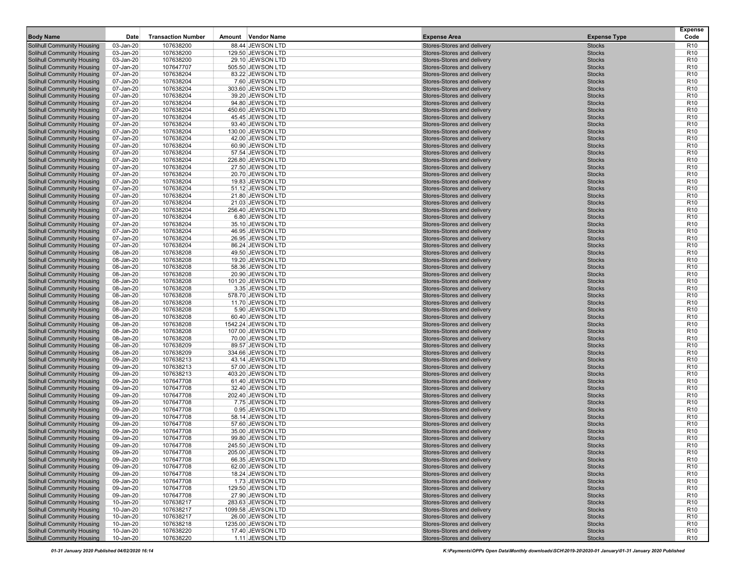| <b>Body Name</b>                                                       | Date                   | <b>Transaction Number</b> | Amount Vendor Name                    | <b>Expense Area</b>                                      | <b>Expense Type</b>            | <b>Expense</b><br>Code             |
|------------------------------------------------------------------------|------------------------|---------------------------|---------------------------------------|----------------------------------------------------------|--------------------------------|------------------------------------|
| <b>Solihull Community Housing</b>                                      | 03-Jan-20              | 107638200                 | 88.44 JEWSON LTD                      | Stores-Stores and delivery                               | <b>Stocks</b>                  | R <sub>10</sub>                    |
| <b>Solihull Community Housing</b>                                      | 03-Jan-20              | 107638200                 | 129.50 JEWSON LTD                     | Stores-Stores and delivery                               | <b>Stocks</b>                  | R <sub>10</sub>                    |
| <b>Solihull Community Housing</b>                                      | 03-Jan-20              | 107638200                 | 29.10 JEWSON LTD                      | Stores-Stores and delivery                               | <b>Stocks</b>                  | R <sub>10</sub>                    |
| <b>Solihull Community Housing</b>                                      | 07-Jan-20              | 107647707                 | 505.50 JEWSON LTD                     | Stores-Stores and delivery                               | <b>Stocks</b>                  | R <sub>10</sub>                    |
| <b>Solihull Community Housing</b>                                      | 07-Jan-20              | 107638204                 | 83.22 JEWSON LTD                      | Stores-Stores and delivery                               | <b>Stocks</b>                  | R <sub>10</sub>                    |
| <b>Solihull Community Housing</b>                                      | 07-Jan-20              | 107638204                 | 7.60 JEWSON LTD                       | Stores-Stores and delivery                               | <b>Stocks</b>                  | R <sub>10</sub>                    |
| <b>Solihull Community Housing</b>                                      | 07-Jan-20              | 107638204                 | 303.60 JEWSON LTD                     | Stores-Stores and delivery                               | <b>Stocks</b>                  | R <sub>10</sub>                    |
| <b>Solihull Community Housing</b>                                      | 07-Jan-20              | 107638204                 | 39.20 JEWSON LTD                      | Stores-Stores and delivery                               | <b>Stocks</b>                  | R <sub>10</sub>                    |
| <b>Solihull Community Housing</b>                                      | 07-Jan-20              | 107638204                 | 94.80 JEWSON LTD                      | Stores-Stores and delivery                               | <b>Stocks</b>                  | R <sub>10</sub>                    |
| <b>Solihull Community Housing</b><br>Solihull Community Housing        | 07-Jan-20<br>07-Jan-20 | 107638204<br>107638204    | 450.60 JEWSON LTD<br>45.45 JEWSON LTD | Stores-Stores and delivery<br>Stores-Stores and delivery | <b>Stocks</b><br><b>Stocks</b> | R <sub>10</sub><br>R <sub>10</sub> |
| <b>Solihull Community Housing</b>                                      | 07-Jan-20              | 107638204                 | 93.40 JEWSON LTD                      | Stores-Stores and delivery                               | <b>Stocks</b>                  | R <sub>10</sub>                    |
| Solihull Community Housing                                             | 07-Jan-20              | 107638204                 | 130.00 JEWSON LTD                     | Stores-Stores and delivery                               | <b>Stocks</b>                  | R <sub>10</sub>                    |
| <b>Solihull Community Housing</b>                                      | 07-Jan-20              | 107638204                 | 42.00 JEWSON LTD                      | Stores-Stores and delivery                               | <b>Stocks</b>                  | R <sub>10</sub>                    |
| <b>Solihull Community Housing</b>                                      | 07-Jan-20              | 107638204                 | 60.90 JEWSON LTD                      | Stores-Stores and delivery                               | <b>Stocks</b>                  | R <sub>10</sub>                    |
| <b>Solihull Community Housing</b>                                      | 07-Jan-20              | 107638204                 | 57.54 JEWSON LTD                      | Stores-Stores and delivery                               | <b>Stocks</b>                  | R <sub>10</sub>                    |
| <b>Solihull Community Housing</b>                                      | 07-Jan-20              | 107638204                 | 226.80 JEWSON LTD                     | Stores-Stores and delivery                               | <b>Stocks</b>                  | R <sub>10</sub>                    |
| <b>Solihull Community Housing</b>                                      | 07-Jan-20              | 107638204                 | 27.50 JEWSON LTD                      | Stores-Stores and delivery<br>Stores-Stores and delivery | <b>Stocks</b><br><b>Stocks</b> | R <sub>10</sub><br>R <sub>10</sub> |
| <b>Solihull Community Housing</b><br><b>Solihull Community Housing</b> | 07-Jan-20<br>07-Jan-20 | 107638204<br>107638204    | 20.70 JEWSON LTD<br>19.83 JEWSON LTD  | Stores-Stores and delivery                               | <b>Stocks</b>                  | R <sub>10</sub>                    |
| <b>Solihull Community Housing</b>                                      | 07-Jan-20              | 107638204                 | 51.12 JEWSON LTD                      | Stores-Stores and delivery                               | <b>Stocks</b>                  | R <sub>10</sub>                    |
| <b>Solihull Community Housing</b>                                      | 07-Jan-20              | 107638204                 | 21.80 JEWSON LTD                      | Stores-Stores and delivery                               | <b>Stocks</b>                  | R <sub>10</sub>                    |
| <b>Solihull Community Housing</b>                                      | 07-Jan-20              | 107638204                 | 21.03 JEWSON LTD                      | Stores-Stores and delivery                               | <b>Stocks</b>                  | R <sub>10</sub>                    |
| <b>Solihull Community Housing</b>                                      | 07-Jan-20              | 107638204                 | 256.40 JEWSON LTD                     | Stores-Stores and delivery                               | <b>Stocks</b>                  | R <sub>10</sub>                    |
| <b>Solihull Community Housing</b>                                      | 07-Jan-20              | 107638204                 | 6.80 JEWSON LTD                       | Stores-Stores and delivery                               | <b>Stocks</b>                  | R <sub>10</sub>                    |
| <b>Solihull Community Housing</b>                                      | 07-Jan-20              | 107638204                 | 35.10 JEWSON LTD                      | Stores-Stores and delivery                               | <b>Stocks</b>                  | R <sub>10</sub>                    |
| Solihull Community Housing                                             | 07-Jan-20              | 107638204                 | 46.95 JEWSON LTD                      | Stores-Stores and delivery                               | <b>Stocks</b>                  | R <sub>10</sub>                    |
| <b>Solihull Community Housing</b><br><b>Solihull Community Housing</b> | 07-Jan-20<br>07-Jan-20 | 107638204<br>107638204    | 26.95 JEWSON LTD<br>86.24 JEWSON LTD  | Stores-Stores and delivery<br>Stores-Stores and delivery | <b>Stocks</b><br><b>Stocks</b> | R <sub>10</sub><br>R <sub>10</sub> |
| <b>Solihull Community Housing</b>                                      | 08-Jan-20              | 107638208                 | 49.50 JEWSON LTD                      | Stores-Stores and delivery                               | <b>Stocks</b>                  | R <sub>10</sub>                    |
| <b>Solihull Community Housing</b>                                      | 08-Jan-20              | 107638208                 | 19.20 JEWSON LTD                      | Stores-Stores and delivery                               | <b>Stocks</b>                  | R <sub>10</sub>                    |
| <b>Solihull Community Housing</b>                                      | 08-Jan-20              | 107638208                 | 58.36 JEWSON LTD                      | Stores-Stores and delivery                               | <b>Stocks</b>                  | R <sub>10</sub>                    |
| <b>Solihull Community Housing</b>                                      | 08-Jan-20              | 107638208                 | 20.90 JEWSON LTD                      | Stores-Stores and delivery                               | <b>Stocks</b>                  | R <sub>10</sub>                    |
| <b>Solihull Community Housing</b>                                      | 08-Jan-20              | 107638208                 | 101.20 JEWSON LTD                     | Stores-Stores and delivery                               | <b>Stocks</b>                  | R <sub>10</sub>                    |
| <b>Solihull Community Housing</b>                                      | 08-Jan-20              | 107638208                 | 3.35 JEWSON LTD                       | Stores-Stores and delivery                               | <b>Stocks</b>                  | R <sub>10</sub>                    |
| <b>Solihull Community Housing</b><br><b>Solihull Community Housing</b> | 08-Jan-20<br>08-Jan-20 | 107638208<br>107638208    | 578.70 JEWSON LTD<br>11.70 JEWSON LTD | Stores-Stores and delivery<br>Stores-Stores and delivery | <b>Stocks</b><br><b>Stocks</b> | R <sub>10</sub><br>R <sub>10</sub> |
| <b>Solihull Community Housing</b>                                      | 08-Jan-20              | 107638208                 | 5.90 JEWSON LTD                       | Stores-Stores and delivery                               | <b>Stocks</b>                  | R <sub>10</sub>                    |
| <b>Solihull Community Housing</b>                                      | 08-Jan-20              | 107638208                 | 60.40 JEWSON LTD                      | Stores-Stores and delivery                               | <b>Stocks</b>                  | R <sub>10</sub>                    |
| <b>Solihull Community Housing</b>                                      | 08-Jan-20              | 107638208                 | 1542.24 JEWSON LTD                    | Stores-Stores and delivery                               | <b>Stocks</b>                  | R <sub>10</sub>                    |
| <b>Solihull Community Housing</b>                                      | 08-Jan-20              | 107638208                 | 107.00 JEWSON LTD                     | Stores-Stores and delivery                               | <b>Stocks</b>                  | R <sub>10</sub>                    |
| <b>Solihull Community Housing</b>                                      | 08-Jan-20              | 107638208                 | 70.00 JEWSON LTD                      | Stores-Stores and delivery                               | <b>Stocks</b>                  | R <sub>10</sub>                    |
| Solihull Community Housing                                             | 08-Jan-20              | 107638209                 | 89.57 JEWSON LTD                      | Stores-Stores and delivery                               | <b>Stocks</b>                  | R <sub>10</sub>                    |
| <b>Solihull Community Housing</b><br><b>Solihull Community Housing</b> | 08-Jan-20<br>09-Jan-20 | 107638209<br>107638213    | 334.66 JEWSON LTD<br>43.14 JEWSON LTD | Stores-Stores and delivery<br>Stores-Stores and delivery | <b>Stocks</b><br><b>Stocks</b> | R <sub>10</sub><br>R <sub>10</sub> |
| <b>Solihull Community Housing</b>                                      | 09-Jan-20              | 107638213                 | 57.00 JEWSON LTD                      | Stores-Stores and delivery                               | <b>Stocks</b>                  | R <sub>10</sub>                    |
| <b>Solihull Community Housing</b>                                      | 09-Jan-20              | 107638213                 | 403.20 JEWSON LTD                     | Stores-Stores and delivery                               | <b>Stocks</b>                  | R <sub>10</sub>                    |
| <b>Solihull Community Housing</b>                                      | 09-Jan-20              | 107647708                 | 61.40 JEWSON LTD                      | <b>Stores-Stores and delivery</b>                        | <b>Stocks</b>                  | R <sub>10</sub>                    |
| <b>Solihull Community Housing</b>                                      | 09-Jan-20              | 107647708                 | 32.40 JEWSON LTD                      | Stores-Stores and delivery                               | <b>Stocks</b>                  | R <sub>10</sub>                    |
| <b>Solihull Community Housing</b>                                      | 09-Jan-20              | 107647708                 | 202.40 JEWSON LTD                     | Stores-Stores and delivery                               | <b>Stocks</b>                  | R <sub>10</sub>                    |
| <b>Solihull Community Housing</b>                                      | 09-Jan-20              | 107647708                 | 7.75 JEWSON LTD                       | Stores-Stores and delivery                               | <b>Stocks</b>                  | R <sub>10</sub>                    |
| Solihull Community Housing<br><b>Solihull Community Housing</b>        | 09-Jan-20<br>09-Jan-20 | 107647708<br>107647708    | 0.95 JEWSON LTD<br>58.14 JEWSON LTD   | Stores-Stores and delivery<br>Stores-Stores and delivery | <b>Stocks</b><br><b>Stocks</b> | R <sub>10</sub><br>R <sub>10</sub> |
| <b>Solihull Community Housing</b>                                      | 09-Jan-20              | 107647708                 | 57.60 JEWSON LTD                      | Stores-Stores and delivery                               | <b>Stocks</b>                  | R <sub>10</sub>                    |
| <b>Solihull Community Housing</b>                                      | 09-Jan-20              | 107647708                 | 35.00 JEWSON LTD                      | Stores-Stores and delivery                               | <b>Stocks</b>                  | R <sub>10</sub>                    |
| <b>Solihull Community Housing</b>                                      | 09-Jan-20              | 107647708                 | 99.80 JEWSON LTD                      | Stores-Stores and delivery                               | <b>Stocks</b>                  | R <sub>10</sub>                    |
| <b>Solihull Community Housing</b>                                      | 09-Jan-20              | 107647708                 | 245.50 JEWSON LTD                     | Stores-Stores and delivery                               | <b>Stocks</b>                  | R <sub>10</sub>                    |
| <b>Solihull Community Housing</b>                                      | 09-Jan-20              | 107647708                 | 205.00 JEWSON LTD                     | Stores-Stores and delivery                               | <b>Stocks</b>                  | R <sub>10</sub>                    |
| <b>Solihull Community Housing</b>                                      | 09-Jan-20              | 107647708                 | 66.35 JEWSON LTD                      | Stores-Stores and delivery                               | <b>Stocks</b>                  | R <sub>10</sub>                    |
| <b>Solihull Community Housing</b><br><b>Solihull Community Housing</b> | 09-Jan-20              | 107647708                 | 62.00 JEWSON LTD                      | Stores-Stores and delivery                               | <b>Stocks</b>                  | R <sub>10</sub>                    |
| <b>Solihull Community Housing</b>                                      | 09-Jan-20<br>09-Jan-20 | 107647708<br>107647708    | 18.24 JEWSON LTD<br>1.73 JEWSON LTD   | Stores-Stores and delivery<br>Stores-Stores and delivery | <b>Stocks</b>                  | R <sub>10</sub>                    |
| <b>Solihull Community Housing</b>                                      | 09-Jan-20              | 107647708                 | 129.50 JEWSON LTD                     | Stores-Stores and delivery                               | <b>Stocks</b><br><b>Stocks</b> | R <sub>10</sub><br>R <sub>10</sub> |
| <b>Solihull Community Housing</b>                                      | 09-Jan-20              | 107647708                 | 27.90 JEWSON LTD                      | Stores-Stores and delivery                               | <b>Stocks</b>                  | R <sub>10</sub>                    |
| <b>Solihull Community Housing</b>                                      | 10-Jan-20              | 107638217                 | 283.63 JEWSON LTD                     | Stores-Stores and delivery                               | <b>Stocks</b>                  | R <sub>10</sub>                    |
| <b>Solihull Community Housing</b>                                      | 10-Jan-20              | 107638217                 | 1099.58 JEWSON LTD                    | Stores-Stores and delivery                               | <b>Stocks</b>                  | R <sub>10</sub>                    |
| <b>Solihull Community Housing</b>                                      | 10-Jan-20              | 107638217                 | 26.00 JEWSON LTD                      | Stores-Stores and delivery                               | <b>Stocks</b>                  | R <sub>10</sub>                    |
| <b>Solihull Community Housing</b>                                      | 10-Jan-20              | 107638218                 | 1235.00 JEWSON LTD                    | Stores-Stores and delivery                               | <b>Stocks</b>                  | R <sub>10</sub>                    |
| <b>Solihull Community Housing</b>                                      | 10-Jan-20              | 107638220                 | 17.40 JEWSON LTD                      | Stores-Stores and delivery                               | <b>Stocks</b>                  | R <sub>10</sub><br>R <sub>10</sub> |
| <b>Solihull Community Housing</b>                                      | 10-Jan-20              | 107638220                 | 1.11 JEWSON LTD                       | Stores-Stores and delivery                               | <b>Stocks</b>                  |                                    |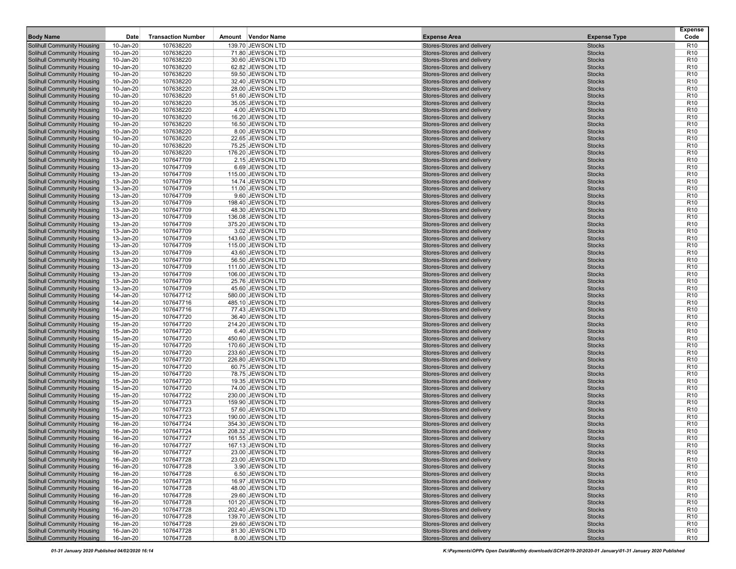| <b>Body Name</b>                                                       | Date                   | <b>Transaction Number</b> | Amount Vendor Name                     | <b>Expense Area</b>                                      | <b>Expense Type</b>            | <b>Expense</b><br>Code             |
|------------------------------------------------------------------------|------------------------|---------------------------|----------------------------------------|----------------------------------------------------------|--------------------------------|------------------------------------|
| <b>Solihull Community Housing</b>                                      | 10-Jan-20              | 107638220                 | 139.70 JEWSON LTD                      | Stores-Stores and delivery                               | <b>Stocks</b>                  | R <sub>10</sub>                    |
| <b>Solihull Community Housing</b>                                      | 10-Jan-20              | 107638220                 | 71.80 JEWSON LTD                       | Stores-Stores and delivery                               | <b>Stocks</b>                  | R <sub>10</sub>                    |
| <b>Solihull Community Housing</b>                                      | 10-Jan-20              | 107638220                 | 30.60 JEWSON LTD                       | Stores-Stores and delivery                               | <b>Stocks</b>                  | R <sub>10</sub>                    |
| <b>Solihull Community Housing</b>                                      | 10-Jan-20              | 107638220                 | 62.82 JEWSON LTD                       | Stores-Stores and delivery                               | <b>Stocks</b>                  | R <sub>10</sub>                    |
| <b>Solihull Community Housing</b>                                      | 10-Jan-20              | 107638220                 | 59.50 JEWSON LTD                       | Stores-Stores and delivery                               | <b>Stocks</b>                  | R <sub>10</sub>                    |
| <b>Solihull Community Housing</b>                                      | 10-Jan-20              | 107638220                 | 32.40 JEWSON LTD                       | Stores-Stores and delivery                               | <b>Stocks</b>                  | R <sub>10</sub>                    |
| <b>Solihull Community Housing</b>                                      | 10-Jan-20              | 107638220                 | 28.00 JEWSON LTD                       | Stores-Stores and delivery                               | <b>Stocks</b>                  | R <sub>10</sub>                    |
| <b>Solihull Community Housing</b>                                      | 10-Jan-20              | 107638220                 | 51.60 JEWSON LTD                       | Stores-Stores and delivery                               | <b>Stocks</b>                  | R <sub>10</sub>                    |
| <b>Solihull Community Housing</b>                                      | 10-Jan-20              | 107638220                 | 35.05 JEWSON LTD                       | Stores-Stores and delivery                               | <b>Stocks</b>                  | R <sub>10</sub>                    |
| <b>Solihull Community Housing</b><br><b>Solihull Community Housing</b> | 10-Jan-20<br>10-Jan-20 | 107638220<br>107638220    | 4.00 JEWSON LTD<br>16.20 JEWSON LTD    | Stores-Stores and delivery<br>Stores-Stores and delivery | <b>Stocks</b><br><b>Stocks</b> | R <sub>10</sub><br>R <sub>10</sub> |
| <b>Solihull Community Housing</b>                                      | 10-Jan-20              | 107638220                 | 16.50 JEWSON LTD                       | Stores-Stores and delivery                               | <b>Stocks</b>                  | R <sub>10</sub>                    |
| Solihull Community Housing                                             | 10-Jan-20              | 107638220                 | 8.00 JEWSON LTD                        | Stores-Stores and delivery                               | <b>Stocks</b>                  | R <sub>10</sub>                    |
| <b>Solihull Community Housing</b>                                      | 10-Jan-20              | 107638220                 | 22.65 JEWSON LTD                       | Stores-Stores and delivery                               | <b>Stocks</b>                  | R <sub>10</sub>                    |
| <b>Solihull Community Housing</b>                                      | 10-Jan-20              | 107638220                 | 75.25 JEWSON LTD                       | Stores-Stores and delivery                               | <b>Stocks</b>                  | R <sub>10</sub>                    |
| <b>Solihull Community Housing</b>                                      | 10-Jan-20              | 107638220                 | 176.20 JEWSON LTD                      | Stores-Stores and delivery                               | <b>Stocks</b>                  | R <sub>10</sub>                    |
| <b>Solihull Community Housing</b>                                      | 13-Jan-20              | 107647709                 | 2.15 JEWSON LTD                        | Stores-Stores and delivery                               | <b>Stocks</b>                  | R <sub>10</sub>                    |
| <b>Solihull Community Housing</b>                                      | 13-Jan-20              | 107647709                 | 6.69 JEWSON LTD                        | Stores-Stores and delivery                               | <b>Stocks</b>                  | R <sub>10</sub>                    |
| <b>Solihull Community Housing</b>                                      | 13-Jan-20              | 107647709                 | 115.00 JEWSON LTD                      | Stores-Stores and delivery                               | <b>Stocks</b>                  | R <sub>10</sub>                    |
| Solihull Community Housing                                             | 13-Jan-20              | 107647709                 | 14.74 JEWSON LTD                       | Stores-Stores and delivery                               | <b>Stocks</b>                  | R <sub>10</sub>                    |
| <b>Solihull Community Housing</b>                                      | 13-Jan-20              | 107647709                 | 11.00 JEWSON LTD                       | Stores-Stores and delivery                               | <b>Stocks</b>                  | R <sub>10</sub>                    |
| <b>Solihull Community Housing</b><br><b>Solihull Community Housing</b> | 13-Jan-20<br>13-Jan-20 | 107647709<br>107647709    | 9.60 JEWSON LTD<br>198.40 JEWSON LTD   | Stores-Stores and delivery<br>Stores-Stores and delivery | <b>Stocks</b><br><b>Stocks</b> | R <sub>10</sub><br>R <sub>10</sub> |
| <b>Solihull Community Housing</b>                                      | 13-Jan-20              | 107647709                 | 48.30 JEWSON LTD                       | Stores-Stores and delivery                               | <b>Stocks</b>                  | R <sub>10</sub>                    |
| <b>Solihull Community Housing</b>                                      | 13-Jan-20              | 107647709                 | 136.08 JEWSON LTD                      | Stores-Stores and delivery                               | <b>Stocks</b>                  | R <sub>10</sub>                    |
| <b>Solihull Community Housing</b>                                      | 13-Jan-20              | 107647709                 | 375.20 JEWSON LTD                      | Stores-Stores and delivery                               | <b>Stocks</b>                  | R <sub>10</sub>                    |
| <b>Solihull Community Housing</b>                                      | 13-Jan-20              | 107647709                 | 3.02 JEWSON LTD                        | Stores-Stores and delivery                               | <b>Stocks</b>                  | R <sub>10</sub>                    |
| <b>Solihull Community Housing</b>                                      | 13-Jan-20              | 107647709                 | 143.60 JEWSON LTD                      | Stores-Stores and delivery                               | <b>Stocks</b>                  | R <sub>10</sub>                    |
| <b>Solihull Community Housing</b>                                      | 13-Jan-20              | 107647709                 | 115.00 JEWSON LTD                      | Stores-Stores and delivery                               | <b>Stocks</b>                  | R <sub>10</sub>                    |
| <b>Solihull Community Housing</b>                                      | 13-Jan-20              | 107647709                 | 43.60 JEWSON LTD                       | Stores-Stores and delivery                               | <b>Stocks</b>                  | R <sub>10</sub>                    |
| <b>Solihull Community Housing</b>                                      | 13-Jan-20              | 107647709                 | 56.50 JEWSON LTD                       | Stores-Stores and delivery                               | <b>Stocks</b>                  | R <sub>10</sub>                    |
| <b>Solihull Community Housing</b>                                      | 13-Jan-20              | 107647709                 | 111.00 JEWSON LTD                      | Stores-Stores and delivery                               | <b>Stocks</b>                  | R <sub>10</sub>                    |
| <b>Solihull Community Housing</b>                                      | 13-Jan-20              | 107647709<br>107647709    | 106.00 JEWSON LTD                      | Stores-Stores and delivery<br>Stores-Stores and delivery | <b>Stocks</b><br><b>Stocks</b> | R <sub>10</sub><br>R <sub>10</sub> |
| <b>Solihull Community Housing</b><br><b>Solihull Community Housing</b> | 13-Jan-20<br>13-Jan-20 | 107647709                 | 25.76 JEWSON LTD<br>45.60 JEWSON LTD   | Stores-Stores and delivery                               | <b>Stocks</b>                  | R <sub>10</sub>                    |
| <b>Solihull Community Housing</b>                                      | 14-Jan-20              | 107647712                 | 580.00 JEWSON LTD                      | Stores-Stores and delivery                               | <b>Stocks</b>                  | R <sub>10</sub>                    |
| <b>Solihull Community Housing</b>                                      | 14-Jan-20              | 107647716                 | 485.10 JEWSON LTD                      | Stores-Stores and delivery                               | <b>Stocks</b>                  | R <sub>10</sub>                    |
| Solihull Community Housing                                             | 14-Jan-20              | 107647716                 | 77.43 JEWSON LTD                       | Stores-Stores and delivery                               | <b>Stocks</b>                  | R <sub>10</sub>                    |
| <b>Solihull Community Housing</b>                                      | 15-Jan-20              | 107647720                 | 36.40 JEWSON LTD                       | Stores-Stores and delivery                               | <b>Stocks</b>                  | R <sub>10</sub>                    |
| <b>Solihull Community Housing</b>                                      | 15-Jan-20              | 107647720                 | 214.20 JEWSON LTD                      | Stores-Stores and delivery                               | <b>Stocks</b>                  | R <sub>10</sub>                    |
| <b>Solihull Community Housing</b>                                      | 15-Jan-20              | 107647720                 | 6.40 JEWSON LTD                        | Stores-Stores and delivery                               | <b>Stocks</b>                  | R <sub>10</sub>                    |
| <b>Solihull Community Housing</b>                                      | 15-Jan-20              | 107647720                 | 450.60 JEWSON LTD                      | Stores-Stores and delivery                               | <b>Stocks</b>                  | R <sub>10</sub>                    |
| <b>Solihull Community Housing</b>                                      | 15-Jan-20              | 107647720                 | 170.60 JEWSON LTD                      | Stores-Stores and delivery                               | <b>Stocks</b>                  | R <sub>10</sub>                    |
| <b>Solihull Community Housing</b><br>Solihull Community Housing        | 15-Jan-20<br>15-Jan-20 | 107647720<br>107647720    | 233.60 JEWSON LTD<br>226.80 JEWSON LTD | Stores-Stores and delivery<br>Stores-Stores and delivery | <b>Stocks</b><br><b>Stocks</b> | R <sub>10</sub><br>R <sub>10</sub> |
| <b>Solihull Community Housing</b>                                      | 15-Jan-20              | 107647720                 | 60.75 JEWSON LTD                       | Stores-Stores and delivery                               | <b>Stocks</b>                  | R <sub>10</sub>                    |
| <b>Solihull Community Housing</b>                                      | 15-Jan-20              | 107647720                 | 78.75 JEWSON LTD                       | Stores-Stores and delivery                               | <b>Stocks</b>                  | R <sub>10</sub>                    |
| <b>Solihull Community Housing</b>                                      | 15-Jan-20              | 107647720                 | 19.35 JEWSON LTD                       | Stores-Stores and delivery                               | <b>Stocks</b>                  | R <sub>10</sub>                    |
| <b>Solihull Community Housing</b>                                      | 15-Jan-20              | 107647720                 | 74.00 JEWSON LTD                       | Stores-Stores and delivery                               | <b>Stocks</b>                  | R <sub>10</sub>                    |
| <b>Solihull Community Housing</b>                                      | 15-Jan-20              | 107647722                 | 230.00 JEWSON LTD                      | Stores-Stores and delivery                               | <b>Stocks</b>                  | R <sub>10</sub>                    |
| <b>Solihull Community Housing</b>                                      | 15-Jan-20              | 107647723                 | 159.90 JEWSON LTD                      | Stores-Stores and delivery                               | <b>Stocks</b>                  | R <sub>10</sub>                    |
| <b>Solihull Community Housing</b>                                      | 15-Jan-20              | 107647723                 | 57.60 JEWSON LTD                       | Stores-Stores and delivery                               | <b>Stocks</b>                  | R <sub>10</sub>                    |
| <b>Solihull Community Housing</b>                                      | 15-Jan-20              | 107647723                 | 190.00 JEWSON LTD                      | Stores-Stores and delivery                               | <b>Stocks</b>                  | R <sub>10</sub>                    |
| <b>Solihull Community Housing</b>                                      | 16-Jan-20              | 107647724                 | 354.30 JEWSON LTD                      | Stores-Stores and delivery                               | <b>Stocks</b>                  | R <sub>10</sub>                    |
| <b>Solihull Community Housing</b><br><b>Solihull Community Housing</b> | 16-Jan-20<br>16-Jan-20 | 107647724<br>107647727    | 208.32 JEWSON LTD<br>161.55 JEWSON LTD | Stores-Stores and delivery<br>Stores-Stores and delivery | <b>Stocks</b><br><b>Stocks</b> | R <sub>10</sub><br>R <sub>10</sub> |
| <b>Solihull Community Housing</b>                                      | 16-Jan-20              | 107647727                 | 167.13 JEWSON LTD                      | Stores-Stores and delivery                               | <b>Stocks</b>                  | R <sub>10</sub>                    |
| <b>Solihull Community Housing</b>                                      | 16-Jan-20              | 107647727                 | 23.00 JEWSON LTD                       | Stores-Stores and delivery                               | <b>Stocks</b>                  | R <sub>10</sub>                    |
| <b>Solihull Community Housing</b>                                      | 16-Jan-20              | 107647728                 | 23.00 JEWSON LTD                       | Stores-Stores and delivery                               | <b>Stocks</b>                  | R <sub>10</sub>                    |
| <b>Solihull Community Housing</b>                                      | 16-Jan-20              | 107647728                 | 3.90 JEWSON LTD                        | Stores-Stores and delivery                               | <b>Stocks</b>                  | R <sub>10</sub>                    |
| <b>Solihull Community Housing</b>                                      | 16-Jan-20              | 107647728                 | 6.50 JEWSON LTD                        | Stores-Stores and delivery                               | <b>Stocks</b>                  | R <sub>10</sub>                    |
| <b>Solihull Community Housing</b>                                      | 16-Jan-20              | 107647728                 | 16.97 JEWSON LTD                       | Stores-Stores and delivery                               | <b>Stocks</b>                  | R <sub>10</sub>                    |
| <b>Solihull Community Housing</b>                                      | 16-Jan-20              | 107647728                 | 48.00 JEWSON LTD                       | Stores-Stores and delivery                               | <b>Stocks</b>                  | R <sub>10</sub>                    |
| <b>Solihull Community Housing</b>                                      | 16-Jan-20              | 107647728                 | 29.60 JEWSON LTD                       | Stores-Stores and delivery                               | <b>Stocks</b>                  | R <sub>10</sub>                    |
| <b>Solihull Community Housing</b>                                      | 16-Jan-20              | 107647728                 | 101.20 JEWSON LTD                      | Stores-Stores and delivery                               | <b>Stocks</b>                  | R <sub>10</sub>                    |
| <b>Solihull Community Housing</b>                                      | 16-Jan-20              | 107647728                 | 202.40 JEWSON LTD                      | Stores-Stores and delivery                               | <b>Stocks</b>                  | R <sub>10</sub>                    |
| <b>Solihull Community Housing</b><br><b>Solihull Community Housing</b> | 16-Jan-20              | 107647728<br>107647728    | 139.70 JEWSON LTD<br>29.60 JEWSON LTD  | Stores-Stores and delivery<br>Stores-Stores and delivery | <b>Stocks</b><br><b>Stocks</b> | R <sub>10</sub><br>R <sub>10</sub> |
| <b>Solihull Community Housing</b>                                      | 16-Jan-20<br>16-Jan-20 | 107647728                 | 81.30 JEWSON LTD                       | Stores-Stores and delivery                               | <b>Stocks</b>                  | R <sub>10</sub>                    |
| <b>Solihull Community Housing</b>                                      | 16-Jan-20              | 107647728                 | 8.00 JEWSON LTD                        | Stores-Stores and delivery                               | <b>Stocks</b>                  | R <sub>10</sub>                    |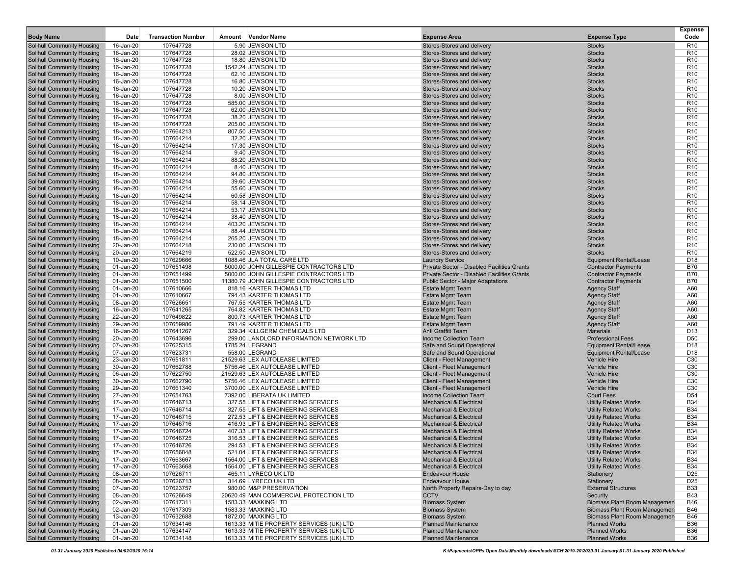| <b>Body Name</b>                                                       | Date                      | <b>Transaction Number</b> | Amount Vendor Name                                                       | <b>Expense Area</b>                                                      | <b>Expense Type</b>                                          | <b>Expense</b><br>Code             |
|------------------------------------------------------------------------|---------------------------|---------------------------|--------------------------------------------------------------------------|--------------------------------------------------------------------------|--------------------------------------------------------------|------------------------------------|
| <b>Solihull Community Housing</b>                                      | 16-Jan-20                 | 107647728                 | 5.90 JEWSON LTD                                                          | Stores-Stores and delivery                                               | <b>Stocks</b>                                                | R <sub>10</sub>                    |
| <b>Solihull Community Housing</b>                                      | 16-Jan-20                 | 107647728                 | 28.02 JEWSON LTD                                                         | Stores-Stores and delivery                                               | <b>Stocks</b>                                                | R <sub>10</sub>                    |
| <b>Solihull Community Housing</b>                                      | 16-Jan-20                 | 107647728                 | 18.80 JEWSON LTD                                                         | Stores-Stores and delivery                                               | <b>Stocks</b>                                                | R <sub>10</sub>                    |
| <b>Solihull Community Housing</b>                                      | 16-Jan-20                 | 107647728                 | 1542.24 JEWSON LTD                                                       | Stores-Stores and delivery                                               | <b>Stocks</b>                                                | R <sub>10</sub>                    |
| <b>Solihull Community Housing</b>                                      | 16-Jan-20                 | 107647728                 | 62.10 JEWSON LTD                                                         | Stores-Stores and delivery                                               | <b>Stocks</b>                                                | R <sub>10</sub>                    |
| <b>Solihull Community Housing</b>                                      | 16-Jan-20                 | 107647728                 | 16.80 JEWSON LTD                                                         | Stores-Stores and delivery                                               | <b>Stocks</b>                                                | R <sub>10</sub>                    |
| <b>Solihull Community Housing</b>                                      | 16-Jan-20                 | 107647728                 | 10.20 JEWSON LTD                                                         | Stores-Stores and delivery                                               | <b>Stocks</b>                                                | R <sub>10</sub>                    |
| <b>Solihull Community Housing</b>                                      | 16-Jan-20                 | 107647728                 | 8.00 JEWSON LTD                                                          | Stores-Stores and delivery                                               | <b>Stocks</b>                                                | R <sub>10</sub>                    |
| <b>Solihull Community Housing</b>                                      | $16$ -Jan-20<br>16-Jan-20 | 107647728<br>107647728    | 585.00 JEWSON LTD<br>62.00 JEWSON LTD                                    | Stores-Stores and delivery<br>Stores-Stores and delivery                 | <b>Stocks</b><br><b>Stocks</b>                               | R <sub>10</sub><br>R <sub>10</sub> |
| <b>Solihull Community Housing</b><br>Solihull Community Housing        | 16-Jan-20                 | 107647728                 | 38.20 JEWSON LTD                                                         | Stores-Stores and delivery                                               | <b>Stocks</b>                                                | R <sub>10</sub>                    |
| <b>Solihull Community Housing</b>                                      | 16-Jan-20                 | 107647728                 | 205.00 JEWSON LTD                                                        | Stores-Stores and delivery                                               | <b>Stocks</b>                                                | R <sub>10</sub>                    |
| Solihull Community Housing                                             | 18-Jan-20                 | 107664213                 | 807.50 JEWSON LTD                                                        | Stores-Stores and delivery                                               | <b>Stocks</b>                                                | R <sub>10</sub>                    |
| <b>Solihull Community Housing</b>                                      | 18-Jan-20                 | 107664214                 | 32.20 JEWSON LTD                                                         | Stores-Stores and delivery                                               | <b>Stocks</b>                                                | R <sub>10</sub>                    |
| <b>Solihull Community Housing</b>                                      | 18-Jan-20                 | 107664214                 | 17.30 JEWSON LTD                                                         | Stores-Stores and delivery                                               | <b>Stocks</b>                                                | R <sub>10</sub>                    |
| <b>Solihull Community Housing</b>                                      | 18-Jan-20                 | 107664214                 | 9.40 JEWSON LTD                                                          | Stores-Stores and delivery                                               | <b>Stocks</b>                                                | R <sub>10</sub>                    |
| <b>Solihull Community Housing</b>                                      | 18-Jan-20                 | 107664214                 | 88.20 JEWSON LTD                                                         | Stores-Stores and delivery                                               | <b>Stocks</b>                                                | R <sub>10</sub>                    |
| <b>Solihull Community Housing</b>                                      | 18-Jan-20                 | 107664214<br>107664214    | 8.40 JEWSON LTD                                                          | Stores-Stores and delivery<br>Stores-Stores and delivery                 | <b>Stocks</b><br><b>Stocks</b>                               | R <sub>10</sub><br>R <sub>10</sub> |
| <b>Solihull Community Housing</b><br>Solihull Community Housing        | 18-Jan-20<br>18-Jan-20    | 107664214                 | 94.80 JEWSON LTD<br>39.60 JEWSON LTD                                     | Stores-Stores and delivery                                               | <b>Stocks</b>                                                | R <sub>10</sub>                    |
| <b>Solihull Community Housing</b>                                      | 18-Jan-20                 | 107664214                 | 55.60 JEWSON LTD                                                         | Stores-Stores and delivery                                               | <b>Stocks</b>                                                | R <sub>10</sub>                    |
| <b>Solihull Community Housing</b>                                      | 18-Jan-20                 | 107664214                 | 60.58 JEWSON LTD                                                         | Stores-Stores and delivery                                               | <b>Stocks</b>                                                | R <sub>10</sub>                    |
| <b>Solihull Community Housing</b>                                      | 18-Jan-20                 | 107664214                 | 58.14 JEWSON LTD                                                         | Stores-Stores and delivery                                               | <b>Stocks</b>                                                | R <sub>10</sub>                    |
| <b>Solihull Community Housing</b>                                      | 18-Jan-20                 | 107664214                 | 53.17 JEWSON LTD                                                         | Stores-Stores and delivery                                               | <b>Stocks</b>                                                | R <sub>10</sub>                    |
| <b>Solihull Community Housing</b>                                      | 18-Jan-20                 | 107664214                 | 38.40 JEWSON LTD                                                         | Stores-Stores and delivery                                               | <b>Stocks</b>                                                | R <sub>10</sub>                    |
| <b>Solihull Community Housing</b>                                      | 18-Jan-20                 | 107664214                 | 403.20 JEWSON LTD                                                        | Stores-Stores and delivery                                               | <b>Stocks</b>                                                | R <sub>10</sub>                    |
| <b>Solihull Community Housing</b>                                      | 18-Jan-20                 | 107664214                 | 88.44 JEWSON LTD                                                         | Stores-Stores and delivery                                               | <b>Stocks</b>                                                | R <sub>10</sub>                    |
| <b>Solihull Community Housing</b><br><b>Solihull Community Housing</b> | 18-Jan-20<br>20-Jan-20    | 107664214<br>107664218    | 265.20 JEWSON LTD<br>230.00 JEWSON LTD                                   | Stores-Stores and delivery<br>Stores-Stores and delivery                 | <b>Stocks</b><br><b>Stocks</b>                               | R <sub>10</sub><br>R <sub>10</sub> |
| <b>Solihull Community Housing</b>                                      | 20-Jan-20                 | 107664219                 | 522.50 JEWSON LTD                                                        | Stores-Stores and delivery                                               | <b>Stocks</b>                                                | R <sub>10</sub>                    |
| <b>Solihull Community Housing</b>                                      | 10-Jan-20                 | 107629666                 | 1088.46 JLA TOTAL CARE LTD                                               | <b>Laundry Service</b>                                                   | <b>Equipment Rental/Lease</b>                                | D <sub>18</sub>                    |
| <b>Solihull Community Housing</b>                                      | 01-Jan-20                 | 107651498                 | 5000.00 JOHN GILLESPIE CONTRACTORS LTD                                   | <b>Private Sector - Disabled Facilities Grants</b>                       | <b>Contractor Payments</b>                                   | <b>B70</b>                         |
| <b>Solihull Community Housing</b>                                      | 01-Jan-20                 | 107651499                 | 5000.00 JOHN GILLESPIE CONTRACTORS LTD                                   | Private Sector - Disabled Facilities Grants                              | <b>Contractor Payments</b>                                   | <b>B70</b>                         |
| <b>Solihull Community Housing</b>                                      | 01-Jan-20                 | 107651500                 | 11380.79 JOHN GILLESPIE CONTRACTORS LTD                                  | <b>Public Sector - Major Adaptations</b>                                 | <b>Contractor Payments</b>                                   | <b>B70</b>                         |
| <b>Solihull Community Housing</b>                                      | 01-Jan-20                 | 107610666                 | 818.16 KARTER THOMAS LTD                                                 | <b>Estate Mgmt Team</b>                                                  | <b>Agency Staff</b>                                          | A60                                |
| <b>Solihull Community Housing</b>                                      | 01-Jan-20                 | 107610667                 | 794.43 KARTER THOMAS LTD                                                 | <b>Estate Mgmt Team</b>                                                  | <b>Agency Staff</b>                                          | A60<br>A60                         |
| <b>Solihull Community Housing</b><br>Solihull Community Housing        | 08-Jan-20<br>16-Jan-20    | 107626651<br>107641265    | 767.55 KARTER THOMAS LTD<br>764.82 KARTER THOMAS LTD                     | <b>Estate Mgmt Team</b><br><b>Estate Mgmt Team</b>                       | <b>Agency Staff</b><br><b>Agency Staff</b>                   | A60                                |
| <b>Solihull Community Housing</b>                                      | 22-Jan-20                 | 107649822                 | 800.73 KARTER THOMAS LTD                                                 | <b>Estate Mgmt Team</b>                                                  | <b>Agency Staff</b>                                          | A60                                |
| <b>Solihull Community Housing</b>                                      | 29-Jan-20                 | 107659986                 | 791.49 KARTER THOMAS LTD                                                 | <b>Estate Mgmt Team</b>                                                  | <b>Agency Staff</b>                                          | A60                                |
| <b>Solihull Community Housing</b>                                      | 16-Jan-20                 | 107641267                 | 329.34 KILLGERM CHEMICALS LTD                                            | Anti Graffiti Team                                                       | <b>Materials</b>                                             | D <sub>13</sub>                    |
| <b>Solihull Community Housing</b>                                      | 20-Jan-20                 | 107643696                 | 299.00 LANDLORD INFORMATION NETWORK LTD                                  | Income Collection Team                                                   | <b>Professional Fees</b>                                     | D <sub>50</sub>                    |
| <b>Solihull Community Housing</b>                                      | 07-Jan-20                 | 107625315                 | 1785.24 LEGRAND                                                          | Safe and Sound Operational                                               | <b>Equipment Rental/Lease</b>                                | D <sub>18</sub>                    |
| <b>Solihull Community Housing</b>                                      | 07-Jan-20                 | 107623731                 | 558.00 LEGRAND                                                           | Safe and Sound Operational                                               | <b>Equipment Rental/Lease</b>                                | D <sub>18</sub>                    |
| Solihull Community Housing<br><b>Solihull Community Housing</b>        | 23-Jan-20<br>30-Jan-20    | 107651811<br>107662788    | 21529.63 LEX AUTOLEASE LIMITED<br>5756.46 LEX AUTOLEASE LIMITED          | <b>Client - Fleet Management</b><br><b>Client - Fleet Management</b>     | <b>Vehicle Hire</b><br><b>Vehicle Hire</b>                   | C <sub>30</sub><br>C <sub>30</sub> |
| <b>Solihull Community Housing</b>                                      | 06-Jan-20                 | 107622750                 | 21529.63 LEX AUTOLEASE LIMITED                                           | Client - Fleet Management                                                | <b>Vehicle Hire</b>                                          | C30                                |
| <b>Solihull Community Housing</b>                                      | 30-Jan-20                 | 107662790                 | 5756.46 LEX AUTOLEASE LIMITED                                            | Client - Fleet Management                                                | <b>Vehicle Hire</b>                                          | C <sub>30</sub>                    |
| <b>Solihull Community Housing</b>                                      | 29-Jan-20                 | 107661340                 | 3700.00 LEX AUTOLEASE LIMITED                                            | <b>Client - Fleet Management</b>                                         | <b>Vehicle Hire</b>                                          | C30                                |
| <b>Solihull Community Housing</b>                                      | 27-Jan-20                 | 107654763                 | 7392.00 LIBERATA UK LIMITED                                              | <b>Income Collection Team</b>                                            | <b>Court Fees</b>                                            | D <sub>54</sub>                    |
| <b>Solihull Community Housing</b>                                      | 17-Jan-20                 | 107646713                 | 327.55 LIFT & ENGINEERING SERVICES                                       | <b>Mechanical &amp; Electrical</b>                                       | <b>Utility Related Works</b>                                 | <b>B34</b>                         |
| <b>Solihull Community Housing</b>                                      | 17-Jan-20                 | 107646714                 | 327.55 LIFT & ENGINEERING SERVICES                                       | <b>Mechanical &amp; Electrical</b>                                       | <b>Utility Related Works</b>                                 | <b>B34</b>                         |
| <b>Solihull Community Housing</b>                                      | 17-Jan-20                 | 107646715                 | 272.53 LIFT & ENGINEERING SERVICES                                       | <b>Mechanical &amp; Electrical</b>                                       | <b>Utility Related Works</b>                                 | <b>B34</b>                         |
| <b>Solihull Community Housing</b><br><b>Solihull Community Housing</b> | 17-Jan-20<br>17-Jan-20    | 107646716<br>107646724    | 416.93 LIFT & ENGINEERING SERVICES<br>407.33 LIFT & ENGINEERING SERVICES | <b>Mechanical &amp; Electrical</b><br><b>Mechanical &amp; Electrical</b> | <b>Utility Related Works</b>                                 | <b>B34</b><br><b>B34</b>           |
| <b>Solihull Community Housing</b>                                      | 17-Jan-20                 | 107646725                 | 316.53 LIFT & ENGINEERING SERVICES                                       | <b>Mechanical &amp; Electrical</b>                                       | <b>Utility Related Works</b><br><b>Utility Related Works</b> | <b>B34</b>                         |
| <b>Solihull Community Housing</b>                                      | 17-Jan-20                 | 107646726                 | 294.53 LIFT & ENGINEERING SERVICES                                       | <b>Mechanical &amp; Electrical</b>                                       | <b>Utility Related Works</b>                                 | <b>B34</b>                         |
| Solihull Community Housing                                             | 17-Jan-20                 | 107656848                 | 521.04 LIFT & ENGINEERING SERVICES                                       | <b>Mechanical &amp; Electrical</b>                                       | <b>Utility Related Works</b>                                 | <b>B34</b>                         |
| <b>Solihull Community Housing</b>                                      | 17-Jan-20                 | 107663667                 | 1564.00 LIFT & ENGINEERING SERVICES                                      | <b>Mechanical &amp; Electrical</b>                                       | <b>Utility Related Works</b>                                 | <b>B34</b>                         |
| <b>Solihull Community Housing</b>                                      | 17-Jan-20                 | 107663668                 | 1564.00 LIFT & ENGINEERING SERVICES                                      | <b>Mechanical &amp; Electrical</b>                                       | <b>Utility Related Works</b>                                 | <b>B34</b>                         |
| <b>Solihull Community Housing</b>                                      | 08-Jan-20                 | 107626711                 | 465.11 LYRECO UK LTD                                                     | <b>Endeavour House</b>                                                   | Stationery                                                   | D <sub>25</sub>                    |
| <b>Solihull Community Housing</b><br><b>Solihull Community Housing</b> | 08-Jan-20                 | 107626713                 | 314.69 LYRECO UK LTD<br>980.00 M&P PRESERVATION                          | <b>Endeavour House</b>                                                   | Stationery                                                   | D <sub>25</sub>                    |
| <b>Solihull Community Housing</b>                                      | 07-Jan-20<br>08-Jan-20    | 107623757<br>107626649    | 20620.49 MAN COMMERCIAL PROTECTION LTD                                   | North Property Repairs-Day to day<br><b>CCTV</b>                         | <b>External Structures</b><br>Security                       | <b>B33</b><br><b>B43</b>           |
| <b>Solihull Community Housing</b>                                      | 02-Jan-20                 | 107617311                 | 1583.33 MAXKING LTD                                                      | <b>Biomass System</b>                                                    | <b>Biomass Plant Room Managemen</b>                          | B46                                |
| <b>Solihull Community Housing</b>                                      | 02-Jan-20                 | 107617309                 | 1583.33 MAXKING LTD                                                      | <b>Biomass System</b>                                                    | <b>Biomass Plant Room Managemen</b>                          | <b>B46</b>                         |
| <b>Solihull Community Housing</b>                                      | 13-Jan-20                 | 107632688                 | 1872.00 MAXKING LTD                                                      | <b>Biomass System</b>                                                    | <b>Biomass Plant Room Managemen</b>                          | <b>B46</b>                         |
| Solihull Community Housing                                             | 01-Jan-20                 | 107634146                 | 1613.33 MITIE PROPERTY SERVICES (UK) LTD                                 | <b>Planned Maintenance</b>                                               | <b>Planned Works</b>                                         | <b>B36</b>                         |
| <b>Solihull Community Housing</b>                                      | 01-Jan-20                 | 107634147                 | 1613.33 MITIE PROPERTY SERVICES (UK) LTD                                 | <b>Planned Maintenance</b>                                               | <b>Planned Works</b>                                         | <b>B36</b>                         |
| <b>Solihull Community Housing</b>                                      | 01-Jan-20                 | 107634148                 | 1613.33 MITIE PROPERTY SERVICES (UK) LTD                                 | <b>Planned Maintenance</b>                                               | <b>Planned Works</b>                                         | <b>B36</b>                         |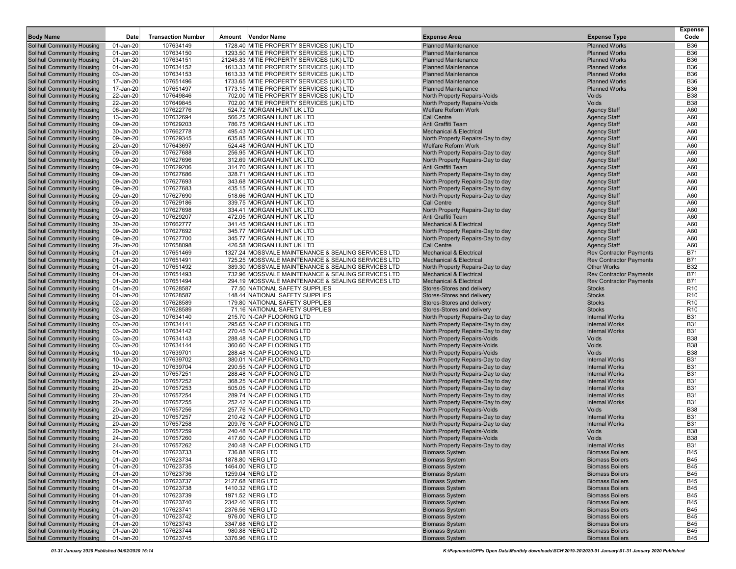| <b>Body Name</b>                                                       | Date                   | <b>Transaction Number</b> | Amount Vendor Name                                                                                       | <b>Expense Area</b>                                                      | <b>Expense Type</b>                                              | <b>Expense</b><br>Code   |
|------------------------------------------------------------------------|------------------------|---------------------------|----------------------------------------------------------------------------------------------------------|--------------------------------------------------------------------------|------------------------------------------------------------------|--------------------------|
| <b>Solihull Community Housing</b>                                      | 01-Jan-20              | 107634149                 | 1728.40 MITIE PROPERTY SERVICES (UK) LTD                                                                 | <b>Planned Maintenance</b>                                               | <b>Planned Works</b>                                             | <b>B36</b>               |
| Solihull Community Housing                                             | 01-Jan-20              | 107634150                 | 1293.50 MITIE PROPERTY SERVICES (UK) LTD                                                                 | <b>Planned Maintenance</b>                                               | <b>Planned Works</b>                                             | <b>B36</b>               |
| Solihull Community Housing                                             | 01-Jan-20              | 107634151                 | 21245.83 MITIE PROPERTY SERVICES (UK) LTD                                                                | <b>Planned Maintenance</b>                                               | <b>Planned Works</b>                                             | <b>B36</b>               |
| <b>Solihull Community Housing</b>                                      | 01-Jan-20              | 107634152                 | 1613.33 MITIE PROPERTY SERVICES (UK) LTD                                                                 | <b>Planned Maintenance</b>                                               | <b>Planned Works</b>                                             | <b>B36</b>               |
| Solihull Community Housing                                             | 03-Jan-20              | 107634153                 | 1613.33 MITIE PROPERTY SERVICES (UK) LTD                                                                 | <b>Planned Maintenance</b>                                               | <b>Planned Works</b>                                             | <b>B36</b>               |
| Solihull Community Housing                                             | 17-Jan-20              | 107651496                 | 1733.65 MITIE PROPERTY SERVICES (UK) LTD                                                                 | <b>Planned Maintenance</b>                                               | <b>Planned Works</b>                                             | <b>B36</b>               |
| <b>Solihull Community Housing</b>                                      | 17-Jan-20              | 107651497                 | 1773.15 MITIE PROPERTY SERVICES (UK) LTD                                                                 | <b>Planned Maintenance</b>                                               | <b>Planned Works</b>                                             | <b>B36</b>               |
| Solihull Community Housing                                             | 22-Jan-20              | 107649846                 | 702.00 MITIE PROPERTY SERVICES (UK) LTD                                                                  | North Property Repairs-Voids                                             | <b>Voids</b><br><b>Voids</b>                                     | <b>B38</b><br><b>B38</b> |
| Solihull Community Housing<br>Solihull Community Housing               | 22-Jan-20<br>06-Jan-20 | 107649845<br>107622776    | 702.00 MITIE PROPERTY SERVICES (UK) LTD<br>524.72 MORGAN HUNT UK LTD                                     | North Property Repairs-Voids<br><b>Welfare Reform Work</b>               | <b>Agency Staff</b>                                              | A60                      |
| <b>Solihull Community Housing</b>                                      | 13-Jan-20              | 107632694                 | 566.25 MORGAN HUNT UK LTD                                                                                | <b>Call Centre</b>                                                       | <b>Agency Staff</b>                                              | A60                      |
| Solihull Community Housing                                             | 09-Jan-20              | 107629203                 | 786.75 MORGAN HUNT UK LTD                                                                                | Anti Graffiti Team                                                       | <b>Agency Staff</b>                                              | A60                      |
| Solihull Community Housing                                             | 30-Jan-20              | 107662778                 | 495.43 MORGAN HUNT UK LTD                                                                                | <b>Mechanical &amp; Electrical</b>                                       | <b>Agency Staff</b>                                              | A60                      |
| <b>Solihull Community Housing</b>                                      | 09-Jan-20              | 107629345                 | 635.85 MORGAN HUNT UK LTD                                                                                | North Property Repairs-Day to day                                        | <b>Agency Staff</b>                                              | A60                      |
| <b>Solihull Community Housing</b>                                      | 20-Jan-20              | 107643697                 | 524.48 MORGAN HUNT UK LTD                                                                                | <b>Welfare Reform Work</b>                                               | <b>Agency Staff</b>                                              | A60                      |
| <b>Solihull Community Housing</b>                                      | 09-Jan-20              | 107627688                 | 256.95 MORGAN HUNT UK LTD                                                                                | North Property Repairs-Day to day                                        | <b>Agency Staff</b>                                              | A60                      |
| <b>Solihull Community Housing</b>                                      | 09-Jan-20              | 107627696                 | 312.69 MORGAN HUNT UK LTD                                                                                | North Property Repairs-Day to day                                        | <b>Agency Staff</b>                                              | A60                      |
| <b>Solihull Community Housing</b>                                      | 09-Jan-20              | 107629206                 | 314.70 MORGAN HUNT UK LTD                                                                                | Anti Graffiti Team                                                       | <b>Agency Staff</b>                                              | A60                      |
| <b>Solihull Community Housing</b>                                      | 09-Jan-20              | 107627686                 | 328.71 MORGAN HUNT UK LTD                                                                                | North Property Repairs-Day to day                                        | <b>Agency Staff</b>                                              | A60                      |
| Solihull Community Housing                                             | 09-Jan-20              | 107627693<br>107627683    | 343.68 MORGAN HUNT UK LTD<br>435.15 MORGAN HUNT UK LTD                                                   | North Property Repairs-Day to day                                        | <b>Agency Staff</b>                                              | A60<br>A60               |
| Solihull Community Housing<br>Solihull Community Housing               | 09-Jan-20<br>09-Jan-20 | 107627690                 | 518.66 MORGAN HUNT UK LTD                                                                                | North Property Repairs-Day to day<br>North Property Repairs-Day to day   | <b>Agency Staff</b><br><b>Agency Staff</b>                       | A60                      |
| Solihull Community Housing                                             | 09-Jan-20              | 107629186                 | 339.75 MORGAN HUNT UK LTD                                                                                | <b>Call Centre</b>                                                       | <b>Agency Staff</b>                                              | A60                      |
| Solihull Community Housing                                             | 09-Jan-20              | 107627698                 | 334.41 MORGAN HUNT UK LTD                                                                                | North Property Repairs-Day to day                                        | <b>Agency Staff</b>                                              | A60                      |
| Solihull Community Housing                                             | 09-Jan-20              | 107629207                 | 472.05 MORGAN HUNT UK LTD                                                                                | Anti Graffiti Team                                                       | <b>Agency Staff</b>                                              | A60                      |
| Solihull Community Housing                                             | 30-Jan-20              | 107662777                 | 341.45 MORGAN HUNT UK LTD                                                                                | <b>Mechanical &amp; Electrical</b>                                       | <b>Agency Staff</b>                                              | A60                      |
| Solihull Community Housing                                             | 09-Jan-20              | 107627692                 | 345.77 MORGAN HUNT UK LTD                                                                                | North Property Repairs-Day to day                                        | <b>Agency Staff</b>                                              | A60                      |
| Solihull Community Housing                                             | 09-Jan-20              | 107627700                 | 345.77 MORGAN HUNT UK LTD                                                                                | North Property Repairs-Day to day                                        | <b>Agency Staff</b>                                              | A60                      |
| <b>Solihull Community Housing</b>                                      | 28-Jan-20              | 107658098                 | 426.58 MORGAN HUNT UK LTD                                                                                | <b>Call Centre</b>                                                       | <b>Agency Staff</b>                                              | A60                      |
| Solihull Community Housing                                             | 01-Jan-20              | 107651469                 | 1327.24 MOSSVALE MAINTENANCE & SEALING SERVICES LTD                                                      | <b>Mechanical &amp; Electrical</b>                                       | <b>Rev Contractor Payments</b>                                   | <b>B71</b>               |
| Solihull Community Housing                                             | 01-Jan-20              | 107651491                 | 725.25 MOSSVALE MAINTENANCE & SEALING SERVICES LTD                                                       | <b>Mechanical &amp; Electrical</b>                                       | <b>Rev Contractor Payments</b>                                   | <b>B71</b>               |
| Solihull Community Housing<br><b>Solihull Community Housing</b>        | 01-Jan-20<br>01-Jan-20 | 107651492<br>107651493    | 389.30 MOSSVALE MAINTENANCE & SEALING SERVICES LTD<br>732.96 MOSSVALE MAINTENANCE & SEALING SERVICES LTD | North Property Repairs-Day to day<br><b>Mechanical &amp; Electrical</b>  | <b>Other Works</b>                                               | <b>B32</b><br><b>B71</b> |
| <b>Solihull Community Housing</b>                                      | 01-Jan-20              | 107651494                 | 294.19 MOSSVALE MAINTENANCE & SEALING SERVICES LTD                                                       | <b>Mechanical &amp; Electrical</b>                                       | <b>Rev Contractor Payments</b><br><b>Rev Contractor Payments</b> | <b>B71</b>               |
| Solihull Community Housing                                             | 01-Jan-20              | 107628587                 | 77.50 NATIONAL SAFETY SUPPLIES                                                                           | Stores-Stores and delivery                                               | <b>Stocks</b>                                                    | R <sub>10</sub>          |
| <b>Solihull Community Housing</b>                                      | 01-Jan-20              | 107628587                 | 148.44 NATIONAL SAFETY SUPPLIES                                                                          | Stores-Stores and delivery                                               | <b>Stocks</b>                                                    | R <sub>10</sub>          |
| Solihull Community Housing                                             | 02-Jan-20              | 107628589                 | 179.80 NATIONAL SAFETY SUPPLIES                                                                          | Stores-Stores and delivery                                               | <b>Stocks</b>                                                    | R <sub>10</sub>          |
| Solihull Community Housing                                             | 02-Jan-20              | 107628589                 | 71.16 NATIONAL SAFETY SUPPLIES                                                                           | Stores-Stores and delivery                                               | <b>Stocks</b>                                                    | R <sub>10</sub>          |
| Solihull Community Housing                                             | 03-Jan-20              | 107634140                 | 215.70 N-CAP FLOORING LTD                                                                                | North Property Repairs-Day to day                                        | <b>Internal Works</b>                                            | <b>B31</b>               |
| Solihull Community Housing                                             | 03-Jan-20              | 107634141                 | 295.65 N-CAP FLOORING LTD                                                                                | North Property Repairs-Day to day                                        | <b>Internal Works</b>                                            | <b>B31</b>               |
| Solihull Community Housing                                             | 03-Jan-20              | 107634142                 | 270.45 N-CAP FLOORING LTD                                                                                | North Property Repairs-Day to day                                        | <b>Internal Works</b>                                            | <b>B31</b>               |
| Solihull Community Housing                                             | 03-Jan-20              | 107634143                 | 288.48 N-CAP FLOORING LTD                                                                                | North Property Repairs-Voids                                             | <b>Voids</b>                                                     | <b>B38</b>               |
| <b>Solihull Community Housing</b><br>Solihull Community Housing        | 03-Jan-20<br>10-Jan-20 | 107634144<br>107639701    | 360.60 N-CAP FLOORING LTD<br>288.48 N-CAP FLOORING LTD                                                   | North Property Repairs-Voids                                             | <b>Voids</b><br><b>Voids</b>                                     | <b>B38</b><br><b>B38</b> |
| Solihull Community Housing                                             | 10-Jan-20              | 107639702                 | 380.01 N-CAP FLOORING LTD                                                                                | <b>North Property Repairs-Voids</b><br>North Property Repairs-Day to day | <b>Internal Works</b>                                            | <b>B31</b>               |
| <b>Solihull Community Housing</b>                                      | 10-Jan-20              | 107639704                 | 290.55 N-CAP FLOORING LTD                                                                                | North Property Repairs-Day to day                                        | <b>Internal Works</b>                                            | <b>B31</b>               |
| Solihull Community Housing                                             | 20-Jan-20              | 107657251                 | 288.48 N-CAP FLOORING LTD                                                                                | North Property Repairs-Day to day                                        | <b>Internal Works</b>                                            | <b>B31</b>               |
| Solihull Community Housing                                             | 20-Jan-20              | 107657252                 | 368.25 N-CAP FLOORING LTD                                                                                | North Property Repairs-Day to day                                        | <b>Internal Works</b>                                            | <b>B31</b>               |
| Solihull Community Housing                                             | 20-Jan-20              | 107657253                 | 505.05 N-CAP FLOORING LTD                                                                                | North Property Repairs-Day to day                                        | <b>Internal Works</b>                                            | <b>B31</b>               |
| <b>Solihull Community Housing</b>                                      | 20-Jan-20              | 107657254                 | 289.74 N-CAP FLOORING LTD                                                                                | North Property Repairs-Day to day                                        | <b>Internal Works</b>                                            | <b>B31</b>               |
| Solihull Community Housing                                             | 20-Jan-20              | 107657255                 | 252.42 N-CAP FLOORING LTD                                                                                | North Property Repairs-Day to day                                        | <b>Internal Works</b>                                            | <b>B31</b>               |
| Solihull Community Housing                                             | 20-Jan-20              | 107657256                 | 257.76 N-CAP FLOORING LTD                                                                                | <b>North Property Repairs-Voids</b>                                      | Voids                                                            | <b>B38</b>               |
| Solihull Community Housing                                             | 20-Jan-20              | 107657257                 | 210.42 N-CAP FLOORING LTD                                                                                | North Property Repairs-Day to day                                        | <b>Internal Works</b>                                            | <b>B31</b>               |
| <b>Solihull Community Housing</b><br><b>Solihull Community Housing</b> | 20-Jan-20<br>20-Jan-20 | 107657258<br>107657259    | 209.76 N-CAP FLOORING LTD<br>240.48 N-CAP FLOORING LTD                                                   | North Property Repairs-Day to day                                        | <b>Internal Works</b><br>Voids                                   | <b>B31</b><br><b>B38</b> |
| <b>Solihull Community Housing</b>                                      | 24-Jan-20              | 107657260                 | 417.60 N-CAP FLOORING LTD                                                                                | North Property Repairs-Voids<br>North Property Repairs-Voids             | Voids                                                            | <b>B38</b>               |
| <b>Solihull Community Housing</b>                                      | 24-Jan-20              | 107657262                 | 240.48 N-CAP FLOORING LTD                                                                                | North Property Repairs-Day to day                                        | <b>Internal Works</b>                                            | <b>B31</b>               |
| Solihull Community Housing                                             | 01-Jan-20              | 107623733                 | 736.88 NERG LTD                                                                                          | <b>Biomass System</b>                                                    | <b>Biomass Boilers</b>                                           | <b>B45</b>               |
| <b>Solihull Community Housing</b>                                      | 01-Jan-20              | 107623734                 | 1878.80 NERG LTD                                                                                         | <b>Biomass System</b>                                                    | <b>Biomass Boilers</b>                                           | <b>B45</b>               |
| <b>Solihull Community Housing</b>                                      | 01-Jan-20              | 107623735                 | 1464.00 NERG LTD                                                                                         | <b>Biomass System</b>                                                    | <b>Biomass Boilers</b>                                           | <b>B45</b>               |
| <b>Solihull Community Housing</b>                                      | 01-Jan-20              | 107623736                 | 1259.04 NERG LTD                                                                                         | <b>Biomass System</b>                                                    | <b>Biomass Boilers</b>                                           | <b>B45</b>               |
| Solihull Community Housing                                             | 01-Jan-20              | 107623737                 | 2127.68 NERG LTD                                                                                         | <b>Biomass System</b>                                                    | <b>Biomass Boilers</b>                                           | <b>B45</b>               |
| Solihull Community Housing                                             | 01-Jan-20              | 107623738                 | 1410.32 NERG LTD                                                                                         | <b>Biomass System</b>                                                    | <b>Biomass Boilers</b>                                           | <b>B45</b>               |
| Solihull Community Housing                                             | 01-Jan-20              | 107623739                 | 1971.52 NERG LTD                                                                                         | <b>Biomass System</b>                                                    | <b>Biomass Boilers</b>                                           | <b>B45</b>               |
| Solihull Community Housing                                             | 01-Jan-20              | 107623740                 | 2342.40 NERG LTD                                                                                         | <b>Biomass System</b>                                                    | <b>Biomass Boilers</b>                                           | <b>B45</b>               |
| <b>Solihull Community Housing</b>                                      | 01-Jan-20              | 107623741                 | 2376.56 NERG LTD                                                                                         | <b>Biomass System</b>                                                    | <b>Biomass Boilers</b>                                           | <b>B45</b>               |
| Solihull Community Housing<br><b>Solihull Community Housing</b>        | 01-Jan-20<br>01-Jan-20 | 107623742<br>107623743    | 976.00 NERG LTD<br>3347.68 NERG LTD                                                                      | <b>Biomass System</b><br><b>Biomass System</b>                           | <b>Biomass Boilers</b><br><b>Biomass Boilers</b>                 | <b>B45</b><br><b>B45</b> |
| <b>Solihull Community Housing</b>                                      | 01-Jan-20              | 107623744                 | 980.88 NERG LTD                                                                                          | <b>Biomass System</b>                                                    | <b>Biomass Boilers</b>                                           | <b>B45</b>               |
| <b>Solihull Community Housing</b>                                      | $01$ -Jan-20           | 107623745                 | 3376.96 NERG LTD                                                                                         | <b>Biomass System</b>                                                    | <b>Biomass Boilers</b>                                           | <b>B45</b>               |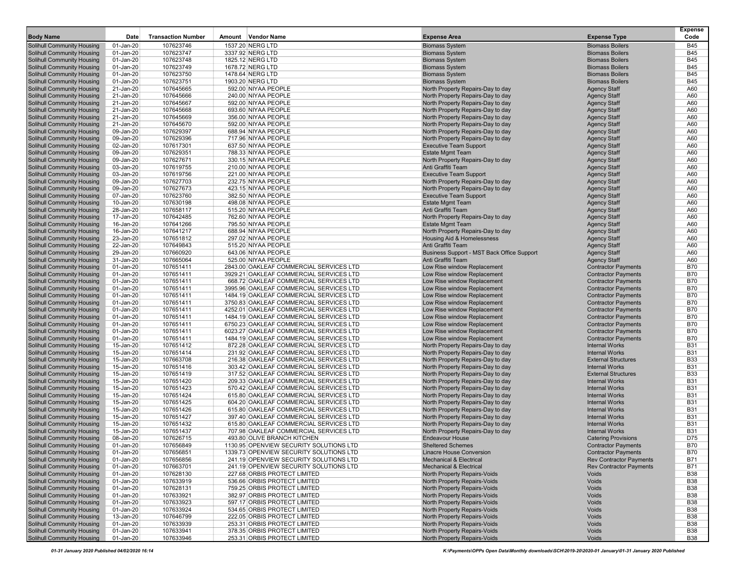| <b>Body Name</b>                                                       | Date                   | <b>Transaction Number</b> | Amount Vendor Name                                                                | <b>Expense Area</b>                                                      | <b>Expense Type</b>                                      | <b>Expense</b><br>Code   |
|------------------------------------------------------------------------|------------------------|---------------------------|-----------------------------------------------------------------------------------|--------------------------------------------------------------------------|----------------------------------------------------------|--------------------------|
| <b>Solihull Community Housing</b>                                      | 01-Jan-20              | 107623746                 | 1537.20 NERG LTD                                                                  | <b>Biomass System</b>                                                    | <b>Biomass Boilers</b>                                   | <b>B45</b>               |
| <b>Solihull Community Housing</b>                                      | 01-Jan-20              | 107623747                 | 3337.92 NERG LTD                                                                  | <b>Biomass System</b>                                                    | <b>Biomass Boilers</b>                                   | <b>B45</b>               |
| <b>Solihull Community Housing</b>                                      | 01-Jan-20              | 107623748                 | 1825.12 NERG LTD                                                                  | <b>Biomass System</b>                                                    | <b>Biomass Boilers</b>                                   | <b>B45</b>               |
| <b>Solihull Community Housing</b>                                      | 01-Jan-20              | 107623749                 | 1678.72 NERG LTD                                                                  | <b>Biomass System</b>                                                    | <b>Biomass Boilers</b>                                   | <b>B45</b>               |
| <b>Solihull Community Housing</b>                                      | 01-Jan-20              | 107623750                 | 1478.64 NERG LTD                                                                  | <b>Biomass System</b>                                                    | <b>Biomass Boilers</b>                                   | <b>B45</b>               |
| Solihull Community Housing<br><b>Solihull Community Housing</b>        | 01-Jan-20<br>21-Jan-20 | 107623751<br>107645665    | 1903.20 NERG LTD<br>592.00 NIYAA PEOPLE                                           | <b>Biomass System</b><br>North Property Repairs-Day to day               | <b>Biomass Boilers</b><br><b>Agency Staff</b>            | <b>B45</b><br>A60        |
| <b>Solihull Community Housing</b>                                      | 21-Jan-20              | 107645666                 | 240.00 NIYAA PEOPLE                                                               | North Property Repairs-Day to day                                        | <b>Agency Staff</b>                                      | A60                      |
| <b>Solihull Community Housing</b>                                      | 21-Jan-20              | 107645667                 | 592.00 NIYAA PEOPLE                                                               | North Property Repairs-Day to day                                        | <b>Agency Staff</b>                                      | A60                      |
| <b>Solihull Community Housing</b>                                      | 21-Jan-20              | 107645668                 | 693.60 NIYAA PEOPLE                                                               | North Property Repairs-Day to day                                        | <b>Agency Staff</b>                                      | A60                      |
| <b>Solihull Community Housing</b>                                      | 21-Jan-20              | 107645669                 | 356.00 NIYAA PEOPLE                                                               | North Property Repairs-Day to day                                        | <b>Agency Staff</b>                                      | A60                      |
| <b>Solihull Community Housing</b>                                      | 21-Jan-20              | 107645670                 | 592.00 NIYAA PEOPLE                                                               | North Property Repairs-Day to day                                        | <b>Agency Staff</b>                                      | A60                      |
| <b>Solihull Community Housing</b>                                      | 09-Jan-20              | 107629397                 | 688.94 NIYAA PEOPLE                                                               | North Property Repairs-Day to day                                        | <b>Agency Staff</b>                                      | A60                      |
| <b>Solihull Community Housing</b>                                      | 09-Jan-20              | 107629396                 | 717.96 NIYAA PEOPLE                                                               | North Property Repairs-Day to day                                        | <b>Agency Staff</b>                                      | A60                      |
| <b>Solihull Community Housing</b><br><b>Solihull Community Housing</b> | 02-Jan-20<br>09-Jan-20 | 107617301<br>107629351    | 637.50 NIYAA PEOPLE<br>788.33 NIYAA PEOPLE                                        | <b>Executive Team Support</b><br><b>Estate Mgmt Team</b>                 | <b>Agency Staff</b><br><b>Agency Staff</b>               | A60<br>A60               |
| <b>Solihull Community Housing</b>                                      | 09-Jan-20              | 107627671                 | 330.15 NIYAA PEOPLE                                                               | North Property Repairs-Day to day                                        | <b>Agency Staff</b>                                      | A60                      |
| <b>Solihull Community Housing</b>                                      | 03-Jan-20              | 107619755                 | 210.00 NIYAA PEOPLE                                                               | Anti Graffiti Team                                                       | <b>Agency Staff</b>                                      | A60                      |
| <b>Solihull Community Housing</b>                                      | 03-Jan-20              | 107619756                 | 221.00 NIYAA PEOPLE                                                               | <b>Executive Team Support</b>                                            | <b>Agency Staff</b>                                      | A60                      |
| Solihull Community Housing                                             | 09-Jan-20              | 107627703                 | 232.75 NIYAA PEOPLE                                                               | North Property Repairs-Day to day                                        | <b>Agency Staff</b>                                      | A60                      |
| <b>Solihull Community Housing</b>                                      | 09-Jan-20              | 107627673                 | 423.15 NIYAA PEOPLE                                                               | North Property Repairs-Day to day                                        | <b>Agency Staff</b>                                      | A60                      |
| <b>Solihull Community Housing</b>                                      | 07-Jan-20              | 107623760                 | 382.50 NIYAA PEOPLE                                                               | <b>Executive Team Support</b>                                            | <b>Agency Staff</b>                                      | A60                      |
| <b>Solihull Community Housing</b>                                      | 10-Jan-20              | 107630198                 | 498.08 NIYAA PEOPLE                                                               | <b>Estate Mgmt Team</b>                                                  | <b>Agency Staff</b>                                      | A60                      |
| <b>Solihull Community Housing</b><br><b>Solihull Community Housing</b> | 28-Jan-20<br>17-Jan-20 | 107658117<br>107642485    | 515.20 NIYAA PEOPLE<br>762.60 NIYAA PEOPLE                                        | Anti Graffiti Team<br>North Property Repairs-Day to day                  | <b>Agency Staff</b><br><b>Agency Staff</b>               | A60<br>A60               |
| <b>Solihull Community Housing</b>                                      | 16-Jan-20              | 107641266                 | 795.50 NIYAA PEOPLE                                                               | <b>Estate Mgmt Team</b>                                                  | <b>Agency Staff</b>                                      | A60                      |
| <b>Solihull Community Housing</b>                                      | 16-Jan-20              | 107641217                 | 688.94 NIYAA PEOPLE                                                               | North Property Repairs-Day to day                                        | <b>Agency Staff</b>                                      | A60                      |
| <b>Solihull Community Housing</b>                                      | 23-Jan-20              | 107651812                 | 297.02 NIYAA PEOPLE                                                               | <b>Housing Aid &amp; Homelessness</b>                                    | <b>Agency Staff</b>                                      | A60                      |
| <b>Solihull Community Housing</b>                                      | 22-Jan-20              | 107649843                 | 515.20 NIYAA PEOPLE                                                               | Anti Graffiti Team                                                       | <b>Agency Staff</b>                                      | A60                      |
| <b>Solihull Community Housing</b>                                      | 29-Jan-20              | 107660920                 | 643.06 NIYAA PEOPLE                                                               | Business Support - MST Back Office Support                               | <b>Agency Staff</b>                                      | A60                      |
| Solihull Community Housing                                             | 31-Jan-20              | 107665064                 | 525.00 NIYAA PEOPLE                                                               | Anti Graffiti Team                                                       | <b>Agency Staff</b>                                      | A60                      |
| <b>Solihull Community Housing</b>                                      | 01-Jan-20              | 107651411                 | 2843.00 OAKLEAF COMMERCIAL SERVICES LTD                                           | Low Rise window Replacement                                              | <b>Contractor Payments</b>                               | <b>B70</b>               |
| <b>Solihull Community Housing</b><br><b>Solihull Community Housing</b> | 01-Jan-20<br>01-Jan-20 | 107651411<br>107651411    | 3929.21 OAKLEAF COMMERCIAL SERVICES LTD<br>668.72 OAKLEAF COMMERCIAL SERVICES LTD | Low Rise window Replacement<br>Low Rise window Replacement               | <b>Contractor Payments</b><br><b>Contractor Payments</b> | <b>B70</b><br><b>B70</b> |
| <b>Solihull Community Housing</b>                                      | 01-Jan-20              | 107651411                 | 3995.96 OAKLEAF COMMERCIAL SERVICES LTD                                           | Low Rise window Replacement                                              | <b>Contractor Payments</b>                               | <b>B70</b>               |
| <b>Solihull Community Housing</b>                                      | 01-Jan-20              | 107651411                 | 1484.19 OAKLEAF COMMERCIAL SERVICES LTD                                           | Low Rise window Replacement                                              | <b>Contractor Payments</b>                               | <b>B70</b>               |
| <b>Solihull Community Housing</b>                                      | 01-Jan-20              | 107651411                 | 3750.83 OAKLEAF COMMERCIAL SERVICES LTD                                           | Low Rise window Replacement                                              | <b>Contractor Payments</b>                               | <b>B70</b>               |
| <b>Solihull Community Housing</b>                                      | 01-Jan-20              | 107651411                 | 4252.01 OAKLEAF COMMERCIAL SERVICES LTD                                           | Low Rise window Replacement                                              | <b>Contractor Payments</b>                               | <b>B70</b>               |
| <b>Solihull Community Housing</b>                                      | 01-Jan-20              | 107651411                 | 1484.19 OAKLEAF COMMERCIAL SERVICES LTD                                           | Low Rise window Replacement                                              | <b>Contractor Payments</b>                               | <b>B70</b>               |
| <b>Solihull Community Housing</b>                                      | 01-Jan-20              | 107651411                 | 6750.23 OAKLEAF COMMERCIAL SERVICES LTD                                           | Low Rise window Replacement                                              | <b>Contractor Payments</b>                               | <b>B70</b>               |
| <b>Solihull Community Housing</b>                                      | 01-Jan-20              | 107651411                 | 6023.27 OAKLEAF COMMERCIAL SERVICES LTD                                           | Low Rise window Replacement                                              | <b>Contractor Payments</b>                               | <b>B70</b><br><b>B70</b> |
| <b>Solihull Community Housing</b><br><b>Solihull Community Housing</b> | 01-Jan-20<br>15-Jan-20 | 107651411<br>107651412    | 1484.19 OAKLEAF COMMERCIAL SERVICES LTD<br>872.28 OAKLEAF COMMERCIAL SERVICES LTD | Low Rise window Replacement<br>North Property Repairs-Day to day         | <b>Contractor Payments</b><br><b>Internal Works</b>      | <b>B31</b>               |
| <b>Solihull Community Housing</b>                                      | 15-Jan-20              | 107651414                 | 231.92 OAKLEAF COMMERCIAL SERVICES LTD                                            | North Property Repairs-Day to day                                        | <b>Internal Works</b>                                    | <b>B31</b>               |
| Solihull Community Housing                                             | 15-Jan-20              | 107663708                 | 216.38 OAKLEAF COMMERCIAL SERVICES LTD                                            | North Property Repairs-Day to day                                        | <b>External Structures</b>                               | <b>B33</b>               |
| <b>Solihull Community Housing</b>                                      | 15-Jan-20              | 107651416                 | 303.42 OAKLEAF COMMERCIAL SERVICES LTD                                            | North Property Repairs-Day to day                                        | <b>Internal Works</b>                                    | <b>B31</b>               |
| <b>Solihull Community Housing</b>                                      | 15-Jan-20              | 107651419                 | 317.52 OAKLEAF COMMERCIAL SERVICES LTD                                            | North Property Repairs-Day to day                                        | <b>External Structures</b>                               | <b>B33</b>               |
| <b>Solihull Community Housing</b>                                      | 15-Jan-20              | 107651420                 | 209.33 OAKLEAF COMMERCIAL SERVICES LTD                                            | North Property Repairs-Day to day                                        | <b>Internal Works</b>                                    | <b>B31</b>               |
| <b>Solihull Community Housing</b>                                      | 15-Jan-20              | 107651423                 | 570.42 OAKLEAF COMMERCIAL SERVICES LTD                                            | North Property Repairs-Day to day                                        | <b>Internal Works</b>                                    | <b>B31</b>               |
| <b>Solihull Community Housing</b>                                      | 15-Jan-20              | 107651424                 | 615.80 OAKLEAF COMMERCIAL SERVICES LTD                                            | North Property Repairs-Day to day                                        | <b>Internal Works</b>                                    | <b>B31</b>               |
| <b>Solihull Community Housing</b><br><b>Solihull Community Housing</b> | 15-Jan-20<br>15-Jan-20 | 107651425<br>107651426    | 604.20 OAKLEAF COMMERCIAL SERVICES LTD<br>615.80 OAKLEAF COMMERCIAL SERVICES LTD  | North Property Repairs-Day to day<br>North Property Repairs-Day to day   | <b>Internal Works</b><br><b>Internal Works</b>           | <b>B31</b><br><b>B31</b> |
| <b>Solihull Community Housing</b>                                      | 15-Jan-20              | 107651427                 | 397.40 OAKLEAF COMMERCIAL SERVICES LTD                                            | North Property Repairs-Day to day                                        | <b>Internal Works</b>                                    | <b>B31</b>               |
| Solihull Community Housing                                             | 15-Jan-20              | 107651432                 | 615.80 OAKLEAF COMMERCIAL SERVICES LTD                                            | North Property Repairs-Day to day                                        | <b>Internal Works</b>                                    | <b>B31</b>               |
| <b>Solihull Community Housing</b>                                      | 15-Jan-20              | 107651437                 | 707.98 OAKLEAF COMMERCIAL SERVICES LTD                                            | North Property Repairs-Day to day                                        | <b>Internal Works</b>                                    | <b>B31</b>               |
| <b>Solihull Community Housing</b>                                      | 08-Jan-20              | 107626715                 | 493.80 OLIVE BRANCH KITCHEN                                                       | <b>Endeavour House</b>                                                   | <b>Catering Provisions</b>                               | D75                      |
| <b>Solihull Community Housing</b>                                      | 01-Jan-20              | 107656849                 | 1130.95 OPENVIEW SECURITY SOLUTIONS LTD                                           | <b>Sheltered Schemes</b>                                                 | <b>Contractor Payments</b>                               | <b>B70</b>               |
| <b>Solihull Community Housing</b>                                      | 01-Jan-20              | 107656851                 | 1339.73 OPENVIEW SECURITY SOLUTIONS LTD                                           | Linacre House Conversion                                                 | <b>Contractor Payments</b>                               | <b>B70</b>               |
| <b>Solihull Community Housing</b><br>Solihull Community Housing        | 01-Jan-20              | 107656856<br>107663701    | 241.19 OPENVIEW SECURITY SOLUTIONS LTD                                            | <b>Mechanical &amp; Electrical</b><br><b>Mechanical &amp; Electrical</b> | <b>Rev Contractor Payments</b>                           | <b>B71</b>               |
| <b>Solihull Community Housing</b>                                      | 01-Jan-20<br>01-Jan-20 | 107628130                 | 241.19 OPENVIEW SECURITY SOLUTIONS LTD<br>227.68 ORBIS PROTECT LIMITED            | North Property Repairs-Voids                                             | <b>Rev Contractor Payments</b><br><b>Voids</b>           | <b>B71</b><br><b>B38</b> |
| <b>Solihull Community Housing</b>                                      | 01-Jan-20              | 107633919                 | 536.66 ORBIS PROTECT LIMITED                                                      | North Property Repairs-Voids                                             | <b>Voids</b>                                             | <b>B38</b>               |
| Solihull Community Housing                                             | 01-Jan-20              | 107628131                 | 759.25 ORBIS PROTECT LIMITED                                                      | North Property Repairs-Voids                                             | Voids                                                    | <b>B38</b>               |
| <b>Solihull Community Housing</b>                                      | 01-Jan-20              | 107633921                 | 382.97 ORBIS PROTECT LIMITED                                                      | North Property Repairs-Voids                                             | Voids                                                    | <b>B38</b>               |
| <b>Solihull Community Housing</b>                                      | 01-Jan-20              | 107633923                 | 597.17 ORBIS PROTECT LIMITED                                                      | North Property Repairs-Voids                                             | Voids                                                    | <b>B38</b>               |
| <b>Solihull Community Housing</b>                                      | 01-Jan-20              | 107633924                 | 534.65 ORBIS PROTECT LIMITED                                                      | <b>North Property Repairs-Voids</b>                                      | Voids                                                    | <b>B38</b>               |
| <b>Solihull Community Housing</b>                                      | 13-Jan-20              | 107646799                 | 222.05 ORBIS PROTECT LIMITED                                                      | North Property Repairs-Voids                                             | Voids                                                    | <b>B38</b>               |
| Solihull Community Housing<br><b>Solihull Community Housing</b>        | 01-Jan-20<br>01-Jan-20 | 107633939                 | 253.31 ORBIS PROTECT LIMITED<br>378.35 ORBIS PROTECT LIMITED                      | North Property Repairs-Voids<br>North Property Repairs-Voids             | <b>Voids</b><br><b>Voids</b>                             | <b>B38</b><br><b>B38</b> |
| <b>Solihull Community Housing</b>                                      | 01-Jan-20              | 107633941<br>107633946    | 253.31 ORBIS PROTECT LIMITED                                                      | North Property Repairs-Voids                                             | Voids                                                    | <b>B38</b>               |
|                                                                        |                        |                           |                                                                                   |                                                                          |                                                          |                          |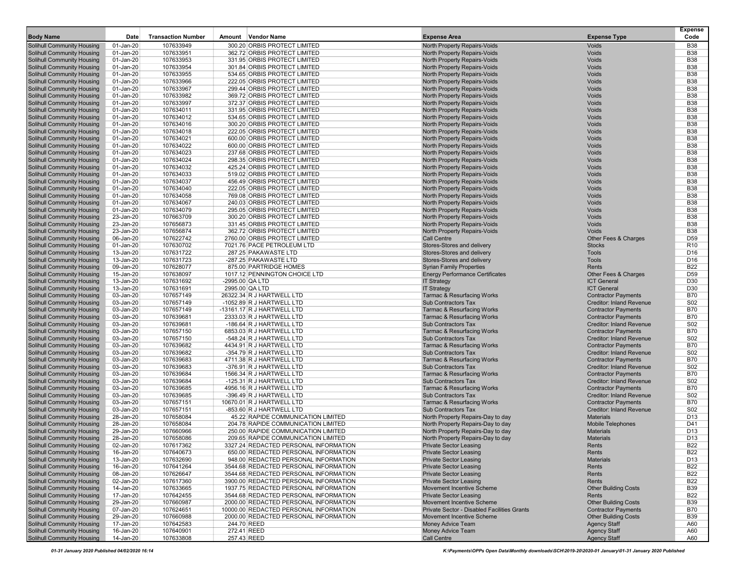| <b>Body Name</b>                                                | Date                   | <b>Transaction Number</b> | Amount Vendor Name                                                            | <b>Expense Area</b>                                                        | <b>Expense Type</b>                                           | <b>Expense</b><br>Code   |
|-----------------------------------------------------------------|------------------------|---------------------------|-------------------------------------------------------------------------------|----------------------------------------------------------------------------|---------------------------------------------------------------|--------------------------|
| <b>Solihull Community Housing</b>                               | 01-Jan-20              | 107633949                 | 300.20 ORBIS PROTECT LIMITED                                                  | North Property Repairs-Voids                                               | Voids                                                         | <b>B38</b>               |
| Solihull Community Housing                                      | 01-Jan-20              | 107633951                 | 362.72 ORBIS PROTECT LIMITED                                                  | <b>North Property Repairs-Voids</b>                                        | Voids                                                         | <b>B38</b>               |
| Solihull Community Housing                                      | 01-Jan-20              | 107633953                 | 331.95 ORBIS PROTECT LIMITED                                                  | North Property Repairs-Voids                                               | Voids                                                         | <b>B38</b>               |
| Solihull Community Housing                                      | 01-Jan-20              | 107633954                 | 301.84 ORBIS PROTECT LIMITED                                                  | North Property Repairs-Voids                                               | Voids                                                         | <b>B38</b>               |
| Solihull Community Housing                                      | 01-Jan-20              | 107633955                 | 534.65 ORBIS PROTECT LIMITED                                                  | North Property Repairs-Voids                                               | Voids                                                         | <b>B38</b>               |
| Solihull Community Housing                                      | 01-Jan-20              | 107633966                 | 222.05 ORBIS PROTECT LIMITED                                                  | <b>North Property Repairs-Voids</b>                                        | Voids                                                         | <b>B38</b>               |
| <b>Solihull Community Housing</b>                               | 01-Jan-20              | 107633967                 | 299.44 ORBIS PROTECT LIMITED                                                  | <b>North Property Repairs-Voids</b>                                        | Voids                                                         | <b>B38</b>               |
| <b>Solihull Community Housing</b>                               | 01-Jan-20              | 107633982                 | 369.72 ORBIS PROTECT LIMITED                                                  | <b>North Property Repairs-Voids</b>                                        | Voids                                                         | <b>B38</b>               |
| Solihull Community Housing                                      | 01-Jan-20              | 107633997                 | 372.37 ORBIS PROTECT LIMITED                                                  | North Property Repairs-Voids                                               | Voids                                                         | <b>B38</b><br><b>B38</b> |
| Solihull Community Housing<br>Solihull Community Housing        | 01-Jan-20<br>01-Jan-20 | 107634011<br>107634012    | 331.95 ORBIS PROTECT LIMITED<br>534.65 ORBIS PROTECT LIMITED                  | North Property Repairs-Voids<br>North Property Repairs-Voids               | Voids<br>Voids                                                | <b>B38</b>               |
| Solihull Community Housing                                      | 01-Jan-20              | 107634016                 | 300.20 ORBIS PROTECT LIMITED                                                  | North Property Repairs-Voids                                               | Voids                                                         | <b>B38</b>               |
| Solihull Community Housing                                      | $01$ -Jan- $20$        | 107634018                 | 222.05 ORBIS PROTECT LIMITED                                                  | North Property Repairs-Voids                                               | Voids                                                         | <b>B38</b>               |
| Solihull Community Housing                                      | 01-Jan-20              | 107634021                 | 600.00 ORBIS PROTECT LIMITED                                                  | North Property Repairs-Voids                                               | Voids                                                         | <b>B38</b>               |
| Solihull Community Housing                                      | 01-Jan-20              | 107634022                 | 600.00 ORBIS PROTECT LIMITED                                                  | <b>North Property Repairs-Voids</b>                                        | Voids                                                         | <b>B38</b>               |
| Solihull Community Housing                                      | 01-Jan-20              | 107634023                 | 237.68 ORBIS PROTECT LIMITED                                                  | <b>North Property Repairs-Voids</b>                                        | Voids                                                         | <b>B38</b>               |
| <b>Solihull Community Housing</b>                               | 01-Jan-20              | 107634024                 | 298.35 ORBIS PROTECT LIMITED                                                  | <b>North Property Repairs-Voids</b>                                        | Voids                                                         | <b>B38</b>               |
| Solihull Community Housing                                      | 01-Jan-20              | 107634032                 | 425.24 ORBIS PROTECT LIMITED                                                  | <b>North Property Repairs-Voids</b>                                        | Voids                                                         | <b>B38</b>               |
| Solihull Community Housing                                      | 01-Jan-20              | 107634033                 | 519.02 ORBIS PROTECT LIMITED                                                  | <b>North Property Repairs-Voids</b>                                        | Voids                                                         | <b>B38</b>               |
| Solihull Community Housing                                      | 01-Jan-20              | 107634037                 | 456.49 ORBIS PROTECT LIMITED                                                  | North Property Repairs-Voids                                               | Voids                                                         | <b>B38</b>               |
| Solihull Community Housing                                      | 01-Jan-20              | 107634040                 | 222.05 ORBIS PROTECT LIMITED                                                  | North Property Repairs-Voids                                               | Voids                                                         | <b>B38</b>               |
| Solihull Community Housing<br>Solihull Community Housing        | 01-Jan-20<br>01-Jan-20 | 107634058<br>107634067    | 769.08 ORBIS PROTECT LIMITED<br>240.03 ORBIS PROTECT LIMITED                  | <b>North Property Repairs-Voids</b><br><b>North Property Repairs-Voids</b> | Voids<br>Voids                                                | <b>B38</b><br><b>B38</b> |
| Solihull Community Housing                                      | 01-Jan-20              | 107634079                 | 295.05 ORBIS PROTECT LIMITED                                                  | <b>North Property Repairs-Voids</b>                                        | Voids                                                         | <b>B38</b>               |
| <b>Solihull Community Housing</b>                               | 23-Jan-20              | 107663709                 | 300.20 ORBIS PROTECT LIMITED                                                  | North Property Repairs-Voids                                               | Voids                                                         | <b>B38</b>               |
| Solihull Community Housing                                      | 23-Jan-20              | 107656873                 | 331.45 ORBIS PROTECT LIMITED                                                  | <b>North Property Repairs-Voids</b>                                        | Voids                                                         | <b>B38</b>               |
| Solihull Community Housing                                      | 23-Jan-20              | 107656874                 | 362.72 ORBIS PROTECT LIMITED                                                  | <b>North Property Repairs-Voids</b>                                        | Voids                                                         | <b>B38</b>               |
| Solihull Community Housing                                      | 06-Jan-20              | 107622742                 | 2760.00 ORBIS PROTECT LIMITED                                                 | <b>Call Centre</b>                                                         | Other Fees & Charges                                          | D59                      |
| Solihull Community Housing                                      | 01-Jan-20              | 107630702                 | 7021.76 PACE PETROLEUM LTD                                                    | Stores-Stores and delivery                                                 | <b>Stocks</b>                                                 | R <sub>10</sub>          |
| Solihull Community Housing                                      | 13-Jan-20              | 107631722                 | 287.25 PAKAWASTE LTD                                                          | Stores-Stores and delivery                                                 | <b>Tools</b>                                                  | D <sub>16</sub>          |
| Solihull Community Housing                                      | 13-Jan-20              | 107631723                 | -287.25 PAKAWASTE LTD                                                         | Stores-Stores and delivery                                                 | <b>Tools</b>                                                  | D <sub>16</sub>          |
| <b>Solihull Community Housing</b>                               | 09-Jan-20              | 107628077                 | 875.00 PARTRIDGE HOMES                                                        | <b>Syrian Family Properties</b>                                            | Rents                                                         | <b>B22</b>               |
| <b>Solihull Community Housing</b>                               | 15-Jan-20              | 107638097<br>107631692    | 1017.12 PENNINGTON CHOICE LTD                                                 | <b>Energy Performance Certificates</b>                                     | Other Fees & Charges                                          | D <sub>59</sub>          |
| Solihull Community Housing<br><b>Solihull Community Housing</b> | 13-Jan-20<br>13-Jan-20 | 107631691                 | -2995.00 QA LTD<br>2995.00 QA LTD                                             | <b>IT Strategy</b><br><b>IT Strategy</b>                                   | <b>ICT General</b><br><b>ICT General</b>                      | D30<br>D30               |
| Solihull Community Housing                                      | 03-Jan-20              | 107657149                 | 26322.34 R J HARTWELL LTD                                                     | Tarmac & Resurfacing Works                                                 | <b>Contractor Payments</b>                                    | <b>B70</b>               |
| Solihull Community Housing                                      | 03-Jan-20              | 107657149                 | -1052.89 R J HARTWELL LTD                                                     | <b>Sub Contractors Tax</b>                                                 | <b>Creditor: Inland Revenue</b>                               | <b>S02</b>               |
| Solihull Community Housing                                      | 03-Jan-20              | 107657149                 | -13161.17 R J HARTWELL LTD                                                    | <b>Tarmac &amp; Resurfacing Works</b>                                      | <b>Contractor Payments</b>                                    | <b>B70</b>               |
| Solihull Community Housing                                      | 03-Jan-20              | 107639681                 | 2333.03 R J HARTWELL LTD                                                      | <b>Tarmac &amp; Resurfacing Works</b>                                      | <b>Contractor Payments</b>                                    | <b>B70</b>               |
| Solihull Community Housing                                      | 03-Jan-20              | 107639681                 | -186.64 R J HARTWELL LTD                                                      | <b>Sub Contractors Tax</b>                                                 | <b>Creditor: Inland Revenue</b>                               | <b>S02</b>               |
| Solihull Community Housing                                      | 03-Jan-20              | 107657150                 | 6853.03 R J HARTWELL LTD                                                      | <b>Tarmac &amp; Resurfacing Works</b>                                      | <b>Contractor Payments</b>                                    | <b>B70</b>               |
| Solihull Community Housing                                      | 03-Jan-20              | 107657150                 | -548.24 R J HARTWELL LTD                                                      | <b>Sub Contractors Tax</b>                                                 | <b>Creditor: Inland Revenue</b>                               | <b>S02</b>               |
| Solihull Community Housing                                      | 03-Jan-20              | 107639682                 | 4434.91 R J HARTWELL LTD                                                      | <b>Tarmac &amp; Resurfacing Works</b>                                      | <b>Contractor Payments</b>                                    | <b>B70</b>               |
| Solihull Community Housing                                      | 03-Jan-20              | 107639682                 | -354.79 R J HARTWELL LTD                                                      | Sub Contractors Tax                                                        | <b>Creditor: Inland Revenue</b>                               | S02                      |
| Solihull Community Housing<br>Solihull Community Housing        | 03-Jan-20<br>03-Jan-20 | 107639683<br>107639683    | 4711.38 R J HARTWELL LTD<br>-376.91 R J HARTWELL LTD                          | <b>Tarmac &amp; Resurfacing Works</b><br><b>Sub Contractors Tax</b>        | <b>Contractor Payments</b><br><b>Creditor: Inland Revenue</b> | <b>B70</b><br><b>S02</b> |
| <b>Solihull Community Housing</b>                               | 03-Jan-20              | 107639684                 | 1566.34 R J HARTWELL LTD                                                      | <b>Tarmac &amp; Resurfacing Works</b>                                      | <b>Contractor Payments</b>                                    | <b>B70</b>               |
| Solihull Community Housing                                      | 03-Jan-20              | 107639684                 | -125.31 R J HARTWELL LTD                                                      | <b>Sub Contractors Tax</b>                                                 | <b>Creditor: Inland Revenue</b>                               | S02                      |
| Solihull Community Housing                                      | 03-Jan-20              | 107639685                 | 4956.16 R J HARTWELL LTD                                                      | Tarmac & Resurfacing Works                                                 | <b>Contractor Payments</b>                                    | <b>B70</b>               |
| Solihull Community Housing                                      | 03-Jan-20              | 107639685                 | -396.49 R J HARTWELL LTD                                                      | <b>Sub Contractors Tax</b>                                                 | <b>Creditor: Inland Revenue</b>                               | S02                      |
| Solihull Community Housing                                      | 03-Jan-20              | 107657151                 | 10670.01 R J HARTWELL LTD                                                     | <b>Tarmac &amp; Resurfacing Works</b>                                      | <b>Contractor Payments</b>                                    | <b>B70</b>               |
| Solihull Community Housing                                      | 03-Jan-20              | 107657151                 | -853.60 R J HARTWELL LTD                                                      | <b>Sub Contractors Tax</b>                                                 | <b>Creditor: Inland Revenue</b>                               | <b>S02</b>               |
| Solihull Community Housing                                      | 28-Jan-20              | 107658084                 | 45.22 RAPIDE COMMUNICATION LIMITED                                            | North Property Repairs-Day to day                                          | <b>Materials</b>                                              | D <sub>13</sub>          |
| Solihull Community Housing                                      | 28-Jan-20              | 107658084                 | 204.78 RAPIDE COMMUNICATION LIMITED                                           | North Property Repairs-Day to day                                          | <b>Mobile Telephones</b>                                      | D41                      |
| <b>Solihull Community Housing</b>                               | 29-Jan-20              | 107660966                 | 250.00 RAPIDE COMMUNICATION LIMITED                                           | North Property Repairs-Day to day                                          | <b>Materials</b>                                              | D13                      |
| <b>Solihull Community Housing</b>                               | 28-Jan-20              | 107658086                 | 209.65 RAPIDE COMMUNICATION LIMITED                                           | North Property Repairs-Day to day                                          | <b>Materials</b>                                              | D <sub>13</sub>          |
| <b>Solihull Community Housing</b><br>Solihull Community Housing | 02-Jan-20<br>16-Jan-20 | 107617362<br>107640673    | 3327.24 REDACTED PERSONAL INFORMATION<br>650.00 REDACTED PERSONAL INFORMATION | <b>Private Sector Leasing</b><br><b>Private Sector Leasing</b>             | Rents<br>Rents                                                | <b>B22</b><br><b>B22</b> |
| <b>Solihull Community Housing</b>                               | 13-Jan-20              | 107632690                 | 948.00 REDACTED PERSONAL INFORMATION                                          | <b>Private Sector Leasing</b>                                              | <b>Materials</b>                                              | D13                      |
| <b>Solihull Community Housing</b>                               | 16-Jan-20              | 107641264                 | 3544.68 REDACTED PERSONAL INFORMATION                                         | <b>Private Sector Leasing</b>                                              | Rents                                                         | <b>B22</b>               |
| <b>Solihull Community Housing</b>                               | 08-Jan-20              | 107626647                 | 3544.68 REDACTED PERSONAL INFORMATION                                         | <b>Private Sector Leasing</b>                                              | Rents                                                         | <b>B22</b>               |
| Solihull Community Housing                                      | 02-Jan-20              | 107617360                 | 3900.00 REDACTED PERSONAL INFORMATION                                         | <b>Private Sector Leasing</b>                                              | Rents                                                         | <b>B22</b>               |
| Solihull Community Housing                                      | 14-Jan-20              | 107633665                 | 1937.75 REDACTED PERSONAL INFORMATION                                         | <b>Movement Incentive Scheme</b>                                           | <b>Other Building Costs</b>                                   | <b>B39</b>               |
| Solihull Community Housing                                      | 17-Jan-20              | 107642455                 | 3544.68 REDACTED PERSONAL INFORMATION                                         | <b>Private Sector Leasing</b>                                              | Rents                                                         | <b>B22</b>               |
| Solihull Community Housing                                      | 29-Jan-20              | 107660987                 | 2000.00 REDACTED PERSONAL INFORMATION                                         | Movement Incentive Scheme                                                  | <b>Other Building Costs</b>                                   | <b>B39</b>               |
| Solihull Community Housing                                      | 07-Jan-20              | 107624651                 | 10000.00 REDACTED PERSONAL INFORMATION                                        | <b>Private Sector - Disabled Facilities Grants</b>                         | <b>Contractor Payments</b>                                    | <b>B70</b>               |
| Solihull Community Housing                                      | 29-Jan-20              | 107660988                 | 2000.00 REDACTED PERSONAL INFORMATION                                         | <b>Movement Incentive Scheme</b>                                           | <b>Other Building Costs</b>                                   | <b>B39</b>               |
| Solihull Community Housing                                      | 17-Jan-20              | 107642583                 | 244.70 REED                                                                   | Money Advice Team                                                          | <b>Agency Staff</b>                                           | A60                      |
| Solihull Community Housing<br>Solihull Community Housing        | 16-Jan-20<br>14-Jan-20 | 107640901<br>107633808    | 272.41 REED<br>257.43 REED                                                    | Money Advice Team<br>Call Centre                                           | <b>Agency Staff</b><br><b>Agency Staff</b>                    | A60<br>A60               |
|                                                                 |                        |                           |                                                                               |                                                                            |                                                               |                          |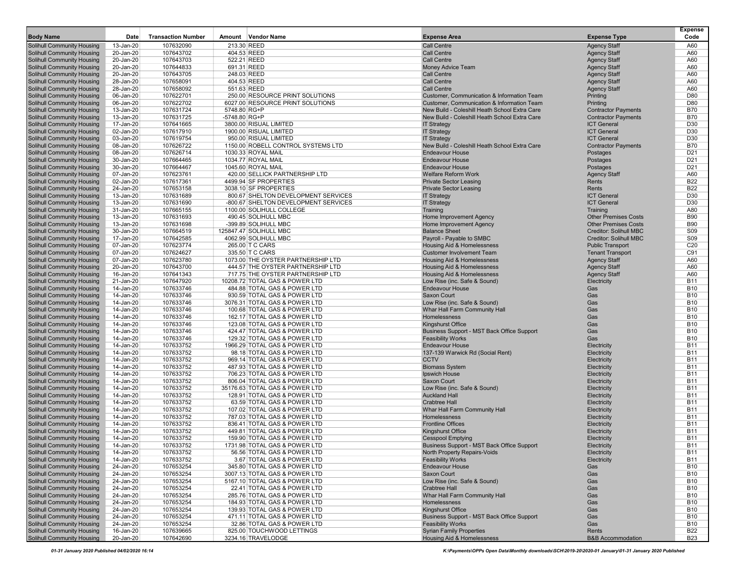| <b>Body Name</b>                                                       | Date                   | <b>Transaction Number</b> | Vendor Name<br>Amount                                                       | <b>Expense Area</b>                                                    | <b>Expense Type</b>                            | <b>Expense</b><br>Code   |
|------------------------------------------------------------------------|------------------------|---------------------------|-----------------------------------------------------------------------------|------------------------------------------------------------------------|------------------------------------------------|--------------------------|
| <b>Solihull Community Housing</b>                                      | 13-Jan-20              | 107632090                 | 213.30 REED                                                                 | <b>Call Centre</b>                                                     | <b>Agency Staff</b>                            | A60                      |
| <b>Solihull Community Housing</b>                                      | 20-Jan-20              | 107643702                 | 404.53 REED                                                                 | <b>Call Centre</b>                                                     | <b>Agency Staff</b>                            | A60                      |
| <b>Solihull Community Housing</b>                                      | 20-Jan-20              | 107643703                 | 522.21 REED                                                                 | <b>Call Centre</b>                                                     | <b>Agency Staff</b>                            | A60                      |
| <b>Solihull Community Housing</b>                                      | 20-Jan-20              | 107644833                 | 691.31 REED                                                                 | Money Advice Team                                                      | <b>Agency Staff</b>                            | A60                      |
| <b>Solihull Community Housing</b><br><b>Solihull Community Housing</b> | 20-Jan-20<br>28-Jan-20 | 107643705<br>107658091    | 248.03 REED<br>404.53 REED                                                  | <b>Call Centre</b><br><b>Call Centre</b>                               | <b>Agency Staff</b><br><b>Agency Staff</b>     | A60<br>A60               |
| <b>Solihull Community Housing</b>                                      | 28-Jan-20              | 107658092                 | 551.63 REED                                                                 | <b>Call Centre</b>                                                     | <b>Agency Staff</b>                            | A60                      |
| Solihull Community Housing                                             | 06-Jan-20              | 107622701                 | 250.00 RESOURCE PRINT SOLUTIONS                                             | Customer, Communication & Information Team                             | Printing                                       | D80                      |
| <b>Solihull Community Housing</b>                                      | 06-Jan-20              | 107622702                 | 6027.00 RESOURCE PRINT SOLUTIONS                                            | Customer, Communication & Information Team                             | Printing                                       | D80                      |
| Solihull Community Housing                                             | 13-Jan-20              | 107631724                 | 5748.80 RG+P                                                                | New Build - Coleshill Heath School Extra Care                          | <b>Contractor Payments</b>                     | <b>B70</b>               |
| <b>Solihull Community Housing</b>                                      | 13-Jan-20              | 107631725                 | -5748.80 RG+P                                                               | New Build - Coleshill Heath School Extra Care                          | <b>Contractor Payments</b>                     | <b>B70</b>               |
| <b>Solihull Community Housing</b>                                      | 17-Jan-20              | 107641665                 | 3800.00 RISUAL LIMITED                                                      | <b>IT Strategy</b>                                                     | <b>ICT General</b>                             | D <sub>30</sub>          |
| <b>Solihull Community Housing</b><br><b>Solihull Community Housing</b> | 02-Jan-20<br>03-Jan-20 | 107617910<br>107619754    | 1900.00 RISUAL LIMITED<br>950.00 RISUAL LIMITED                             | <b>IT Strategy</b><br><b>IT Strategy</b>                               | <b>ICT</b> General<br><b>ICT General</b>       | D <sub>30</sub><br>D30   |
| <b>Solihull Community Housing</b>                                      | 08-Jan-20              | 107626722                 | 1150.00 ROBELL CONTROL SYSTEMS LTD                                          | New Build - Coleshill Heath School Extra Care                          | <b>Contractor Payments</b>                     | <b>B70</b>               |
| <b>Solihull Community Housing</b>                                      | 08-Jan-20              | 107626714                 | 1030.33 ROYAL MAIL                                                          | Endeavour House                                                        | Postages                                       | D <sub>21</sub>          |
| Solihull Community Housing                                             | 30-Jan-20              | 107664465                 | 1034.77 ROYAL MAIL                                                          | <b>Endeavour House</b>                                                 | Postages                                       | D <sub>21</sub>          |
| <b>Solihull Community Housing</b>                                      | 30-Jan-20              | 107664467                 | 1045.60 ROYAL MAIL                                                          | <b>Endeavour House</b>                                                 | Postages                                       | D <sub>21</sub>          |
| <b>Solihull Community Housing</b>                                      | 07-Jan-20              | 107623761                 | 420.00 SELLICK PARTNERSHIP LTD                                              | <b>Welfare Reform Work</b>                                             | <b>Agency Staff</b>                            | A60                      |
| <b>Solihull Community Housing</b>                                      | 02-Jan-20              | 107617361                 | 4499.94 SF PROPERTIES                                                       | <b>Private Sector Leasing</b>                                          | Rents                                          | <b>B22</b>               |
| <b>Solihull Community Housing</b>                                      | 24-Jan-20              | 107653158                 | 3038.10 SF PROPERTIES                                                       | <b>Private Sector Leasing</b>                                          | Rents                                          | <b>B22</b>               |
| <b>Solihull Community Housing</b><br><b>Solihull Community Housing</b> | 13-Jan-20<br>13-Jan-20 | 107631689<br>107631690    | 800.67 SHELTON DEVELOPMENT SERVICES<br>-800.67 SHELTON DEVELOPMENT SERVICES | <b>IT Strategy</b><br><b>IT Strategy</b>                               | <b>ICT General</b><br><b>ICT General</b>       | D30<br>D30               |
| Solihull Community Housing                                             | 31-Jan-20              | 107665155                 | 1100.00 SOLIHULL COLLEGE                                                    | Training                                                               | Training                                       | A80                      |
| <b>Solihull Community Housing</b>                                      | 13-Jan-20              | 107631693                 | 490.45 SOLIHULL MBC                                                         | Home Improvement Agency                                                | <b>Other Premises Costs</b>                    | <b>B90</b>               |
| <b>Solihull Community Housing</b>                                      | 13-Jan-20              | 107631698                 | -399.89 SOLIHULL MBC                                                        | Home Improvement Agency                                                | <b>Other Premises Costs</b>                    | <b>B90</b>               |
| <b>Solihull Community Housing</b>                                      | 30-Jan-20              | 107664519                 | 125847.47 SOLIHULL MBC                                                      | <b>Balance Sheet</b>                                                   | <b>Creditor: Solihull MBC</b>                  | S <sub>09</sub>          |
| <b>Solihull Community Housing</b>                                      | 17-Jan-20              | 107642585                 | 4062.99 SOLIHULL MBC                                                        | Payroll - Payable to SMBC                                              | <b>Creditor: Solihull MBC</b>                  | S09                      |
| <b>Solihull Community Housing</b>                                      | 07-Jan-20              | 107623774                 | 265.00 T C CARS                                                             | <b>Housing Aid &amp; Homelessness</b>                                  | <b>Public Transport</b>                        | C <sub>20</sub>          |
| <b>Solihull Community Housing</b><br><b>Solihull Community Housing</b> | 07-Jan-20<br>07-Jan-20 | 107624627<br>107623780    | 335.50 T C CARS<br>1073.00 THE OYSTER PARTNERSHIP LTD                       | <b>Customer Involvement Team</b><br>Housing Aid & Homelessness         | <b>Tenant Transport</b><br><b>Agency Staff</b> | C91<br>A60               |
| <b>Solihull Community Housing</b>                                      | 20-Jan-20              | 107643700                 | 444.57 THE OYSTER PARTNERSHIP LTD                                           | Housing Aid & Homelessness                                             | <b>Agency Staff</b>                            | A60                      |
| <b>Solihull Community Housing</b>                                      | 16-Jan-20              | 107641343                 | 717.75 THE OYSTER PARTNERSHIP LTD                                           | <b>Housing Aid &amp; Homelessness</b>                                  | <b>Agency Staff</b>                            | A60                      |
| <b>Solihull Community Housing</b>                                      | 21-Jan-20              | 107647920                 | 10208.72 TOTAL GAS & POWER LTD                                              | Low Rise (inc. Safe & Sound)                                           | Electricity                                    | <b>B11</b>               |
| Solihull Community Housing                                             | 14-Jan-20              | 107633746                 | 484.88 TOTAL GAS & POWER LTD                                                | <b>Endeavour House</b>                                                 | Gas                                            | <b>B10</b>               |
| <b>Solihull Community Housing</b>                                      | 14-Jan-20              | 107633746                 | 930.59 TOTAL GAS & POWER LTD                                                | <b>Saxon Court</b>                                                     | Gas                                            | <b>B10</b>               |
| <b>Solihull Community Housing</b>                                      | 14-Jan-20              | 107633746                 | 3076.31 TOTAL GAS & POWER LTD                                               | Low Rise (inc. Safe & Sound)                                           | Gas                                            | <b>B10</b>               |
| <b>Solihull Community Housing</b>                                      | 14-Jan-20              | 107633746                 | 100.68 TOTAL GAS & POWER LTD                                                | Whar Hall Farm Community Hall                                          | Gas                                            | <b>B10</b>               |
| <b>Solihull Community Housing</b><br><b>Solihull Community Housing</b> | 14-Jan-20<br>14-Jan-20 | 107633746<br>107633746    | 162.17 TOTAL GAS & POWER LTD<br>123.08 TOTAL GAS & POWER LTD                | Homelessness<br><b>Kingshurst Office</b>                               | Gas<br>Gas                                     | <b>B10</b><br><b>B10</b> |
| <b>Solihull Community Housing</b>                                      | 14-Jan-20              | 107633746                 | 424.47 TOTAL GAS & POWER LTD                                                | Business Support - MST Back Office Support                             | Gas                                            | <b>B10</b>               |
| <b>Solihull Community Housing</b>                                      | 14-Jan-20              | 107633746                 | 129.32 TOTAL GAS & POWER LTD                                                | <b>Feasibility Works</b>                                               | Gas                                            | <b>B10</b>               |
| <b>Solihull Community Housing</b>                                      | 14-Jan-20              | 107633752                 | 1966.29 TOTAL GAS & POWER LTD                                               | <b>Endeavour House</b>                                                 | Electricity                                    | <b>B11</b>               |
| <b>Solihull Community Housing</b>                                      | 14-Jan-20              | 107633752                 | 98.18 TOTAL GAS & POWER LTD                                                 | 137-139 Warwick Rd (Social Rent)                                       | Electricity                                    | <b>B11</b>               |
| <b>Solihull Community Housing</b>                                      | 14-Jan-20              | 107633752                 | 969.14 TOTAL GAS & POWER LTD                                                | <b>CCTV</b>                                                            | Electricity                                    | <b>B11</b>               |
| <b>Solihull Community Housing</b>                                      | 14-Jan-20              | 107633752                 | 487.93 TOTAL GAS & POWER LTD                                                | <b>Biomass System</b>                                                  | Electricity                                    | <b>B11</b>               |
| <b>Solihull Community Housing</b>                                      | 14-Jan-20<br>14-Jan-20 | 107633752                 | 706.23 TOTAL GAS & POWER LTD                                                | Ipswich House<br>Saxon Court                                           | Electricity                                    | <b>B11</b><br><b>B11</b> |
| <b>Solihull Community Housing</b><br>Solihull Community Housing        | 14-Jan-20              | 107633752<br>107633752    | 806.04 TOTAL GAS & POWER LTD<br>35176.63 TOTAL GAS & POWER LTD              | Low Rise (inc. Safe & Sound)                                           | Electricity<br>Electricity                     | <b>B11</b>               |
| <b>Solihull Community Housing</b>                                      | 14-Jan-20              | 107633752                 | 128.91 TOTAL GAS & POWER LTD                                                | <b>Auckland Hall</b>                                                   | Electricity                                    | <b>B11</b>               |
| <b>Solihull Community Housing</b>                                      | 14-Jan-20              | 107633752                 | 63.59 TOTAL GAS & POWER LTD                                                 | <b>Crabtree Hall</b>                                                   | Electricity                                    | <b>B11</b>               |
| <b>Solihull Community Housing</b>                                      | 14-Jan-20              | 107633752                 | 107.02 TOTAL GAS & POWER LTD                                                | Whar Hall Farm Community Hall                                          | Electricity                                    | <b>B11</b>               |
| <b>Solihull Community Housing</b>                                      | 14-Jan-20              | 107633752                 | 787.03 TOTAL GAS & POWER LTD                                                | Homelessness                                                           | Electricity                                    | <b>B11</b>               |
| <b>Solihull Community Housing</b>                                      | 14-Jan-20              | 107633752                 | 836.41 TOTAL GAS & POWER LTD                                                | <b>Frontline Offices</b>                                               | Electricity                                    | <b>B11</b>               |
| <b>Solihull Community Housing</b>                                      | 14-Jan-20              | 107633752                 | 449.81 TOTAL GAS & POWER LTD                                                | <b>Kingshurst Office</b>                                               | Electricity                                    | <b>B11</b>               |
| <b>Solihull Community Housing</b>                                      | 14-Jan-20              | 107633752                 | 159.90 TOTAL GAS & POWER LTD                                                | <b>Cesspool Emptying</b><br>Business Support - MST Back Office Support | Electricity                                    | <b>B11</b>               |
| Solihull Community Housing<br>Solihull Community Housing               | 14-Jan-20<br>14-Jan-20 | 107633752<br>107633752    | 1731.98 TOTAL GAS & POWER LTD<br>56.56 TOTAL GAS & POWER LTD                | <b>North Property Repairs-Voids</b>                                    | Electricity<br>Electricity                     | B11<br><b>B11</b>        |
| <b>Solihull Community Housing</b>                                      | 14-Jan-20              | 107633752                 | 3.67 TOTAL GAS & POWER LTD                                                  | <b>Feasibility Works</b>                                               | Electricity                                    | <b>B11</b>               |
| <b>Solihull Community Housing</b>                                      | 24-Jan-20              | 107653254                 | 345.80 TOTAL GAS & POWER LTD                                                | <b>Endeavour House</b>                                                 | Gas                                            | <b>B10</b>               |
| <b>Solihull Community Housing</b>                                      | 24-Jan-20              | 107653254                 | 3007.13 TOTAL GAS & POWER LTD                                               | Saxon Court                                                            | Gas                                            | <b>B10</b>               |
| <b>Solihull Community Housing</b>                                      | 24-Jan-20              | 107653254                 | 5167.10 TOTAL GAS & POWER LTD                                               | Low Rise (inc. Safe & Sound)                                           | Gas                                            | <b>B10</b>               |
| <b>Solihull Community Housing</b>                                      | 24-Jan-20              | 107653254                 | 22.41 TOTAL GAS & POWER LTD                                                 | <b>Crabtree Hall</b>                                                   | Gas                                            | <b>B10</b>               |
| <b>Solihull Community Housing</b>                                      | 24-Jan-20              | 107653254                 | 285.76 TOTAL GAS & POWER LTD                                                | Whar Hall Farm Community Hall                                          | Gas                                            | <b>B10</b>               |
| <b>Solihull Community Housing</b>                                      | 24-Jan-20              | 107653254                 | 184.93 TOTAL GAS & POWER LTD                                                | Homelessness<br><b>Kingshurst Office</b>                               | Gas                                            | <b>B10</b>               |
| <b>Solihull Community Housing</b><br>Solihull Community Housing        | 24-Jan-20<br>24-Jan-20 | 107653254<br>107653254    | 139.93 TOTAL GAS & POWER LTD<br>471.11 TOTAL GAS & POWER LTD                | Business Support - MST Back Office Support                             | Gas<br>Gas                                     | <b>B10</b><br><b>B10</b> |
| <b>Solihull Community Housing</b>                                      | 24-Jan-20              | 107653254                 | 32.86 TOTAL GAS & POWER LTD                                                 | <b>Feasibility Works</b>                                               | Gas                                            | <b>B10</b>               |
| <b>Solihull Community Housing</b>                                      | 16-Jan-20              | 107639665                 | 825.00 TOUCHWOOD LETTINGS                                                   | <b>Syrian Family Properties</b>                                        | Rents                                          | <b>B22</b>               |
| <b>Solihull Community Housing</b>                                      | 20-Jan-20              | 107642690                 | 3234.16 TRAVELODGE                                                          | <b>Housing Aid &amp; Homelessness</b>                                  | <b>B&amp;B Accommodation</b>                   | <b>B23</b>               |